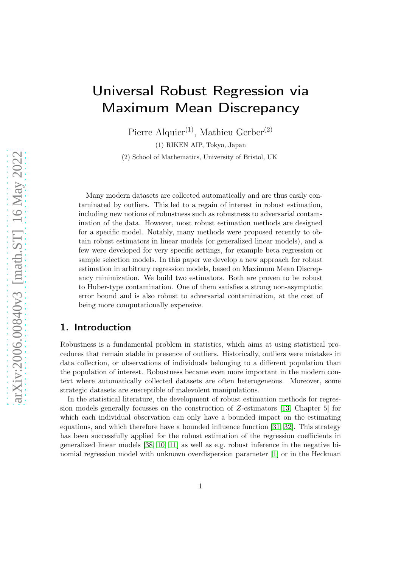# Universal Robust Regression via Maximum Mean Discrepancy

Pierre Alquier<sup>(1)</sup>, Mathieu Gerber<sup>(2)</sup>

(1) RIKEN AIP, Tokyo, Japan

(2) School of Mathematics, University of Bristol, UK

Many modern datasets are collected automatically and are thus easily contaminated by outliers. This led to a regain of interest in robust estimation, including new notions of robustness such as robustness to adversarial contamination of the data. However, most robust estimation methods are designed for a specific model. Notably, many methods were proposed recently to obtain robust estimators in linear models (or generalized linear models), and a few were developed for very specific settings, for example beta regression or sample selection models. In this paper we develop a new approach for robust estimation in arbitrary regression models, based on Maximum Mean Discrepancy minimization. We build two estimators. Both are proven to be robust to Huber-type contamination. One of them satisfies a strong non-asymptotic error bound and is also robust to adversarial contamination, at the cost of being more computationally expensive.

# 1. Introduction

Robustness is a fundamental problem in statistics, which aims at using statistical procedures that remain stable in presence of outliers. Historically, outliers were mistakes in data collection, or observations of individuals belonging to a different population than the population of interest. Robustness became even more important in the modern context where automatically collected datasets are often heterogeneous. Moreover, some strategic datasets are susceptible of malevolent manipulations.

In the statistical literature, the development of robust estimation methods for regression models generally focusses on the construction of Z-estimators [\[13,](#page-46-0) Chapter 5] for which each individual observation can only have a bounded impact on the estimating equations, and which therefore have a bounded influence function [\[31,](#page-20-0) [32\]](#page-20-1). This strategy has been successfully applied for the robust estimation of the regression coefficients in generalized linear models [\[38,](#page-20-2) [10,](#page-19-0) [11\]](#page-19-1) as well as e.g. robust inference in the negative binomial regression model with unknown overdispersion parameter [\[1\]](#page-18-0) or in the Heckman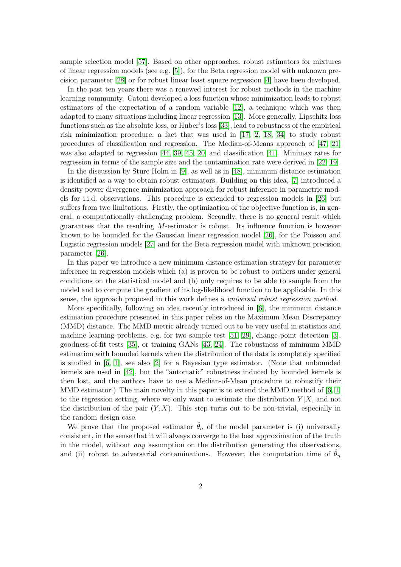sample selection model [\[57\]](#page-21-0). Based on other approaches, robust estimators for mixtures of linear regression models (see e.g. [\[5\]](#page-19-2)), for the Beta regression model with unknown precision parameter [\[28\]](#page-20-3) or for robust linear least square regression [\[4\]](#page-18-1) have been developed.

In the past ten years there was a renewed interest for robust methods in the machine learning community. Catoni developed a loss function whose minimization leads to robust estimators of the expectation of a random variable [\[12\]](#page-19-3), a technique which was then adapted to many situations including linear regression [\[13\]](#page-19-4). More generally, Lipschitz loss functions such as the absolute loss, or Huber's loss [\[33\]](#page-20-4), lead to robustness of the empirical risk minimization procedure, a fact that was used in [\[17,](#page-19-5) [2,](#page-18-2) [18,](#page-19-6) [34\]](#page-20-5) to study robust procedures of classification and regression. The Median-of-Means approach of [\[47,](#page-21-1) [21\]](#page-19-7) was also adapted to regression [\[44,](#page-21-2) [39,](#page-20-6) [45,](#page-21-3) [20\]](#page-19-8) and classification [\[41\]](#page-20-7). Minimax rates for regression in terms of the sample size and the contamination rate were derived in [\[22,](#page-19-9) [19\]](#page-19-10).

In the discussion by Sture Holm in [\[9\]](#page-19-11), as well as in [\[48\]](#page-21-4), minimum distance estimation is identified as a way to obtain robust estimators. Building on this idea, [\[7\]](#page-19-12) introduced a density power divergence minimization approach for robust inference in parametric models for i.i.d. observations. This procedure is extended to regression models in [\[26\]](#page-20-8) but suffers from two limitations. Firstly, the optimization of the objective function is, in general, a computationally challenging problem. Secondly, there is no general result which guarantees that the resulting  $M$ -estimator is robust. Its influence function is however known to be bounded for the Gaussian linear regression model [\[26\]](#page-20-8), for the Poisson and Logistic regression models [\[27\]](#page-20-9) and for the Beta regression model with unknown precision parameter [\[26\]](#page-20-8).

In this paper we introduce a new minimum distance estimation strategy for parameter inference in regression models which (a) is proven to be robust to outliers under general conditions on the statistical model and (b) only requires to be able to sample from the model and to compute the gradient of its log-likelihood function to be applicable. In this sense, the approach proposed in this work defines a universal robust regression method.

More specifically, following an idea recently introduced in [\[6\]](#page-19-13), the minimum distance estimation procedure presented in this paper relies on the Maximum Mean Discrepancy (MMD) distance. The MMD metric already turned out to be very useful in statistics and machine learning problems, e.g. for two sample test [\[51,](#page-21-5) [29\]](#page-20-10), change-point detection [\[3\]](#page-18-3), goodness-of-fit tests [\[35\]](#page-20-11), or training GANs [\[43,](#page-21-6) [24\]](#page-20-12). The robustness of minimum MMD estimation with bounded kernels when the distribution of the data is completely specified is studied in [\[6,](#page-19-13) [1\]](#page-45-0), see also [\[2\]](#page-45-1) for a Bayesian type estimator. (Note that unbounded kernels are used in [\[42\]](#page-21-7), but the "automatic" robustness induced by bounded kernels is then lost, and the authors have to use a Median-of-Mean procedure to robustify their MMD estimator.) The main novelty in this paper is to extend the MMD method of  $[6, 1]$  $[6, 1]$ to the regression setting, where we only want to estimate the distribution  $Y|X$ , and not the distribution of the pair  $(Y, X)$ . This step turns out to be non-trivial, especially in the random design case.

We prove that the proposed estimator  $\hat{\theta}_n$  of the model parameter is (i) universally consistent, in the sense that it will always converge to the best approximation of the truth in the model, without any assumption on the distribution generating the observations, and (ii) robust to adversarial contaminations. However, the computation time of  $\hat{\theta}_n$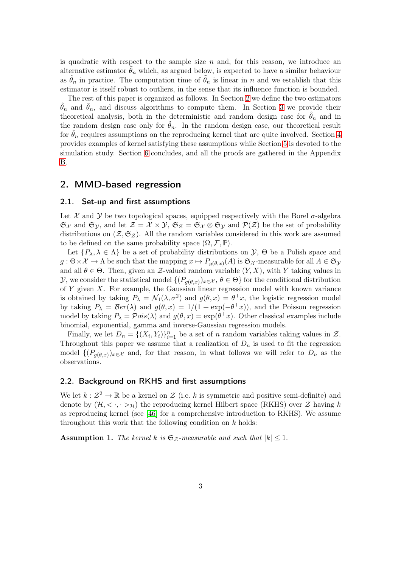is quadratic with respect to the sample size  $n$  and, for this reason, we introduce an alternative estimator  $\tilde{\theta}_n$  which, as argued below, is expected to have a similar behaviour as  $\hat{\theta}_n$  in practice. The computation time of  $\hat{\theta}_n$  is linear in n and we establish that this estimator is itself robust to outliers, in the sense that its influence function is bounded.

The rest of this paper is organized as follows. In Section [2](#page-2-0) we define the two estimators  $\hat{\theta}_n$  and  $\hat{\theta}_n$ , and discuss algorithms to compute them. In Section [3](#page-5-0) we provide their theoretical analysis, both in the deterministic and random design case for  $\hat{\theta}_n$  and in the random design case only for  $\hat{\theta}_n$ . In the random design case, our theoretical result for  $\theta_n$  requires assumptions on the reproducing kernel that are quite involved. Section [4](#page-11-0) provides examples of kernel satisfying these assumptions while Section [5](#page-13-0) is devoted to the simulation study. Section [6](#page-18-4) concludes, and all the proofs are gathered in the Appendix [B.](#page-24-0)

## <span id="page-2-0"></span>2. MMD-based regression

### 2.1. Set-up and first assumptions

Let  $\mathcal X$  and  $\mathcal Y$  be two topological spaces, equipped respectively with the Borel  $\sigma$ -algebra  $\mathfrak{S}_{\mathcal{X}}$  and  $\mathfrak{S}_{\mathcal{Y}}$ , and let  $\mathcal{Z} = \mathcal{X} \times \mathcal{Y}$ ,  $\mathfrak{S}_{\mathcal{Z}} = \mathfrak{S}_{\mathcal{X}} \otimes \mathfrak{S}_{\mathcal{Y}}$  and  $\mathcal{P}(\mathcal{Z})$  be the set of probability distributions on  $(\mathcal{Z}, \mathfrak{S}_{\mathcal{Z}})$ . All the random variables considered in this work are assumed to be defined on the same probability space  $(\Omega, \mathcal{F}, \mathbb{P})$ .

Let  $\{P_\lambda, \lambda \in \Lambda\}$  be a set of probability distributions on  $\mathcal{Y}, \Theta$  be a Polish space and  $g: \Theta \times \mathcal{X} \to \Lambda$  be such that the mapping  $x \mapsto P_{g(\theta,x)}(A)$  is  $\mathfrak{S}_{\mathcal{X}}$ -measurable for all  $A \in \mathfrak{S}_{\mathcal{Y}}$ and all  $\theta \in \Theta$ . Then, given an Z-valued random variable  $(Y, X)$ , with Y taking values in  $\mathcal{Y},$  we consider the statistical model  $\{(P_{g(\theta,x)})_{x\in\mathcal{X}}, \theta\in\Theta\}$  for the conditional distribution of  $Y$  given  $X$ . For example, the Gaussian linear regression model with known variance is obtained by taking  $P_{\lambda} = \mathcal{N}_1(\lambda, \sigma^2)$  and  $g(\theta, x) = \theta \mathcal{X}_1$ , the logistic regression model by taking  $P_{\lambda} = \mathcal{B}er(\lambda)$  and  $g(\theta, x) = 1/(1 + \exp(-\theta^{\top}x))$ , and the Poisson regression model by taking  $P_{\lambda} = \mathcal{P}ois(\lambda)$  and  $g(\theta, x) = \exp(\theta^{\top}x)$ . Other classical examples include binomial, exponential, gamma and inverse-Gaussian regression models.

Finally, we let  $D_n = \{(X_i, Y_i)\}_{i=1}^n$  be a set of n random variables taking values in Z. Throughout this paper we assume that a realization of  $D_n$  is used to fit the regression model  $\{(P_{g(\theta,x)})_{x\in\mathcal{X}}\}$  and, for that reason, in what follows we will refer to  $D_n$  as the observations.

### 2.2. Background on RKHS and first assumptions

We let  $k: \mathcal{Z}^2 \to \mathbb{R}$  be a kernel on  $\mathcal Z$  (i.e. k is symmetric and positive semi-definite) and denote by  $(\mathcal{H}, \langle \cdot, \cdot \rangle_{\mathcal{H}})$  the reproducing kernel Hilbert space (RKHS) over  $\mathcal{Z}$  having k as reproducing kernel (see [\[46\]](#page-21-8) for a comprehensive introduction to RKHS). We assume throughout this work that the following condition on  $k$  holds:

<span id="page-2-1"></span>**Assumption 1.** The kernel k is  $\mathfrak{S}_{\mathcal{Z}}$ -measurable and such that  $|k| \leq 1$ .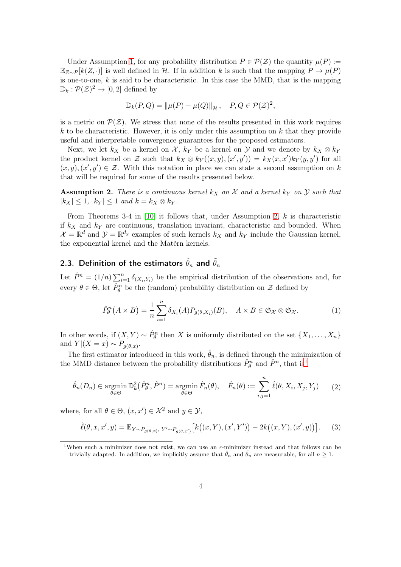Under Assumption [1,](#page-2-1) for any probability distribution  $P \in \mathcal{P}(\mathcal{Z})$  the quantity  $\mu(P) :=$  $\mathbb{E}_{Z\sim P}[k(Z,\cdot)]$  is well defined in H. If in addition k is such that the mapping  $P \mapsto \mu(P)$ is one-to-one,  $k$  is said to be characteristic. In this case the MMD, that is the mapping  $\mathbb{D}_k : \mathcal{P}(\mathcal{Z})^2 \to [0,2]$  defined by

$$
\mathbb{D}_k(P,Q) = \|\mu(P) - \mu(Q)\|_{\mathcal{H}}, \quad P, Q \in \mathcal{P}(\mathcal{Z})^2,
$$

is a metric on  $\mathcal{P}(\mathcal{Z})$ . We stress that none of the results presented in this work requires k to be characteristic. However, it is only under this assumption on  $k$  that they provide useful and interpretable convergence guarantees for the proposed estimators.

Next, we let  $k_X$  be a kernel on X,  $k_Y$  be a kernel on Y and we denote by  $k_X \otimes k_Y$ the product kernel on Z such that  $k_X \otimes k_Y((x, y), (x', y')) = k_X(x, x')k_Y(y, y')$  for all  $(x, y), (x', y') \in \mathcal{Z}$ . With this notation in place we can state a second assumption on k that will be required for some of the results presented below.

<span id="page-3-0"></span>**Assumption 2.** There is a continuous kernel  $k_X$  on X and a kernel  $k_Y$  on Y such that  $|k_X| \leq 1$ ,  $|k_Y| \leq 1$  and  $k = k_X \otimes k_Y$ .

From Theorems 3-4 in  $[10]$  it follows that, under Assumption [2,](#page-3-0) k is characteristic if  $k_X$  and  $k_Y$  are continuous, translation invariant, characteristic and bounded. When  $\mathcal{X} = \mathbb{R}^d$  and  $\mathcal{Y} = \mathbb{R}^{d_y}$  examples of such kernels  $k_X$  and  $k_Y$  include the Gaussian kernel, the exponential kernel and the Matérn kernels.

# 2.3. Definition of the estimators  $\hat{\theta}_n$  and  $\tilde{\theta}_n$

Let  $\hat{P}^n = (1/n) \sum_{i=1}^n \delta_{(X_i, Y_i)}$  be the empirical distribution of the observations and, for every  $\theta \in \Theta$ , let  $\hat{P}_{\theta}^{n}$  be the (random) probability distribution on  $\mathcal{Z}$  defined by

$$
\hat{P}_{\theta}^{n}(A \times B) = \frac{1}{n} \sum_{i=1}^{n} \delta_{X_i}(A) P_{g(\theta, X_i)}(B), \quad A \times B \in \mathfrak{S}_{\mathcal{X}} \otimes \mathfrak{S}_{\mathcal{X}}.
$$
 (1)

In other words, if  $(X, Y) \sim \hat{P}_{\theta}^n$  then X is uniformly distributed on the set  $\{X_1, \ldots, X_n\}$ and  $Y|(X=x) \sim P_{g(\theta,x)}$ .

The first estimator introduced in this work,  $\hat{\theta}_n$ , is defined through the minimization of the MMD distance between the probability distributions  $\hat{P}_{\theta}^{n}$  and  $\hat{P}^{n}$ , that is<sup>[1](#page-3-1)</sup>

<span id="page-3-3"></span>
$$
\hat{\theta}_n(D_n) \in \operatorname*{argmin}_{\theta \in \Theta} \mathbb{D}_k^2(\hat{P}_{\theta}^n, \hat{P}^n) = \operatorname*{argmin}_{\theta \in \Theta} \hat{F}_n(\theta), \quad \hat{F}_n(\theta) := \sum_{i,j=1}^n \hat{\ell}(\theta, X_i, X_j, Y_j) \tag{2}
$$

where, for all  $\theta \in \Theta$ ,  $(x, x') \in \mathcal{X}^2$  and  $y \in \mathcal{Y}$ ,

<span id="page-3-2"></span>
$$
\hat{\ell}(\theta, x, x', y) = \mathbb{E}_{Y \sim P_{g(\theta, x)}}, Y' \sim P_{g(\theta, x')} \left[ k((x, Y), (x', Y')) - 2k((x, Y), (x', y)) \right]. \tag{3}
$$

<span id="page-3-1"></span><sup>&</sup>lt;sup>1</sup>When such a minimizer does not exist, we can use an  $\epsilon$ -minimizer instead and that follows can be trivially adapted. In addition, we implicitly assume that  $\hat{\theta}_n$  and  $\tilde{\theta}_n$  are measurable, for all  $n \geq 1$ .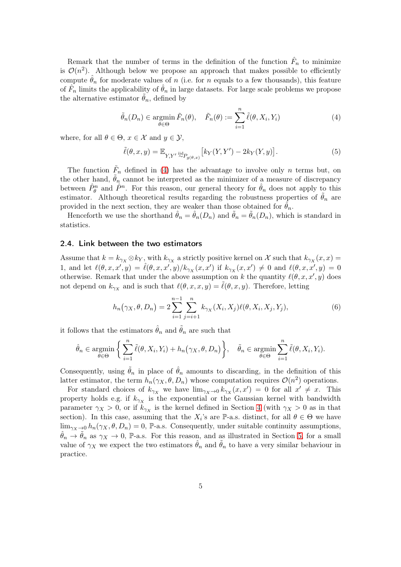Remark that the number of terms in the definition of the function  $\hat{F}_n$  to minimize is  $\mathcal{O}(n^2)$ . Although below we propose an approach that makes possible to efficiently compute  $\hat{\theta}_n$  for moderate values of n (i.e. for n equals to a few thousands), this feature of  $\hat{F}_n$  limits the applicability of  $\hat{\theta}_n$  in large datasets. For large scale problems we propose the alternative estimator  $\theta_n$ , defined by

<span id="page-4-0"></span>
$$
\tilde{\theta}_n(D_n) \in \operatorname*{argmin}_{\theta \in \Theta} \tilde{F}_n(\theta), \quad \tilde{F}_n(\theta) := \sum_{i=1}^n \tilde{\ell}(\theta, X_i, Y_i)
$$
\n(4)

where, for all  $\theta \in \Theta$ ,  $x \in \mathcal{X}$  and  $y \in \mathcal{Y}$ ,

<span id="page-4-1"></span>
$$
\tilde{\ell}(\theta, x, y) = \mathbb{E}_{Y, Y' \stackrel{\text{iid}}{\sim} P_{g(\theta, x)}} \left[ k_Y(Y, Y') - 2k_Y(Y, y) \right]. \tag{5}
$$

The function  $\tilde{F}_n$  defined in [\(4\)](#page-4-0) has the advantage to involve only n terms but, on the other hand,  $\theta_n$  cannot be interpreted as the minimizer of a measure of discrepancy between  $\hat{P}_{\theta}^{n}$  and  $\hat{P}^{n}$ . For this reason, our general theory for  $\hat{\theta}_{n}$  does not apply to this estimator. Although theoretical results regarding the robustness properties of  $\theta_n$  are provided in the next section, they are weaker than those obtained for  $\hat{\theta}_n$ .

Henceforth we use the shorthand  $\hat{\theta}_n = \hat{\theta}_n(D_n)$  and  $\hat{\theta}_n = \theta_n(D_n)$ , which is standard in statistics.

### <span id="page-4-2"></span>2.4. Link between the two estimators

Assume that  $k = k_{\gamma_X} \otimes k_Y$ , with  $k_{\gamma_X}$  a strictly positive kernel on X such that  $k_{\gamma_X}(x, x) =$ 1, and let  $\ell(\theta, x, x', y) = \hat{\ell}(\theta, x, x', y)/k_{\gamma_X}(x, x')$  if  $k_{\gamma_X}(x, x') \neq 0$  and  $\ell(\theta, x, x', y) = 0$ otherwise. Remark that under the above assumption on k the quantity  $\ell(\theta, x, x', y)$  does not depend on  $k_{\gamma_X}$  and is such that  $\ell(\theta, x, x, y) = \tilde{\ell}(\theta, x, y)$ . Therefore, letting

<span id="page-4-3"></span>
$$
h_n(\gamma_X, \theta, D_n) = 2 \sum_{i=1}^{n-1} \sum_{j=i+1}^n k_{\gamma_X}(X_i, X_j) \ell(\theta, X_i, X_j, Y_j), \tag{6}
$$

it follows that the estimators  $\hat{\theta}_n$  and  $\tilde{\theta}_n$  are such that

$$
\hat{\theta}_n \in \underset{\theta \in \Theta}{\text{argmin}} \left\{ \sum_{i=1}^n \tilde{\ell}(\theta, X_i, Y_i) + h_n(\gamma_X, \theta, D_n) \right\}, \quad \tilde{\theta}_n \in \underset{\theta \in \Theta}{\text{argmin}} \sum_{i=1}^n \tilde{\ell}(\theta, X_i, Y_i).
$$

Consequently, using  $\hat{\theta}_n$  in place of  $\hat{\theta}_n$  amounts to discarding, in the definition of this latter estimator, the term  $h_n(\gamma_X, \theta, D_n)$  whose computation requires  $\mathcal{O}(n^2)$  operations.

For standard choices of  $k_{\gamma_X}$  we have  $\lim_{\gamma_X \to 0} k_{\gamma_X}(x, x') = 0$  for all  $x' \neq x$ . This property holds e.g. if  $k_{\gamma_X}$  is the exponential or the Gaussian kernel with bandwidth parameter  $\gamma_X > 0$ , or if  $k_{\gamma_X}$  is the kernel defined in Section [4](#page-11-0) (with  $\gamma_X > 0$  as in that section). In this case, assuming that the  $X_i$ 's are P-a.s. distinct, for all  $\theta \in \Theta$  we have  $\lim_{\gamma_X \to 0} h_n(\gamma_X, \theta, D_n) = 0$ , P-a.s. Consequently, under suitable continuity assumptions,  $\ddot{\theta}_n \to \theta_n$  as  $\gamma_X \to 0$ , P-a.s. For this reason, and as illustrated in Section [5,](#page-13-0) for a small value of  $\gamma_X$  we expect the two estimators  $\hat{\theta}_n$  and  $\tilde{\theta}_n$  to have a very similar behaviour in practice.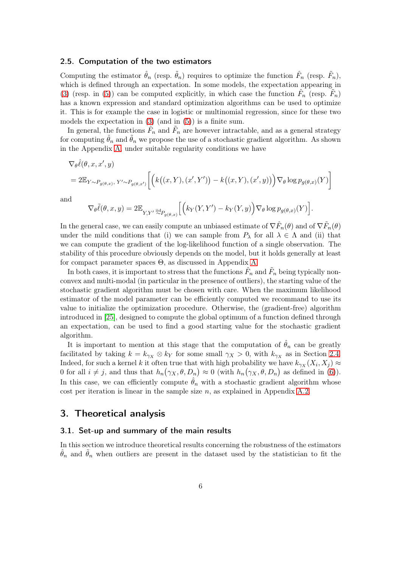### <span id="page-5-1"></span>2.5. Computation of the two estimators

Computing the estimator  $\hat{\theta}_n$  (resp.  $\tilde{\theta}_n$ ) requires to optimize the function  $\hat{F}_n$  (resp.  $\tilde{F}_n$ ), which is defined through an expectation. In some models, the expectation appearing in [\(3\)](#page-3-2) (resp. in [\(5\)](#page-4-1)) can be computed explicitly, in which case the function  $\hat{F}_n$  (resp.  $\tilde{F}_n$ ) has a known expression and standard optimization algorithms can be used to optimize it. This is for example the case in logistic or multinomial regression, since for these two models the expectation in [\(3\)](#page-3-2) (and in [\(5\)](#page-4-1)) is a finite sum.

In general, the functions  $\hat{F}_n$  and  $\tilde{F}_n$  are however intractable, and as a general strategy for computing  $\theta_n$  and  $\theta_n$  we propose the use of a stochastic gradient algorithm. As shown in the Appendix [A,](#page-21-9) under suitable regularity conditions we have

$$
\nabla_{\theta}\hat{\ell}(\theta, x, x', y)
$$
  
= 2\mathbb{E}\_{Y \sim P\_{g(\theta, x)}}, Y' \sim P\_{g(\theta, x')} \left[ \left( k((x, Y), (x', Y')) - k((x, Y), (x', y)) \right) \nabla\_{\theta} \log p\_{g(\theta, x)}(Y) \right]

and

$$
\nabla_{\theta}\tilde{\ell}(\theta,x,y)=2\mathbb{E}_{Y,Y'}\sup_{\sim P_{g(\theta,x)}}\Big[\Big(k_Y(Y,Y')-k_Y(Y,y)\Big)\nabla_{\theta}\log p_{g(\theta,x)}(Y)\Big].
$$

In the general case, we can easily compute an unbiased estimate of  $\nabla \hat{F}_n(\theta)$  and of  $\nabla \tilde{F}_n(\theta)$ under the mild conditions that (i) we can sample from  $P_\lambda$  for all  $\lambda \in \Lambda$  and (ii) that we can compute the gradient of the log-likelihood function of a single observation. The stability of this procedure obviously depends on the model, but it holds generally at least for compact parameter spaces Θ, as discussed in Appendix [A](#page-21-9)

In both cases, it is important to stress that the functions  $\hat{F}_n$  and  $\tilde{F}_n$  being typically nonconvex and multi-modal (in particular in the presence of outliers), the starting value of the stochastic gradient algorithm must be chosen with care. When the maximum likelihood estimator of the model parameter can be efficiently computed we recommand to use its value to initialize the optimization procedure. Otherwise, the (gradient-free) algorithm introduced in [\[25\]](#page-20-13), designed to compute the global optimum of a function defined through an expectation, can be used to find a good starting value for the stochastic gradient algorithm.

It is important to mention at this stage that the computation of  $\hat{\theta}_n$  can be greatly facilitated by taking  $k = k_{\gamma_X} \otimes k_Y$  for some small  $\gamma_X > 0$ , with  $k_{\gamma_X}$  as in Section [2.4.](#page-4-2) Indeed, for such a kernel k it often true that with high probability we have  $k_{\gamma X}(X_i, X_j) \approx$ 0 for all  $i \neq j$ , and thus that  $h_n(\gamma_X, \theta, D_n) \approx 0$  (with  $h_n(\gamma_X, \theta, D_n)$  as defined in [\(6\)](#page-4-3)). In this case, we can efficiently compute  $\hat{\theta}_n$  with a stochastic gradient algorithm whose cost per iteration is linear in the sample size  $n$ , as explained in Appendix [A.2.](#page-23-0)

## <span id="page-5-0"></span>3. Theoretical analysis

### 3.1. Set-up and summary of the main results

In this section we introduce theoretical results concerning the robustness of the estimators  $\hat{\theta}_n$  and  $\hat{\theta}_n$  when outliers are present in the dataset used by the statistician to fit the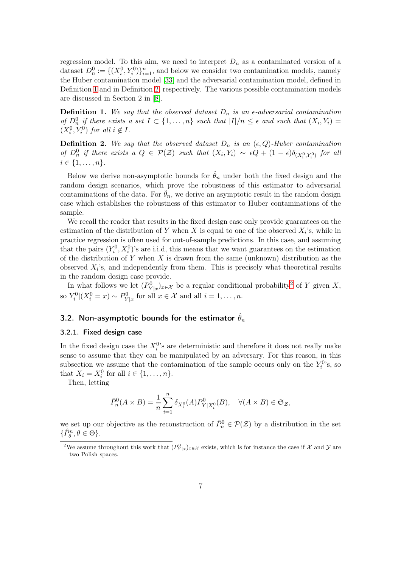regression model. To this aim, we need to interpret  $D_n$  as a contaminated version of a dataset  $D_n^0 := \{(X_i^0, Y_i^0)\}_{i=1}^n$ , and below we consider two contamination models, namely the Huber contamination model [\[33\]](#page-20-4) and the adversarial contamination model, defined in Definition [1](#page-6-0) and in Definition [2,](#page-6-1) respectively. The various possible contamination models are discussed in Section 2 in [\[8\]](#page-19-14).

<span id="page-6-0"></span>**Definition 1.** We say that the observed dataset  $D_n$  is an  $\epsilon$ -adversarial contamination of  $D_n^0$  if there exists a set  $I \subset \{1,\ldots,n\}$  such that  $|I|/n \leq \epsilon$  and such that  $(X_i,Y_i)$  $(X_i^0, Y_i^0)$  for all  $i \notin I$ .

<span id="page-6-1"></span>**Definition 2.** We say that the observed dataset  $D_n$  is an  $(\epsilon, Q)$ -Huber contamination of  $D_n^0$  if there exists a  $Q \in \mathcal{P}(\mathcal{Z})$  such that  $(X_i, Y_i) \sim \epsilon Q + (1 - \epsilon) \delta_{(X_i^0, Y_i^0)}$  for all  $i \in \{1, \ldots, n\}.$ 

Below we derive non-asymptotic bounds for  $\hat{\theta}_n$  under both the fixed design and the random design scenarios, which prove the robustness of this estimator to adversarial contaminations of the data. For  $\theta_n$ , we derive an asymptotic result in the random design case which establishes the robustness of this estimator to Huber contaminations of the sample.

We recall the reader that results in the fixed design case only provide guarantees on the estimation of the distribution of Y when X is equal to one of the observed  $X_i$ 's, while in practice regression is often used for out-of-sample predictions. In this case, and assuming that the pairs  $(Y_i^0, X_i^0)$ 's are i.i.d, this means that we want guarantees on the estimation of the distribution of Y when  $X$  is drawn from the same (unknown) distribution as the observed  $X_i$ 's, and independently from them. This is precisely what theoretical results in the random design case provide.

In what follows we let  $(P_{Y|x}^0)_{x\in\mathcal{X}}$  be a regular conditional probability<sup>[2](#page-6-2)</sup> of Y given X, so  $Y_i^0|(X_i^0=x) \sim P_{Y|x}^0$  for all  $x \in \mathcal{X}$  and all  $i=1,\ldots,n$ .

### 3.2. Non-asymptotic bounds for the estimator  $\hat{\theta}_n$

### 3.2.1. Fixed design case

In the fixed design case the  $X_i^0$ 's are deterministic and therefore it does not really make sense to assume that they can be manipulated by an adversary. For this reason, in this subsection we assume that the contamination of the sample occurs only on the  $Y_i^{0}$ 's, so that  $X_i = X_i^0$  for all  $i \in \{1, \ldots, n\}$ .

Then, letting

$$
\bar{P}_n^0(A\times B)=\frac{1}{n}\sum_{i=1}^n\delta_{X_i^0}(A)P_{Y|X_i^0}^0(B),\quad \forall (A\times B)\in\mathfrak{S}_\mathcal{Z},
$$

we set up our objective as the reconstruction of  $\bar{P}_n^0 \in \mathcal{P}(\mathcal{Z})$  by a distribution in the set  $\{\hat{P}_{\theta}^n, \theta \in \Theta\}.$ 

<span id="page-6-2"></span><sup>&</sup>lt;sup>2</sup>We assume throughout this work that  $(P_{Y|x}^0)_{x\in\mathcal{X}}$  exists, which is for instance the case if X and Y are two Polish spaces.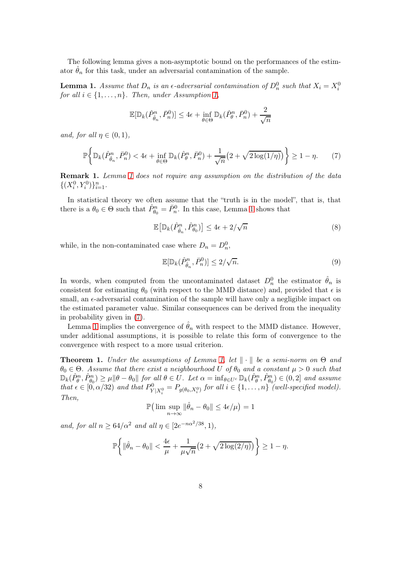The following lemma gives a non-asymptotic bound on the performances of the estimator  $\hat{\theta}_n$  for this task, under an adversarial contamination of the sample.

<span id="page-7-0"></span>**Lemma 1.** Assume that  $D_n$  is an  $\epsilon$ -adversarial contamination of  $D_n^0$  such that  $X_i = X_i^0$ for all  $i \in \{1, \ldots, n\}$ . Then, under Assumption [1,](#page-2-1)

$$
\mathbb{E}[\mathbb{D}_k(\hat{P}_{\hat{\theta}_n}^n, \bar{P}_n^0)] \le 4\epsilon + \inf_{\theta \in \Theta} \mathbb{D}_k(\hat{P}_{\theta}^n, \bar{P}_n^0) + \frac{2}{\sqrt{n}}
$$

and, for all  $\eta \in (0,1)$ ,

$$
\mathbb{P}\bigg\{\mathbb{D}_k(\hat{P}_{\hat{\theta}_n}^n,\bar{P}_n^0) < 4\epsilon + \inf_{\theta \in \Theta} \mathbb{D}_k(\hat{P}_{\theta}^n,\bar{P}_n^0) + \frac{1}{\sqrt{n}} \big(2 + \sqrt{2\log(1/\eta)}\big) \bigg\} \ge 1 - \eta. \tag{7}
$$

**Remark [1](#page-7-0).** Lemma 1 does not require any assumption on the distribution of the data  $\{(X_i^0, Y_i^0)\}_{i=1}^n$ .

In statistical theory we often assume that the "truth is in the model", that is, that there is a  $\theta_0 \in \Theta$  such that  $\hat{P}_{\theta_0}^n = \bar{P}_n^0$ . In this case, Lemma [1](#page-7-0) shows that

<span id="page-7-1"></span>
$$
\mathbb{E}\big[\mathbb{D}_k(\hat{P}_{\hat{\theta}_n}^n, \hat{P}_{\theta_0}^n)\big] \le 4\epsilon + 2/\sqrt{n} \tag{8}
$$

while, in the non-contaminated case where  $D_n = D_n^0$ ,

<span id="page-7-3"></span><span id="page-7-2"></span>
$$
\mathbb{E}[\mathbb{D}_k(\hat{P}_{\hat{\theta}_n}^n, \bar{P}_n^0)] \le 2/\sqrt{n}.\tag{9}
$$

In words, when computed from the uncontaminated dataset  $D_n^0$  the estimator  $\hat{\theta}_n$  is consistent for estimating  $\theta_0$  (with respect to the MMD distance) and, provided that  $\epsilon$  is small, an  $\epsilon$ -adversarial contamination of the sample will have only a negligible impact on the estimated parameter value. Similar consequences can be derived from the inequality in probability given in [\(7\)](#page-7-1).

Lemma [1](#page-7-0) implies the convergence of  $\hat{\theta}_n$  with respect to the MMD distance. However, under additional assumptions, it is possible to relate this form of convergence to the convergence with respect to a more usual criterion.

<span id="page-7-4"></span>**Theorem 1.** Under the assumptions of Lemma [1,](#page-7-0) let  $\|\cdot\|$  be a semi-norm on  $\Theta$  and  $\theta_0 \in \Theta$ . Assume that there exist a neighbourhood U of  $\theta_0$  and a constant  $\mu > 0$  such that  $\mathbb{D}_{k}(\hat{P}_{\theta}^{n},\hat{P}_{\theta_{0}}^{n}) \geq \mu \|\theta - \theta_{0}\|$  for all  $\theta \in U$ . Let  $\alpha = \inf_{\theta \in U^{c}} \mathbb{D}_{k}(\hat{P}_{\theta}^{n},\hat{P}_{\theta_{0}}^{n}) \in (0,2]$  and assume that  $\epsilon \in [0, \alpha/32)$  and that  $P^0_{Y|X_i^0} = P_{g(\theta_0, X_i^0)}$  for all  $i \in \{1, ..., n\}$  (well-specified model). Then,

 $\mathbb{P}\left(\lim \sup_{n \to \infty} \|\hat{\theta}_n - \theta_0\| \le 4\epsilon/\mu\right) = 1$ 

and, for all  $n \geq 64/\alpha^2$  and all  $\eta \in [2e^{-n\alpha^2/38}, 1)$ ,

$$
\mathbb{P}\bigg\{\|\hat{\theta}_n - \theta_0\| < \frac{4\epsilon}{\mu} + \frac{1}{\mu\sqrt{n}}\big(2 + \sqrt{2\log(2/\eta)}\big)\bigg\} \ge 1 - \eta.
$$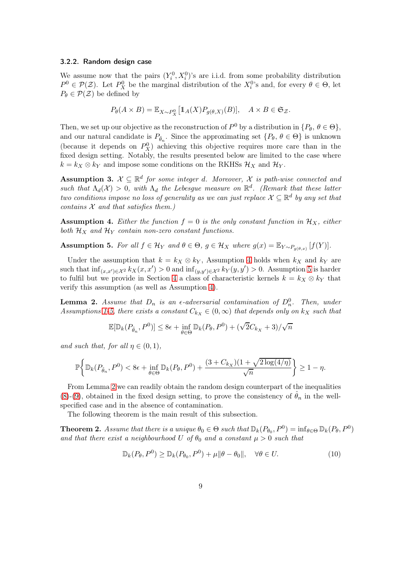### <span id="page-8-5"></span>3.2.2. Random design case

We assume now that the pairs  $(Y_i^0, X_i^0)$ 's are i.i.d. from some probability distribution  $P^0 \in \mathcal{P}(\mathcal{Z})$ . Let  $P_X^0$  be the marginal distribution of the  $X_i^0$ 's and, for every  $\theta \in \Theta$ , let  $P_{\theta} \in \mathcal{P}(\mathcal{Z})$  be defined by

$$
P_{\theta}(A \times B) = \mathbb{E}_{X \sim P_X^0} \left[ \mathbb{1}_A(X) P_{g(\theta, X)}(B) \right], \quad A \times B \in \mathfrak{S}_{\mathcal{Z}}.
$$

Then, we set up our objective as the reconstruction of  $P^0$  by a distribution in  $\{P_\theta, \theta \in \Theta\},\$ and our natural candidate is  $P_{\hat{\theta}_n}$ . Since the approximating set  $\{P_{\theta}, \theta \in \Theta\}$  is unknown (because it depends on  $P_X^0$ ) achieving this objective requires more care than in the fixed design setting. Notably, the results presented below are limited to the case where  $k = k_X \otimes k_Y$  and impose some conditions on the RKHSs  $\mathcal{H}_X$  and  $\mathcal{H}_Y$ .

<span id="page-8-6"></span>**Assumption 3.**  $\mathcal{X} \subseteq \mathbb{R}^d$  for some integer d. Moreover,  $\mathcal{X}$  is path-wise connected and such that  $\Lambda_d(\mathcal{X}) > 0$ , with  $\Lambda_d$  the Lebesgue measure on  $\mathbb{R}^d$ . (Remark that these latter two conditions impose no loss of generality as we can just replace  $\mathcal{X} \subseteq \mathbb{R}^d$  by any set that contains  $X$  and that satisfies them.)

<span id="page-8-0"></span>**Assumption 4.** Either the function  $f = 0$  is the only constant function in  $\mathcal{H}_X$ , either both  $\mathcal{H}_X$  and  $\mathcal{H}_Y$  contain non-zero constant functions.

<span id="page-8-1"></span>**Assumption 5.** For all  $f \in \mathcal{H}_Y$  and  $\theta \in \Theta$ ,  $g \in \mathcal{H}_X$  where  $g(x) = \mathbb{E}_{Y \sim P_{g(\theta,x)}}[f(Y)]$ .

Under the assumption that  $k = k_X \otimes k_Y$ , Assumption [4](#page-8-0) holds when  $k_X$  and  $k_Y$  are such that  $\inf_{(x,x')\in\mathcal{X}^2} k_X(x,x') > 0$  and  $\inf_{(y,y')\in\mathcal{X}^2} k_Y(y,y') > 0$ . Assumption [5](#page-8-1) is harder to fulfil but we provide in Section [4](#page-11-0) a class of characteristic kernels  $k = k_X \otimes k_Y$  that verify this assumption (as well as Assumption [4\)](#page-8-0).

<span id="page-8-2"></span>**Lemma 2.** Assume that  $D_n$  is an  $\epsilon$ -adversarial contamination of  $D_n^0$ . Then, under Assumptions [1](#page-2-1)[-5,](#page-8-1) there exists a constant  $C_{kx} \in (0,\infty)$  that depends only on  $kx$  such that

$$
\mathbb{E}[\mathbb{D}_k(P_{\hat{\theta}_n}, P^0)] \le 8\epsilon + \inf_{\theta \in \Theta} \mathbb{D}_k(P_{\theta}, P^0) + (\sqrt{2}C_{k_X} + 3)/\sqrt{n}
$$

and such that, for all  $\eta \in (0,1)$ ,

$$
\mathbb{P}\bigg\{\mathbb{D}_k(P_{\hat{\theta}_n}, P^0) < 8\epsilon + \inf_{\theta \in \Theta} \mathbb{D}_k(P_{\theta}, P^0) + \frac{(3 + C_{k_X})(1 + \sqrt{2\log(4/\eta)}}{\sqrt{n}}\bigg\} \ge 1 - \eta.
$$

From Lemma [2](#page-8-2) we can readily obtain the random design counterpart of the inequalities [\(8\)](#page-7-2)-[\(9\)](#page-7-3), obtained in the fixed design setting, to prove the consistency of  $\hat{\theta}_n$  in the wellspecified case and in the absence of contamination.

The following theorem is the main result of this subsection.

<span id="page-8-3"></span>**Theorem 2.** Assume that there is a unique  $\theta_0 \in \Theta$  such that  $\mathbb{D}_k(P_{\theta_0}, P^0) = \inf_{\theta \in \Theta} \mathbb{D}_k(P_{\theta}, P^0)$ and that there exist a neighbourhood U of  $\theta_0$  and a constant  $\mu > 0$  such that

<span id="page-8-4"></span>
$$
\mathbb{D}_k(P_\theta, P^0) \ge \mathbb{D}_k(P_{\theta_0}, P^0) + \mu \|\theta - \theta_0\|, \quad \forall \theta \in U. \tag{10}
$$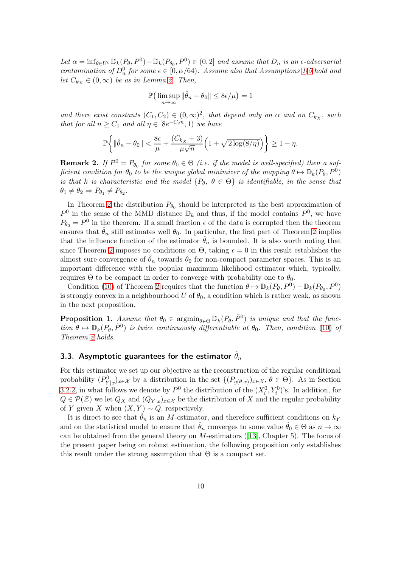Let  $\alpha = \inf_{\theta \in U^c} \mathbb{D}_k(P_\theta, P^0) - \mathbb{D}_k(P_{\theta_0}, P^0) \in (0, 2]$  and assume that  $D_n$  is an  $\epsilon$ -adversarial contamination of  $D_n^0$  for some  $\epsilon \in [0, \alpha/64)$ . Assume also that Assumptions [1](#page-2-1)[-5](#page-8-1) hold and let  $C_{k_X} \in (0,\infty)$  be as in Lemma [2.](#page-8-2) Then,

$$
\mathbb{P}\big(\limsup_{n\to\infty}\|\hat{\theta}_n-\theta_0\|\leq 8\epsilon/\mu\big)=1
$$

and there exist constants  $(C_1, C_2) \in (0, \infty)^2$ , that depend only on  $\alpha$  and on  $C_{k_X}$ , such that for all  $n \geq C_1$  and all  $\eta \in [8e^{-C_2 n}, 1)$  we have

$$
\mathbb{P}\bigg\{\|\hat{\theta}_n - \theta_0\| < \frac{8\epsilon}{\mu} + \frac{(C_{k_X} + 3)}{\mu\sqrt{n}} \Big(1 + \sqrt{2\log(8/\eta)}\Big)\bigg\} \ge 1 - \eta.
$$

**Remark 2.** If  $P^0 = P_{\theta_0}$  for some  $\theta_0 \in \Theta$  (i.e. if the model is well-specified) then a sufficient condition for  $\theta_0$  to be the unique global minimizer of the mapping  $\theta \mapsto \mathbb{D}_k(P_\theta, P^0)$ is that k is characteristic and the model  $\{P_\theta, \theta \in \Theta\}$  is identifiable, in the sense that  $\theta_1 \neq \theta_2 \Rightarrow P_{\theta_1} \neq P_{\theta_2}$ .

In Theorem [2](#page-8-3) the distribution  $P_{\theta_0}$  should be interpreted as the best approximation of  $P^0$  in the sense of the MMD distance  $\mathbb{D}_k$  and thus, if the model contains  $P^0$ , we have  $P_{\theta_0} = P^0$  in the theorem. If a small fraction  $\epsilon$  of the data is corrupted then the theorem ensures that  $\hat{\theta}_n$  still estimates well  $\theta_0$ . In particular, the first part of Theorem [2](#page-8-3) implies that the influence function of the estimator  $\hat{\theta}_n$  is bounded. It is also worth noting that since Theorem [2](#page-8-3) imposes no conditions on  $\Theta$ , taking  $\epsilon = 0$  in this result establishes the almost sure convergence of  $\hat{\theta}_n$  towards  $\theta_0$  for non-compact parameter spaces. This is an important difference with the popular maximum likelihood estimator which, typically, requires  $\Theta$  to be compact in order to converge with probability one to  $\theta_0$ .

Condition [\(10\)](#page-8-4) of Theorem [2](#page-8-3) requires that the function  $\theta \mapsto \mathbb{D}_k(P_\theta, P^0) - \mathbb{D}_k(P_{\theta_0}, P^0)$ is strongly convex in a neighbourhood U of  $\theta_0$ , a condition which is rather weak, as shown in the next proposition.

<span id="page-9-0"></span>**Proposition 1.** Assume that  $\theta_0 \in \operatorname{argmin}_{\theta \in \Theta} \mathbb{D}_k(P_\theta, \tilde{P}^0)$  is unique and that the function  $\theta \mapsto \mathbb{D}_k(P_\theta, \tilde{P}^0)$  is twice continuously differentiable at  $\theta_0$ . Then, condition [\(10\)](#page-8-4) of Theorem [2](#page-8-3) holds.

### 3.3. Asymptotic guarantees for the estimator  $\theta_n$

For this estimator we set up our objective as the reconstruction of the regular conditional probability  $(P^0_{Y|x})_{x\in\mathcal{X}}$  by a distribution in the set  $\{(P_{g(\theta,x)})_{x\in\mathcal{X}}, \theta\in\Theta\}$ . As in Section [3.2.2,](#page-8-5) in what follows we denote by  $P^0$  the distribution of the  $(X_i^0, Y_i^0)$ 's. In addition, for  $Q \in \mathcal{P}(\mathcal{Z})$  we let  $Q_X$  and  $(Q_{Y|x})_{x \in \mathcal{X}}$  be the distribution of X and the regular probability of Y given X when  $(X, Y) \sim Q$ , respectively.

It is direct to see that  $\theta_n$  is an M-estimator, and therefore sufficient conditions on  $k_Y$ and on the statistical model to ensure that  $\tilde{\theta}_n$  converges to some value  $\tilde{\theta}_0 \in \Theta$  as  $n \to \infty$ can be obtained from the general theory on M-estimators ([\[13\]](#page-46-0), Chapter 5). The focus of the present paper being on robust estimation, the following proposition only establishes this result under the strong assumption that  $\Theta$  is a compact set.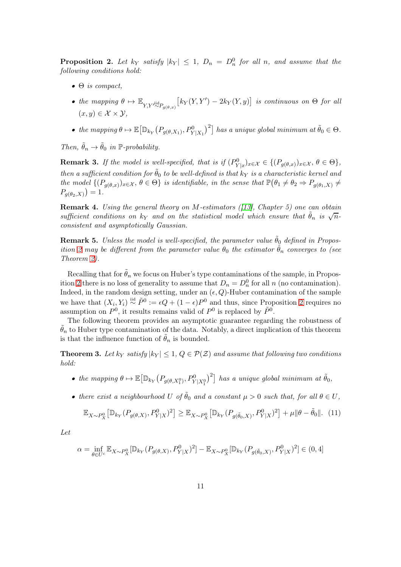<span id="page-10-0"></span>**Proposition 2.** Let  $k_Y$  satisfy  $|k_Y| \leq 1$ ,  $D_n = D_n^0$  for all n, and assume that the following conditions hold:

- $\bullet$   $\Theta$  is compact,
- the mapping  $\theta \mapsto \mathbb{E}_{Y,Y \stackrel{\text{iid}}{\sim} P_{g(\theta,x)}} \big[ k_Y(Y,Y') 2k_Y(Y,y) \big]$  is continuous on  $\Theta$  for all  $(x, y) \in \mathcal{X} \times \mathcal{Y}$ ,
- the mapping  $\theta \mapsto \mathbb{E} \big[ \mathbb{D}_{k_{Y}} (P_{g(\theta, X_{1})}, P_{Y|X_{1}}^{0})^{2} \big]$  has a unique global minimum at  $\tilde{\theta}_{0} \in \Theta$ .

Then,  $\tilde{\theta}_n \to \tilde{\theta}_0$  in P-probability.

**Remark 3.** If the model is well-specified, that is if  $(P^0_{Y|x})_{x \in \mathcal{X}} \in \{(P_{g(\theta,x)})_{x \in \mathcal{X}}, \theta \in \Theta\},\$ then a sufficient condition for  $\tilde{\theta}_0$  to be well-defined is that  $k_Y$  is a characteristic kernel and the model  $\{(P_{g(\theta,x)})_{x\in\mathcal{X}}, \theta \in \Theta\}$  is identifiable, in the sense that  $\mathbb{P}(\theta_1 \neq \theta_2 \Rightarrow P_{g(\theta_1,X)} \neq \emptyset\}$  $P_{g(\theta_2,X)}( ) = 1.$ 

**Remark 4.** Using the general theory on M-estimators ([\[13\]](#page-46-0), Chapter 5) one can obtain sufficient conditions on  $k_Y$  and on the statistical model which ensure that  $\tilde{\theta}_n$  is  $\sqrt{n}$ consistent and asymptotically Gaussian.

**Remark 5.** Unless the model is well-specified, the parameter value  $\tilde{\theta}_0$  defined in Propos-ition [2](#page-10-0) may be different from the parameter value  $\theta_0$  the estimator  $\hat{\theta}_n$  converges to (see Theorem [2\)](#page-8-3).

Recalling that for  $\hat{\theta}_n$  we focus on Huber's type contaminations of the sample, in Propos-ition [2](#page-10-0) there is no loss of generality to assume that  $D_n = D_n^0$  for all n (no contamination). Indeed, in the random design setting, under an  $(\epsilon, Q)$ -Huber contamination of the sample we have that  $(X_i, Y_i) \stackrel{\text{iid}}{\sim} \tilde{P}^0 := \epsilon Q + (1 - \epsilon) P^0$  and thus, since Proposition [2](#page-10-0) requires no assumption on  $P^0$ , it results remains valid of  $P^0$  is replaced by  $\tilde{P}^0$ .

The following theorem provides an asymptotic guarantee regarding the robustness of  $\hat{\theta}_n$  to Huber type contamination of the data. Notably, a direct implication of this theorem is that the influence function of  $\tilde{\theta}_n$  is bounded.

<span id="page-10-2"></span>**Theorem 3.** Let  $k_Y$  satisfy  $|k_Y| \leq 1$ ,  $Q \in \mathcal{P}(\mathcal{Z})$  and assume that following two conditions hold:

- the mapping  $\theta \mapsto \mathbb{E}\big[\mathbb{D}_{k_{Y}}\big(P_{g(\theta,X_1^0)},P_{Y|X_1^0}^0\big)^2\big]$  has a unique global minimum at  $\tilde{\theta}_0$ ,
- there exist a neighbourhood U of  $\tilde{\theta}_0$  and a constant  $\mu > 0$  such that, for all  $\theta \in U$ ,

<span id="page-10-1"></span>
$$
\mathbb{E}_{X \sim P_X^0} \left[ \mathbb{D}_{k_Y} (P_{g(\theta, X)}, P_{Y|X}^0)^2 \right] \geq \mathbb{E}_{X \sim P_X^0} \left[ \mathbb{D}_{k_Y} (P_{g(\tilde{\theta}_0, X)}, P_{Y|X}^0)^2 \right] + \mu \|\theta - \tilde{\theta}_0\|. \tag{11}
$$

Let

$$
\alpha = \inf_{\theta \in U^c} \mathbb{E}_{X \sim P_X^0} [\mathbb{D}_{k_Y}(P_{g(\theta, X)}, P_{Y|X}^0)^2] - \mathbb{E}_{X \sim P_X^0} [\mathbb{D}_{k_Y}(P_{g(\tilde{\theta}_0, X)}, P_{Y|X}^0)^2] \in (0, 4]
$$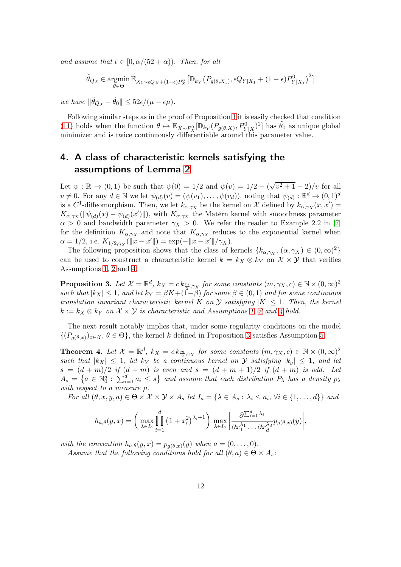and assume that  $\epsilon \in [0, \alpha/(52 + \alpha))$ . Then, for all

$$
\tilde{\theta}_{Q,\epsilon} \in \mathop{\rm argmin}_{\theta \in \Theta} \mathbb{E}_{X_1 \sim \epsilon Q_X + (1-\epsilon)P_X^0} \left[ \mathbb{D}_{k_Y} \left( P_{g(\theta,X_1)}, \epsilon Q_{Y|X_1} + (1-\epsilon)P_{Y|X_1}^0 \right)^2 \right]
$$

we have  $\|\tilde{\theta}_{Q,\epsilon} - \tilde{\theta}_0\| \leq 52\epsilon/(\mu - \epsilon \mu).$ 

Following similar steps as in the proof of Proposition [1](#page-9-0) it is easily checked that condition [\(11\)](#page-10-1) holds when the function  $\theta \mapsto \mathbb{E}_{X \sim P_X^0} [\mathbb{D}_{k_Y}(P_{g(\theta,X)}, P_{Y|X}^0)^2]$  has  $\tilde{\theta}_0$  as unique global minimizer and is twice continuously differentiable around this parameter value.

# <span id="page-11-0"></span>4. A class of characteristic kernels satisfying the assumptions of Lemma [2](#page-8-2)

Let  $\psi : \mathbb{R} \to (0,1)$  be such that  $\psi(0) = 1/2$  and  $\psi(v) = 1/2 + (\sqrt{v^2 + 1} - 2)/v$  for all  $v \neq 0$ . For any  $d \in \mathbb{N}$  we let  $\psi_{(d)}(v) = (\psi(v_1), \dots, \psi(v_d))$ , noting that  $\psi_{(d)} : \mathbb{R}^d \to (0, 1)^d$ is a  $C^1$ -diffeomorphism. Then, we let  $k_{\alpha,\gamma_X}$  be the kernel on X defined by  $k_{\alpha,\gamma_X}(x,x') =$  $K_{\alpha,\gamma_X}(\|\psi_{(d)}(x)-\psi_{(d)}(x')\|),$  with  $K_{\alpha,\gamma_X}$  the Matérn kernel with smoothness parameter  $\alpha > 0$  and bandwidth parameter  $\gamma_X > 0$ . We refer the reader to Example 2.2 in [\[7\]](#page-45-3) for the definition  $K_{\alpha,\gamma_X}$  and note that  $K_{\alpha,\gamma_X}$  reduces to the exponential kernel when  $\alpha = 1/2$ , i.e.  $K_{1/2,\gamma_X}(\|x - x'\|) = \exp(-\|x - x'\|/\gamma_X)$ .

The following proposition shows that the class of kernels  $\{k_{\alpha,\gamma_X}, (\alpha, \gamma_X) \in (0, \infty)^2\}$ can be used to construct a characteristic kernel  $k = k_X \otimes k_Y$  on  $\mathcal{X} \times \mathcal{Y}$  that verifies Assumptions [1,](#page-2-1) [2](#page-3-0) and [4.](#page-8-0)

<span id="page-11-1"></span>**Proposition 3.** Let  $\mathcal{X} = \mathbb{R}^d$ ,  $k_X = c \, k_{\frac{m}{2}, \gamma_X}$  for some constants  $(m, \gamma_X, c) \in \mathbb{N} \times (0, \infty)^2$ such that  $|k_X| \leq 1$ , and let  $k_Y = \beta K + (\hat{1} - \beta)$  for some  $\beta \in (0,1)$  and for some continuous translation invariant characteristic kernel K on  $\mathcal Y$  satisfying  $|K| \leq 1$ . Then, the kernel  $k := k_X \otimes k_Y$  on  $\mathcal{X} \times \mathcal{Y}$  is characteristic and Assumptions [1,](#page-2-1) [2](#page-3-0) and [4](#page-8-0) hold.

The next result notably implies that, under some regularity conditions on the model  $\{(P_{g(\theta,x)})_{x\in\mathcal{X}}, \theta\in\Theta\}$ , the kernel k defined in Proposition [3](#page-11-1) satisfies Assumption [5.](#page-8-1)

<span id="page-11-2"></span>**Theorem 4.** Let  $\mathcal{X} = \mathbb{R}^d$ ,  $k_X = c \, k_{\frac{m}{2}, \gamma_X}$  for some constants  $(m, \gamma_X, c) \in \mathbb{N} \times (0, \infty)^2$ such that  $|k_X| \leq 1$ , let  $k_Y$  be a continuous kernel on Y satisfying  $|k_y| \leq 1$ , and let  $s = (d + m)/2$  if  $(d + m)$  is even and  $s = (d + m + 1)/2$  if  $(d + m)$  is odd. Let  $A_s = \left\{a \in \mathbb{N}_0^d : \sum_{i=1}^d a_i \leq s\right\}$  and assume that each distribution  $P_\lambda$  has a density  $p_\lambda$ with respect to a measure  $\mu$ .

For all  $(\theta, x, y, a) \in \Theta \times \mathcal{X} \times \mathcal{Y} \times A_s$  let  $I_a = \{ \lambda \in A_s : \lambda_i \leq a_i, \forall i \in \{1, ..., d\} \}$  and

$$
h_{a,\theta}(y,x) = \left(\max_{\lambda \in I_a} \prod_{i=1}^d \left(1 + x_i^2\right)^{\lambda_i+1}\right) \max_{\lambda \in I_a} \left|\frac{\partial \sum_{i=1}^d \lambda_i}{\partial x_1^{\lambda_1} \dots \partial x_d^{\lambda_d}} p_{g(\theta,x)}(y)\right|,
$$

with the convention  $h_{a,\theta}(y,x) = p_{g(\theta,x)}(y)$  when  $a = (0,\ldots,0)$ .

Assume that the following conditions hold for all  $(\theta, a) \in \Theta \times A_s$ .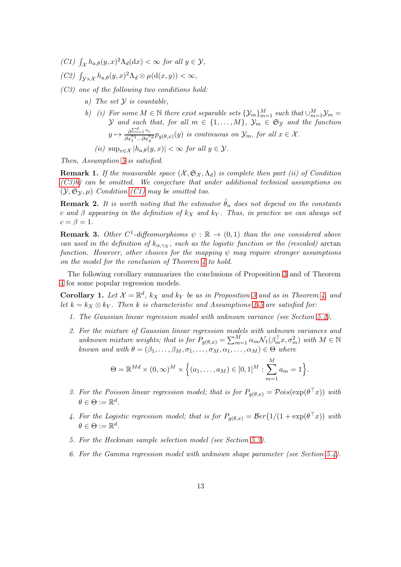- <span id="page-12-2"></span><span id="page-12-1"></span>(C1)  $\int_{\mathcal{X}} h_{a,\theta}(y,x)^2 \Lambda_d(\mathrm{d}x) < \infty$  for all  $y \in \mathcal{Y}$ ,
- <span id="page-12-3"></span>(C2)  $\int_{\mathcal{Y}\times\mathcal{X}} h_{a,\theta}(y,x)^2 \Lambda_d \otimes \mu(\mathrm{d}(x,y)) < \infty$ ,
- <span id="page-12-5"></span><span id="page-12-0"></span>(C3) one of the following two conditions hold:
	- a) The set  $\mathcal Y$  is countable,
	- b) (i) For some  $M \in \mathbb{N}$  there exist separable sets  $\{\mathcal{Y}_m\}_{m=1}^M$  such that  $\cup_{m=1}^M \mathcal{Y}_m =$ y and such that, for all  $m \in \{1, \ldots, M\}$ ,  $\mathcal{Y}_m \in \mathfrak{S}_{\mathcal{Y}}$  and the function  $y \mapsto \frac{\partial^{\sum_{i=1}^d a_i}}{\partial x_1^{a_1} \dots \partial x_n^{a_n}}$  $\frac{\partial^{2}u}{\partial x_1^{a_1}...\partial x_d^{a_d}}p_{g(\theta,x)}(y)$  is continuous on  $\mathcal{Y}_m$ , for all  $x \in \mathcal{X}$ . (ii)  $\sup_{x \in \mathcal{X}} |h_{a,\theta}(y,x)| < \infty$  for all  $y \in \mathcal{Y}$ .

Then, Assumption [5](#page-8-1) is satisfied.

**Remark 1.** If the measurable space  $(X, \mathfrak{S}_X, \Lambda_d)$  is complete then part (ii) of Condition  $(C3)b$ ) can be omitted. We conjecture that under additional technical assumptions on  $(\mathcal{Y}, \mathfrak{S}_{\mathcal{Y}}, \mu)$  Condition [\(C1\)](#page-12-1) may be omitted too.

**Remark 2.** It is worth noting that the estimator  $\hat{\theta}_n$  does not depend on the constants c and β appearing in the definition of  $k_X$  and  $k_Y$ . Thus, in practice we can always set  $c = \beta = 1$ .

**Remark 3.** Other  $C^1$ -diffeomorphisms  $\psi : \mathbb{R} \to (0,1)$  than the one considered above can used in the definition of  $k_{\alpha,\gamma_X}$ , such as the logistic function or the (rescaled) arctan function. However, other choices for the mapping  $\psi$  may require stronger assumptions on the model for the conclusion of Theorem [4](#page-11-2) to hold.

The following corollary summarizes the conclusions of Proposition [3](#page-11-1) and of Theorem [4](#page-11-2) for some popular regression models.

<span id="page-12-4"></span>**Corollary 1.** Let  $\mathcal{X} = \mathbb{R}^d$ ,  $k_X$  and  $k_Y$  be as in Proposition [3](#page-11-1) and as in Theorem [4,](#page-11-2) and let  $k = k \times \otimes k$ . Then k is characteristic and Assumptions [1-](#page-2-1)[5](#page-8-1) are satisfied for:

- 1. The Gaussian linear regression model with unknown variance (see Section [5.2\)](#page-13-1),
- 2. For the mixture of Gaussian linear regression models with unknown variances and unknown mixture weights; that is for  $P_{g(\theta,x)} = \sum_{m=1}^{M} \alpha_m \mathcal{N}_1(\beta_m^{\top} x, \sigma_m^2)$  with  $M \in \mathbb{N}$ known and with  $\theta = (\beta_1, \ldots, \beta_M, \sigma_1, \ldots, \sigma_M, \alpha_1, \ldots, \alpha_M) \in \Theta$  where

$$
\Theta = \mathbb{R}^{Md} \times (0, \infty)^M \times \left\{ (a_1, \ldots, a_M) \in [0, 1]^M : \sum_{m=1}^M a_m = 1 \right\}.
$$

- 3. For the Poisson linear regression model; that is for  $P_{g(\theta,x)} = \mathcal{P}ois(\exp(\theta^\top x))$  with  $\theta \in \Theta := \mathbb{R}^d$ .
- 4. For the Logistic regression model; that is for  $P_{g(\theta,x)} = \mathcal{B}er(1/(1 + \exp(\theta^\top x))$  with  $\theta \in \Theta := \mathbb{R}^d$ .
- 5. For the Heckman sample selection model (see Section [5.3\)](#page-14-0).
- 6. For the Gamma regression model with unknown shape parameter (see Section [5.4\)](#page-17-0).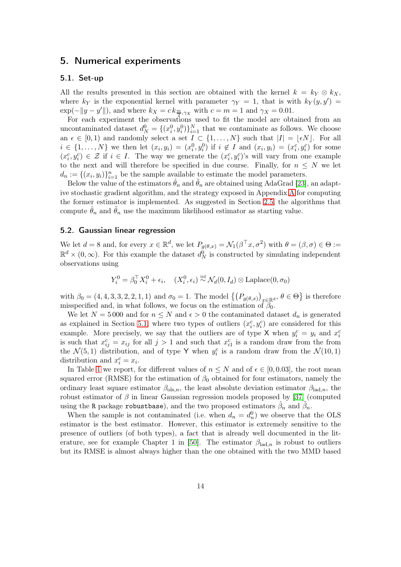## <span id="page-13-2"></span><span id="page-13-0"></span>5. Numerical experiments

### 5.1. Set-up

All the results presented in this section are obtained with the kernel  $k = k_Y \otimes k_X$ , where  $k_Y$  is the exponential kernel with parameter  $\gamma_Y = 1$ , that is with  $k_Y(y, y') =$  $\exp(-\|y-y'\|)$ , and where  $k_X = c k_{\frac{m}{2}, \gamma_X}$  with  $c = m = 1$  and  $\gamma_X = 0.01$ .

For each experiment the observations used to fit the model are obtained from an uncontaminated dataset  $d_N^0 = \{(x_i^0, y_i^0)\}_{i=1}^N$  that we contaminate as follows. We choose an  $\epsilon \in [0,1)$  and randomly select a set  $I \subset \{1,\ldots,N\}$  such that  $|I| = |\epsilon N|$ . For all  $i \in \{1,\ldots,N\}$  we then let  $(x_i, y_i) = (x_i^0, y_i^0)$  if  $i \notin I$  and  $(x_i, y_i) = (x_i^c, y_i^c)$  for some  $(x_i^c, y_i^c) \in \mathcal{Z}$  if  $i \in I$ . The way we generate the  $(x_i^c, y_i^c)$ 's will vary from one example to the next and will therefore be specified in due course. Finally, for  $n \leq N$  we let  $d_n := \{(x_i, y_i)\}_{i=1}^n$  be the sample available to estimate the model parameters.

Below the value of the estimators  $\hat{\theta}_n$  and  $\hat{\theta}_n$  are obtained using AdaGrad [\[23\]](#page-19-15), an adaptive stochastic gradient algorithm, and the strategy exposed in Appendix [A](#page-21-9) for computing the former estimator is implemented. As suggested in Section [2.5,](#page-5-1) the algorithms that compute  $\hat{\theta}_n$  and  $\hat{\theta}_n$  use the maximum likelihood estimator as starting value.

### <span id="page-13-1"></span>5.2. Gaussian linear regression

We let  $d = 8$  and, for every  $x \in \mathbb{R}^d$ , we let  $P_{g(\theta,x)} = \mathcal{N}_1(\beta^\top x, \sigma^2)$  with  $\theta = (\beta, \sigma) \in \Theta :=$  $\mathbb{R}^d \times (0,\infty)$ . For this example the dataset  $d_N^0$  is constructed by simulating independent observations using

$$
Y_i^0 = \beta_0^{\top} X_i^0 + \epsilon_i, \quad (X_i^0, \epsilon_i) \stackrel{\text{iid}}{\sim} \mathcal{N}_d(0, I_d) \otimes \text{Laplace}(0, \sigma_0)
$$

with  $\beta_0 = (4, 4, 3, 3, 2, 2, 1, 1)$  and  $\sigma_0 = 1$ . The model  $\left\{ (P_{g(\theta,x)})_{x \in \mathbb{R}^d}, \theta \in \Theta \right\}$  is therefore misspecified and, in what follows, we focus on the estimation of  $\beta_0$ .

We let  $N = 5000$  and for  $n \leq N$  and  $\epsilon > 0$  the contaminated dataset  $d_n$  is generated as explained in Section [5.1,](#page-13-2) where two types of outliers  $(x_i^c, y_i^c)$  are considered for this example. More precisely, we say that the outliers are of type X when  $y_i^c = y_i$  and  $x_i^c$ is such that  $x_{ij}^c = x_{ij}$  for all  $j > 1$  and such that  $x_{i1}^c$  is a random draw from the from the  $\mathcal{N}(5,1)$  distribution, and of type Y when  $y_i^c$  is a random draw from the  $\mathcal{N}(10,1)$ distribution and  $x_i^c = x_i$ .

In Table [1](#page-14-1) we report, for different values of  $n \leq N$  and of  $\epsilon \in [0, 0.03]$ , the root mean squared error (RMSE) for the estimation of  $\beta_0$  obtained for four estimators, namely the ordinary least square estimator  $\beta_{ols,n}$ , the least absolute deviation estimator  $\beta_{lad,n}$ , the robust estimator of  $\beta$  in linear Gaussian regression models proposed by [\[37\]](#page-20-14) (computed using the R package robustbase), and the two proposed estimators  $\hat{\beta}_n$  and  $\tilde{\beta}_n$ .

When the sample is not contaminated (i.e. when  $d_n = d_n^0$ ) we observe that the OLS estimator is the best estimator. However, this estimator is extremely sensitive to the presence of outliers (of both types), a fact that is already well documented in the lit-erature, see for example Chapter 1 in [\[50\]](#page-21-10). The estimator  $\beta_{\text{lad},n}$  is robust to outliers but its RMSE is almost always higher than the one obtained with the two MMD based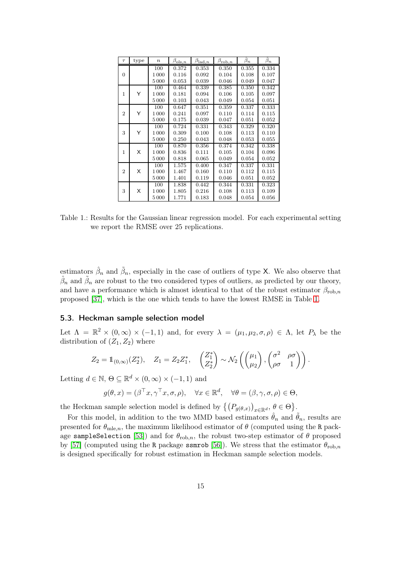<span id="page-14-1"></span>

| $\tau$         | type | $\boldsymbol{n}$ | $\beta_{\text{ols},n}$ | $\beta_{\mathrm{lad},n}$ | $\beta_{\text{rob},n}$ | $\overline{\hat{\beta}}_n$ | $\tilde{\beta}_n$ |
|----------------|------|------------------|------------------------|--------------------------|------------------------|----------------------------|-------------------|
|                |      | 100              | 0.372                  | 0.353                    | 0.350                  | 0.355                      | 0.334             |
| $\Omega$       |      | 1000             | 0.116                  | 0.092                    | 0.104                  | 0.108                      | 0.107             |
|                |      | 5 0 0 0          | 0.053                  | 0.039                    | 0.046                  | 0.049                      | 0.047             |
|                |      | 100              | 0.464                  | 0.339                    | 0.385                  | 0.350                      | 0.342             |
| 1              | Y    | 1 0 0 0          | 0.181                  | 0.094                    | 0.106                  | 0.105                      | 0.097             |
|                |      | 5 0 0 0          | 0.103                  | 0.043                    | 0.049                  | 0.054                      | 0.051             |
|                |      | 100              | 0.647                  | 0.351                    | 0.359                  | 0.337                      | 0.333             |
| $\overline{2}$ | Y    | 1 0 0 0          | 0.241                  | 0.097                    | 0.110                  | 0.114                      | 0.115             |
|                |      | 5000             | 0.175                  | 0.039                    | 0.047                  | 0.051                      | 0.052             |
|                |      | 100              | 0.724                  | 0.331                    | 0.343                  | 0.329                      | 0.320             |
| 3              | Y    | 1000             | 0.309                  | 0.100                    | 0.108                  | 0.113                      | 0.110             |
|                |      | 5000             | 0.250                  | 0.043                    | 0.048                  | 0.053                      | 0.055             |
|                |      | 100              | 0.870                  | 0.356                    | 0.374                  | 0.342                      | 0.338             |
| 1              | X    | 1 0 0 0          | 0.836                  | 0.111                    | 0.105                  | 0.104                      | 0.096             |
|                |      | 5 0 0 0          | 0.818                  | 0.065                    | 0.049                  | 0.054                      | 0.052             |
|                |      | 100              | 1.575                  | 0.400                    | 0.347                  | 0.337                      | 0.331             |
| $\overline{2}$ | X    | 1 0 0 0          | 1.467                  | 0.160                    | 0.110                  | 0.112                      | 0.115             |
|                |      | 5 0 0 0          | 1.401                  | 0.119                    | 0.046                  | 0.051                      | 0.052             |
|                |      | 100              | 1.838                  | 0.442                    | 0.344                  | 0.331                      | 0.323             |
| 3              | X    | 1 0 0 0          | 1.805                  | 0.216                    | 0.108                  | 0.113                      | 0.109             |
|                |      | 5000             | 1.771                  | 0.183                    | 0.048                  | 0.054                      | 0.056             |

Table 1.: Results for the Gaussian linear regression model. For each experimental setting we report the RMSE over 25 replications.

estimators  $\hat{\beta}_n$  and  $\tilde{\beta}_n$ , especially in the case of outliers of type X. We also observe that  $\hat{\beta}_n$  and  $\tilde{\beta}_n$  are robust to the two considered types of outliers, as predicted by our theory, and have a performance which is almost identical to that of the robust estimator  $\beta_{\text{rob},n}$ proposed [\[37\]](#page-20-14), which is the one which tends to have the lowest RMSE in Table [1.](#page-14-1)

## <span id="page-14-0"></span>5.3. Heckman sample selection model

Let  $\Lambda = \mathbb{R}^2 \times (0, \infty) \times (-1, 1)$  and, for every  $\lambda = (\mu_1, \mu_2, \sigma, \rho) \in \Lambda$ , let  $P_\lambda$  be the distribution of  $(Z_1, Z_2)$  where

$$
Z_2 = \mathbb{1}_{(0,\infty)}(Z_2^*), \quad Z_1 = Z_2 Z_1^*, \quad \begin{pmatrix} Z_1^* \\ Z_2^* \end{pmatrix} \sim \mathcal{N}_2 \left( \begin{pmatrix} \mu_1 \\ \mu_2 \end{pmatrix}, \begin{pmatrix} \sigma^2 & \rho \sigma \\ \rho \sigma & 1 \end{pmatrix} \right).
$$

Letting  $d \in \mathbb{N}$ ,  $\Theta \subseteq \mathbb{R}^d \times (0, \infty) \times (-1, 1)$  and

$$
g(\theta, x) = (\beta^\top x, \gamma^\top x, \sigma, \rho), \quad \forall x \in \mathbb{R}^d, \quad \forall \theta = (\beta, \gamma, \sigma, \rho) \in \Theta,
$$

the Heckman sample selection model is defined by  $\{(P_{g(\theta,x)})_{x\in\mathbb{R}^d}, \theta \in \Theta\}.$ 

For this model, in addition to the two MMD based estimators  $\hat{\theta}_n$  and  $\tilde{\theta}_n$ , results are presented for  $\theta_{\text{mle},n}$ , the maximum likelihood estimator of  $\theta$  (computed using the R pack-age sampleSelection [\[53\]](#page-21-11)) and for  $\theta_{\text{rob},n}$ , the robust two-step estimator of  $\theta$  proposed by [\[57\]](#page-21-0) (computed using the R package ssmrob [\[56\]](#page-21-12)). We stress that the estimator  $\theta_{\text{rob},n}$ is designed specifically for robust estimation in Heckman sample selection models.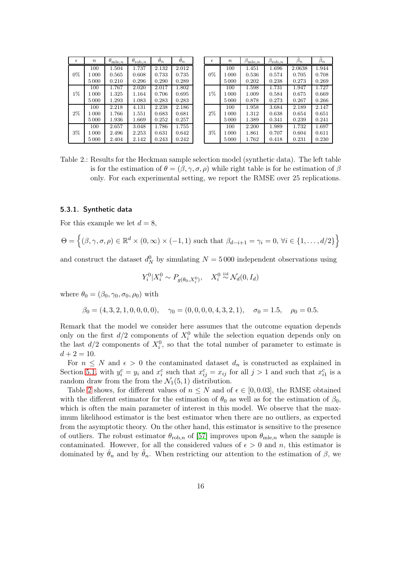<span id="page-15-0"></span>

| $\epsilon$ | $\, n$ | $\theta_{\mathrm{m}\underline{\text{le}},n}$ | $\theta_{\text{rob},n}$ | $\hat{\theta}_n$ | $\widetilde{\theta}_n$ |
|------------|--------|----------------------------------------------|-------------------------|------------------|------------------------|
|            | 100    | 1.504                                        | 1.737                   | 2.132            | 2.012                  |
| $0\%$      | 1 000  | 0.565                                        | 0.608                   | 0.733            | 0.735                  |
|            | 5000   | 0.210                                        | 0.296                   | 0.290            | 0.289                  |
|            | 100    | 1.767                                        | 2.020                   | 2.017            | 1.802                  |
| $1\%$      | 1 000  | 1.325                                        | 1.164                   | 0.706            | 0.695                  |
|            | 5000   | 1.293                                        | 1.083                   | 0.283            | 0.283                  |
|            | 100    | 2.218                                        | 4.131                   | 2.238            | 2.186                  |
| 2%         | 1 000  | 1.766                                        | 1.551                   | 0.683            | 0.681                  |
|            | 5000   | 1.936                                        | 1.669                   | 0.252            | 0.257                  |
|            | 100    | 2.657                                        | 3.048                   | 1.786            | 1.755                  |
| 3%         | 1 000  | 2.496                                        | 2.253                   | 0.631            | 0.642                  |
|            | 5 000  | 2.404                                        | 2.142                   | 0.243            | 0.242                  |

| $\epsilon$ | $\boldsymbol{n}$ | $\beta_{\text{mle},n}$ | $\beta_{\mathrm{rob},n}$ | $\hat{\beta}_n$ | $\beta_n$ |
|------------|------------------|------------------------|--------------------------|-----------------|-----------|
|            | 100              | 1.451                  | 1.696                    | 2.0638          | 1.944     |
| $0\%$      | 1000             | 0.536                  | 0.574                    | 0.705           | 0.708     |
|            | 5000             | 0.202                  | 0.238                    | 0.273           | 0.269     |
|            | 100              | 1.598                  | 1.731                    | 1.947           | 1.727     |
| $1\%$      | 1000             | 1.009                  | 0.584                    | 0.675           | 0.669     |
|            | 5000             | 0.878                  | 0.273                    | 0.267           | 0.266     |
|            | 100              | 1.958                  | 3.684                    | 2.189           | 2.147     |
| 2%         | 1000             | 1.312                  | 0.638                    | 0.654           | 0.651     |
|            | 5000             | 1.389                  | 0.341                    | 0.239           | 0.241     |
|            | 100              | 2.200                  | 1.989                    | 1.732           | 1.697     |
| $3\%$      | 1000             | 1.861                  | 0.707                    | 0.604           | 0.611     |
|            | 5000             | 1.762                  | 0.418                    | 0.231           | 0.230     |

Table 2.: Results for the Heckman sample selection model (synthetic data). The left table is for the estimation of  $\theta = (\beta, \gamma, \sigma, \rho)$  while right table is for he estimation of  $\beta$ only. For each experimental setting, we report the RMSE over 25 replications.

### 5.3.1. Synthetic data

For this example we let  $d = 8$ ,

$$
\Theta = \left\{ (\beta, \gamma, \sigma, \rho) \in \mathbb{R}^d \times (0, \infty) \times (-1, 1) \text{ such that } \beta_{d-i+1} = \gamma_i = 0, \forall i \in \{1, ..., d/2\} \right\}
$$

and construct the dataset  $d_N^0$  by simulating  $N = 5000$  independent observations using

$$
Y_i^0 | X_i^0 \sim P_{g(\theta_0, X_i^0)}, \quad X_i^0 \stackrel{\text{iid}}{\sim} \mathcal{N}_d(0, I_d)
$$

where  $\theta_0 = (\beta_0, \gamma_0, \sigma_0, \rho_0)$  with

$$
\beta_0 = (4, 3, 2, 1, 0, 0, 0, 0),
$$
  $\gamma_0 = (0, 0, 0, 0, 4, 3, 2, 1),$   $\sigma_0 = 1.5,$   $\rho_0 = 0.5.$ 

Remark that the model we consider here assumes that the outcome equation depends only on the first  $d/2$  components of  $X_i^0$  while the selection equation depends only on the last  $d/2$  components of  $X_i^0$ , so that the total number of parameter to estimate is  $d + 2 = 10$ .

For  $n \leq N$  and  $\epsilon > 0$  the contaminated dataset  $d_n$  is constructed as explained in Section [5.1,](#page-13-2) with  $y_i^c = y_i$  and  $x_i^c$  such that  $x_{ij}^c = x_{ij}$  for all  $j > 1$  and such that  $x_{i1}^c$  is a random draw from the from the  $\mathcal{N}_1(5,1)$  distribution.

Table [2](#page-15-0) shows, for different values of  $n \leq N$  and of  $\epsilon \in [0, 0.03]$ , the RMSE obtained with the different estimator for the estimation of  $\theta_0$  as well as for the estimation of  $\beta_0$ , which is often the main parameter of interest in this model. We observe that the maximum likelihood estimator is the best estimator when there are no outliers, as expected from the asymptotic theory. On the other hand, this estimator is sensitive to the presence of outliers. The robust estimator  $\theta_{\text{rob},n}$  of [\[57\]](#page-21-0) improves upon  $\theta_{\text{mle},n}$  when the sample is contaminated. However, for all the considered values of  $\epsilon > 0$  and n, this estimator is dominated by  $\hat{\theta}_n$  and by  $\hat{\theta}_n$ . When restricting our attention to the estimation of  $\beta$ , we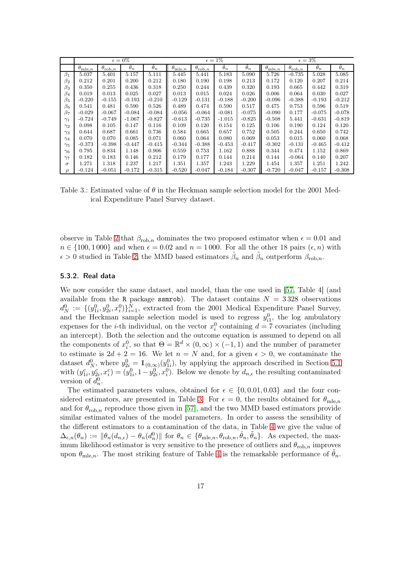<span id="page-16-0"></span>

|               |                           |                         | $\epsilon = 0\%$ |            |                         | $\epsilon=1\%$          |                  |            |                           | $\epsilon = 3\%$        |                   |                    |  |
|---------------|---------------------------|-------------------------|------------------|------------|-------------------------|-------------------------|------------------|------------|---------------------------|-------------------------|-------------------|--------------------|--|
|               | $\theta_{\mathrm{mle},n}$ | $\theta_{\text{rob},n}$ | $\hat{\theta}_n$ | $\theta_n$ | $\theta_{\text{mle},n}$ | $\theta_{\text{rob},n}$ | $\hat{\theta}_n$ | $\theta_n$ | $\theta_{\mathrm{mle},n}$ | $\theta_{\text{rob},n}$ | $\ddot{\theta}_n$ | $\tilde{\theta}_n$ |  |
| $\beta_1$     | 5.037                     | 5.401                   | 5.157            | 5.111      | 5.445                   | 5.441                   | 5.183            | 5.090      | 5.726                     | $-0.735$                | 5.028             | 5.085              |  |
| $\beta_2$     | 0.212                     | 0.201                   | 0.200            | 0.212      | 0.180                   | 0.190                   | 0.198            | 0.213      | 0.172                     | 0.120                   | 0.207             | 0.214              |  |
| $\beta_3$     | 0.350                     | 0.255                   | 0.436            | 0.318      | 0.250                   | 0.244                   | 0.439            | 0.320      | 0.193                     | 0.665                   | 0.442             | 0.319              |  |
| $\beta_4$     | 0.019                     | 0.013                   | 0.025            | 0.027      | 0.013                   | 0.015                   | 0.024            | 0.026      | 0.006                     | 0.064                   | 0.030             | 0.027              |  |
| $\beta_5$     | $-0.220$                  | $-0.155$                | $-0.193$         | $-0.210$   | $-0.129$                | $-0.131$                | $-0.188$         | $-0.200$   | $-0.096$                  | $-0.388$                | $-0.193$          | $-0.212$           |  |
| $\beta_6$     | 0.541                     | 0.481                   | 0.590            | 0.526      | 0.489                   | 0.474                   | 0.590            | 0.517      | 0.475                     | 0.753                   | 0.596             | 0.519              |  |
| $\beta_7$     | $-0.029$                  | $-0.067$                | $-0.084$         | $-0.084$   | $-0.056$                | $-0.064$                | $-0.081$         | $-0.075$   | $-0.090$                  | 0.177                   | $-0.075$          | $-0.078$           |  |
| $\gamma_1$    | $-0.724$                  | $-0.749$                | $-1.067$         | $-0.827$   | $-0.613$                | $-0.735$                | $-1.015$         | $-0.825$   | $-0.508$                  | 5.441                   | $-0.631$          | $-0.819$           |  |
| $\gamma_2$    | 0.098                     | 0.105                   | 0.147            | 0.116      | 0.109                   | 0.120                   | 0.154            | 0.125      | 0.106                     | 0.190                   | 0.124             | 0.120              |  |
| $\gamma_3$    | 0.644                     | 0.687                   | 0.661            | 0.736      | 0.584                   | 0.665                   | 0.657            | 0.752      | 0.505                     | 0.244                   | 0.650             | 0.742              |  |
| $\gamma_4$    | 0.070                     | 0.070                   | 0.085            | 0.071      | 0.060                   | 0.064                   | 0.080            | 0.069      | 0.053                     | 0.015                   | 0.060             | 0.068              |  |
| $\gamma_5$    | $-0.373$                  | $-0.398$                | $-0.447$         | $-0.415$   | $-0.344$                | $-0.388$                | $-0.453$         | $-0.417$   | $-0.302$                  | $-0.131$                | $-0.465$          | $-0.412$           |  |
| $\gamma_6$    | 0.795                     | 0.834                   | 1.148            | 0.906      | 0.559                   | 0.753                   | 1.162            | 0.888      | 0.344                     | 0.474                   | 1.152             | 0.869              |  |
| $\gamma_7$    | 0.182                     | 0.183                   | 0.146            | 0.212      | 0.179                   | 0.177                   | 0.144            | 0.214      | 0.144                     | $-0.064$                | 0.140             | 0.207              |  |
| $\sigma$      | 1.271                     | 1.318                   | 1.237            | 1.217      | 1.351                   | 1.357                   | 1.243            | 1.229      | 1.454                     | 1.357                   | 1.251             | 1.242              |  |
| $\mathcal{D}$ | $-0.124$                  | $-0.051$                | $-0.172$         | $-0.315$   | $-0.520$                | $-0.047$                | $-0.184$         | $-0.307$   | $-0.720$                  | $-0.047$                | $-0.157$          | $-0.308$           |  |

Table 3.: Estimated value of  $\theta$  in the Heckman sample selection model for the 2001 Medical Expenditure Panel Survey dataset.

observe in Table [2](#page-15-0) that  $\beta_{\text{rob},n}$  dominates the two proposed estimator when  $\epsilon = 0.01$  and  $n \in \{100, 1000\}$  and when  $\epsilon = 0.02$  and  $n = 1000$ . For all the other 18 pairs  $(\epsilon, n)$  with  $\epsilon > 0$  studied in Table [2,](#page-15-0) the MMD based estimators  $\hat{\beta}_n$  and  $\tilde{\beta}_n$  outperform  $\beta_{\text{rob},n}$ .

### 5.3.2. Real data

We now consider the same dataset, and model, than the one used in [\[57,](#page-21-0) Table 4] (and available from the R package ssmrob). The dataset contains  $N = 3328$  observations  $d_N^0 := \{ (y_{1i}^0, y_{2i}^0, x_i^0) \}_{i=1}^N$ , extracted from the 2001 Medical Expenditure Panel Survey, and the Heckman sample selection model is used to regress  $y_{i1}^0$ , the log ambulatory expenses for the *i*-th individual, on the vector  $x_i^0$  containing  $d = 7$  covariates (including an intercept). Both the selection and the outcome equation is assumed to depend on all the components of  $x_i^0$ , so that  $\Theta = \mathbb{R}^d \times (0, \infty) \times (-1, 1)$  and the number of parameter to estimate is  $2d + 2 = 16$ . We let  $n = N$  and, for a given  $\epsilon > 0$ , we contaminate the dataset  $d_N^0$ , where  $y_{2i}^0 = \mathbb{1}_{(0,\infty)}(y_{1i}^0)$ , by applying the approach described in Section [5.1](#page-13-2) with  $(y_{1i}^c, y_{2i}^c, x_i^c) = (y_{1i}^0, 1-y_{2i}^0, x_i^0)$ . Below we denote by  $d_{n,\epsilon}$  the resulting contaminated version of  $d_n^0$ .

The estimated parameters values, obtained for  $\epsilon \in \{0, 0.01, 0.03\}$  and the four con-sidered estimators, are presented in Table [3.](#page-16-0) For  $\epsilon = 0$ , the results obtained for  $\theta_{\text{mle},n}$ and for  $\theta_{\rm rob,n}$  reproduce those given in [\[57\]](#page-21-0), and the two MMD based estimators provide similar estimated values of the model parameters. In order to assess the sensibility of the different estimators to a contamination of the data, in Table [4](#page-17-1) we give the value of  $\Delta_{\epsilon,n}(\theta_n) := \|\theta_n(d_{n,\epsilon}) - \theta_n(d_n^0)\|$  for  $\theta_n \in {\theta_{m \mid e,n}, \theta_{\text{rob},n}, \hat{\theta}_n, \tilde{\theta}_n}$ . As expected, the maximum likelihood estimator is very sensitive to the presence of outliers and  $\theta_{\text{rob},n}$  improves upon  $\theta_{\text{mle},n}$ . The most striking feature of Table [4](#page-17-1) is the remarkable performance of  $\theta_n$ .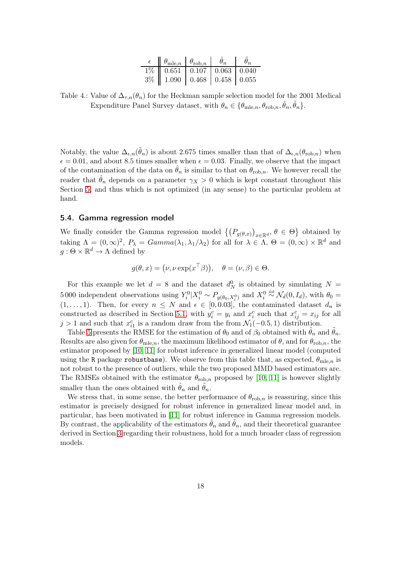| $\epsilon$ $\theta_{\text{mle},n}$ $\theta_{\text{rob},n}$ $\theta_n$ |  | $\theta_n$ |
|-----------------------------------------------------------------------|--|------------|
| $1\%$   0.651   0.107   0.063   0.040                                 |  |            |
| $3\%$   1.090   0.468   0.458   0.055                                 |  |            |

<span id="page-17-1"></span>Table 4.: Value of  $\Delta_{\tau,n}(\theta_n)$  for the Heckman sample selection model for the 2001 Medical Expenditure Panel Survey dataset, with  $\theta_n \in \{\theta_{mle,n}, \theta_{\text{rob},n}, \hat{\theta}_n, \tilde{\theta}_n\}.$ 

Notably, the value  $\Delta_{\epsilon,n}(\tilde{\theta}_n)$  is about 2.675 times smaller than that of  $\Delta_{\epsilon,n}(\theta_{\text{rob},n})$  when  $\epsilon = 0.01$ , and about 8.5 times smaller when  $\epsilon = 0.03$ . Finally, we observe that the impact of the contamination of the data on  $\hat{\theta}_n$  is similar to that on  $\theta_{\text{rob},n}$ . We however recall the reader that  $\hat{\theta}_n$  depends on a parameter  $\gamma_X > 0$  which is kept constant throughout this Section [5,](#page-13-0) and thus which is not optimized (in any sense) to the particular problem at hand.

### <span id="page-17-0"></span>5.4. Gamma regression model

We finally consider the Gamma regression model  $\{(P_{g(\theta,x)})_{x\in\mathbb{R}^d}, \theta \in \Theta\}$  obtained by taking  $\Lambda = (0, \infty)^2$ ,  $P_{\lambda} = Gamma(\lambda_1, \lambda_1/\lambda_2)$  for all for  $\lambda \in \Lambda$ ,  $\Theta = (0, \infty) \times \mathbb{R}^d$  and  $g: \Theta \times \mathbb{R}^d \to \Lambda$  defined by

$$
g(\theta, x) = (\nu, \nu \exp(x^\top \beta)), \quad \theta = (\nu, \beta) \in \Theta.
$$

For this example we let  $d = 8$  and the dataset  $d_N^0$  is obtained by simulating  $N =$ 5000 independent observations using  $Y_i^0 \mid X_i^0 \sim P_{g(\theta_0, X_i^0)}$  and  $X_i^0$  $\stackrel{iid}{\sim} \mathcal{N}_d(0, I_d)$ , with  $\theta_0 =$  $(1,\ldots,1)$ . Then, for every  $n \leq N$  and  $\epsilon \in [0,0.03]$ , the contaminated dataset  $d_n$  is constructed as described in Section [5.1,](#page-13-2) with  $y_i^c = y_i$  and  $x_i^c$  such that  $x_{ij}^c = x_{ij}$  for all  $j > 1$  and such that  $x_{i1}^c$  is a random draw from the from  $\mathcal{N}_1(-0.5, 1)$  distribution.

Table [5](#page-18-5) presents the RMSE for the estimation of  $\theta_0$  and of  $\beta_0$  obtained with  $\theta_n$  and  $\theta_n$ . Results are also given for  $\theta_{\text{mle},n}$ , the maximum likelihood estimator of  $\theta$ , and for  $\theta_{\text{rob},n}$ , the estimator proposed by [\[10,](#page-19-0) [11\]](#page-19-1) for robust inference in generalized linear model (computed using the R package robustbase). We observe from this table that, as expected,  $\theta_{\text{mle},n}$  is not robust to the presence of outliers, while the two proposed MMD based estimators are. The RMSEs obtained with the estimator  $\theta_{\text{rob},n}$  proposed by [\[10,](#page-19-0) [11\]](#page-19-1) is however slightly smaller than the ones obtained with  $\hat{\theta}_n$  and  $\tilde{\theta}_n$ .

We stress that, in some sense, the better performance of  $\theta_{\text{rob},n}$  is reassuring, since this estimator is precisely designed for robust inference in generalized linear model and, in particular, has been motivated in [\[11\]](#page-19-1) for robust inference in Gamma regression models. By contrast, the applicability of the estimators  $\hat{\theta}_n$  and  $\tilde{\theta}_n$ , and their theoretical guarantee derived in Section [3](#page-5-0) regarding their robustness, hold for a much broader class of regression models.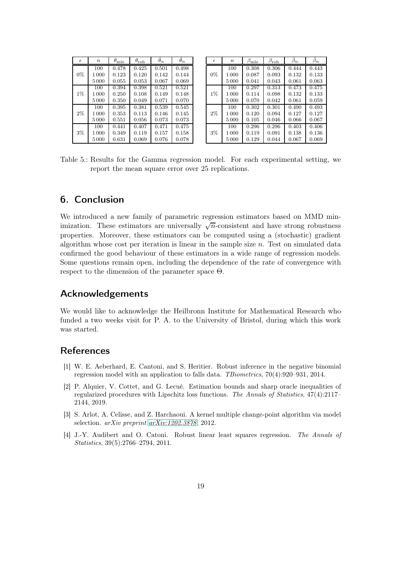<span id="page-18-5"></span>

| $\epsilon$ | $\boldsymbol{n}$ | $\theta_{\rm m\underline{le}}$ | $\theta_{\text{rob}}$ | $\hat{\theta}_n$ | $\widetilde{\theta}_n$ |
|------------|------------------|--------------------------------|-----------------------|------------------|------------------------|
|            | 100              | 0.478                          | 0.425                 | 0.501            | 0.498                  |
| $0\%$      | 1000             | 0.123                          | 0.120                 | 0.142            | 0.144                  |
|            | 5000             | 0.055                          | 0.053                 | 0.067            | 0.069                  |
|            | 100              | 0.394                          | 0.398                 | 0.521            | 0.521                  |
| $1\%$      | 1 000            | 0.250                          | 0.108                 | 0.149            | 0.148                  |
|            | 5 0 0 0          | 0.350                          | 0.049                 | 0.071            | 0.070                  |
|            | 100              | 0.395                          | 0.381                 | 0.539            | 0.545                  |
| 2%         | 1000             | 0.353                          | 0.113                 | 0.146            | 0.145                  |
|            | 5 0 0 0          | 0.551                          | 0.056                 | 0.073            | 0.073                  |
|            | 100              | 0.441                          | 0.407                 | 0.471            | 0.475                  |
| 3%         | 1000             | 0.349                          | 0.119                 | 0.157            | 0.158                  |
|            | 5000             | 0.631                          | 0.069                 | 0.076            | 0.078                  |

| $\epsilon$ | $\boldsymbol{n}$ | $\beta_{\text{m}\underline{\text{le}}}$ | $\beta_{\rm rob}$ | $\hat{\beta}_n$ | $\beta_n$ |
|------------|------------------|-----------------------------------------|-------------------|-----------------|-----------|
|            | 100              | 0.308                                   | 0.306             | 0.444           | 0.443     |
| $0\%$      | 1000             | 0.087                                   | 0.093             | 0.132           | 0.133     |
|            | 5000             | 0.041                                   | 0.043             | 0.061           | 0.063     |
|            | 100              | 0.297                                   | 0.313             | 0.473           | 0.475     |
| $1\%$      | 1000             | 0.114                                   | 0.098             | 0.132           | 0.133     |
|            | 5000             | 0.070                                   | 0.042             | 0.061           | 0.059     |
|            | 100              | 0.302                                   | 0.301             | 0.490           | 0.493     |
| 2%         | 1000             | 0.120                                   | 0.094             | 0.127           | 0.127     |
|            | 5000             | 0.105                                   | 0.046             | 0.066           | 0.067     |
|            | 100              | 0.296                                   | 0.296             | 0.403           | 0.406     |
| 3%         | 1000             | 0.119                                   | 0.091             | 0.138           | 0.136     |
|            | 5000             | 0.129                                   | 0.044             | 0.067           | 0.069     |

Table 5.: Results for the Gamma regression model. For each experimental setting, we report the mean square error over 25 replications.

# <span id="page-18-4"></span>6. Conclusion

We introduced a new family of parametric regression estimators based on MMD minimization. These estimators are universally  $\sqrt{n}$ -consistent and have strong robustness properties. Moreover, these estimators can be computed using a (stochastic) gradient algorithm whose cost per iteration is linear in the sample size  $n$ . Test on simulated data confirmed the good behaviour of these estimators in a wide range of regression models. Some questions remain open, including the dependence of the rate of convergence with respect to the dimension of the parameter space Θ.

# Acknowledgements

We would like to acknowledge the Heilbronn Institute for Mathematical Research who funded a two weeks visit for P. A. to the University of Bristol, during which this work was started.

# <span id="page-18-0"></span>References

- [1] W. E. Aeberhard, E. Cantoni, and S. Heritier. Robust inference in the negative binomial regression model with an application to falls data. TBiometrics, 70(4):920–931, 2014.
- <span id="page-18-2"></span>[2] P. Alquier, V. Cottet, and G. Lecué. Estimation bounds and sharp oracle inequalities of regularized procedures with Lipschitz loss functions. The Annals of Statistics, 47(4):2117– 2144, 2019.
- <span id="page-18-3"></span>[3] S. Arlot, A. Celisse, and Z. Harchaoui. A kernel multiple change-point algorithm via model selection. arXiv preprint [arXiv:1202.3878](http://arxiv.org/abs/1202.3878), 2012.
- <span id="page-18-1"></span>[4] J.-Y. Audibert and O. Catoni. Robust linear least squares regression. The Annals of Statistics, 39(5):2766–2794, 2011.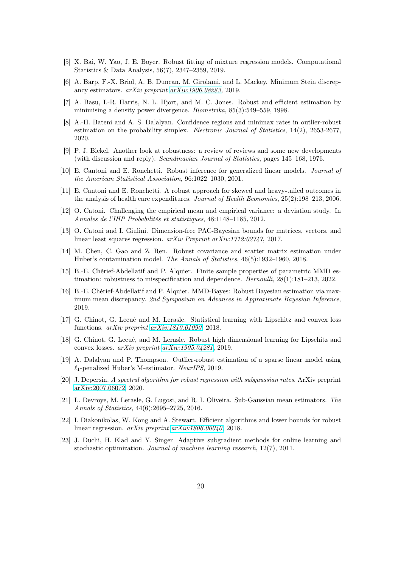- <span id="page-19-13"></span><span id="page-19-2"></span>[5] X. Bai, W. Yao, J. E. Boyer. Robust fitting of mixture regression models. Computational Statistics & Data Analysis, 56(7), 2347–2359, 2019.
- <span id="page-19-12"></span>[6] A. Barp, F.-X. Briol, A. B. Duncan, M. Girolami, and L. Mackey. Minimum Stein discrepancy estimators. arXiv preprint [arXiv:1906.08283](http://arxiv.org/abs/1906.08283), 2019.
- [7] A. Basu, I.-R. Harris, N. L. Hjort, and M. C. Jones. Robust and efficient estimation by minimising a density power divergence. Biometrika, 85(3):549–559, 1998.
- <span id="page-19-14"></span>[8] A.-H. Bateni and A. S. Dalalyan. Confidence regions and minimax rates in outlier-robust estimation on the probability simplex. Electronic Journal of Statistics, 14(2), 2653-2677, 2020.
- <span id="page-19-11"></span>[9] P. J. Bickel. Another look at robustness: a review of reviews and some new developments (with discussion and reply). Scandinavian Journal of Statistics, pages 145–168, 1976.
- <span id="page-19-0"></span>[10] E. Cantoni and E. Ronchetti. Robust inference for generalized linear models. Journal of the American Statistical Association, 96:1022–1030, 2001.
- <span id="page-19-1"></span>[11] E. Cantoni and E. Ronchetti. A robust approach for skewed and heavy-tailed outcomes in the analysis of health care expenditures. Journal of Health Economics, 25(2):198–213, 2006.
- <span id="page-19-4"></span><span id="page-19-3"></span>[12] O. Catoni. Challenging the empirical mean and empirical variance: a deviation study. In Annales de l'IHP Probabilités et statistiques, 48:1148–1185, 2012.
- [13] O. Catoni and I. Giulini. Dimension-free PAC-Bayesian bounds for matrices, vectors, and linear least squares regression. arXiv Preprint arXiv:1712:02747, 2017.
- [14] M. Chen, C. Gao and Z. Ren. Robust covariance and scatter matrix estimation under Huber's contamination model. The Annals of Statistics, 46(5):1932–1960, 2018.
- [15] B.-E. Chérief-Abdellatif and P. Alquier. Finite sample properties of parametric MMD estimation: robustness to misspecification and dependence. *Bernoulli*,  $28(1):181-213$ ,  $2022$ .
- [16] B.-E. Chérief-Abdellatif and P. Alquier. MMD-Bayes: Robust Bayesian estimation via maximum mean discrepancy. 2nd Symposium on Advances in Approximate Bayesian Inference, 2019.
- <span id="page-19-5"></span>[17] G. Chinot, G. Lecué and M. Lerasle. Statistical learning with Lipschitz and convex loss functions. arXiv preprint [arXiv:1810.01090](http://arxiv.org/abs/1810.01090), 2018.
- <span id="page-19-6"></span>[18] G. Chinot, G. Lecué, and M. Lerasle. Robust high dimensional learning for Lipschitz and convex losses. arXiv preprint [arXiv:1905.04281](http://arxiv.org/abs/1905.04281), 2019.
- <span id="page-19-10"></span>[19] A. Dalalyan and P. Thompson. Outlier-robust estimation of a sparse linear model using  $\ell_1$ -penalized Huber's M-estimator. NeurIPS, 2019.
- <span id="page-19-8"></span>[20] J. Depersin. A spectral algorithm for robust regression with subgaussian rates. ArXiv preprint [arXiv:2007.06072,](http://arxiv.org/abs/2007.06072) 2020.
- <span id="page-19-7"></span>[21] L. Devroye, M. Lerasle, G. Lugosi, and R. I. Oliveira. Sub-Gaussian mean estimators. The Annals of Statistics, 44(6):2695–2725, 2016.
- <span id="page-19-9"></span>[22] I. Diakonikolas, W. Kong and A. Stewart. Efficient algorithms and lower bounds for robust linear regression. arXiv preprint [arXiv:1806.00040](http://arxiv.org/abs/1806.00040), 2018.
- <span id="page-19-15"></span>[23] J. Duchi, H. Elad and Y. Singer Adaptive subgradient methods for online learning and stochastic optimization. Journal of machine learning research, 12(7), 2011.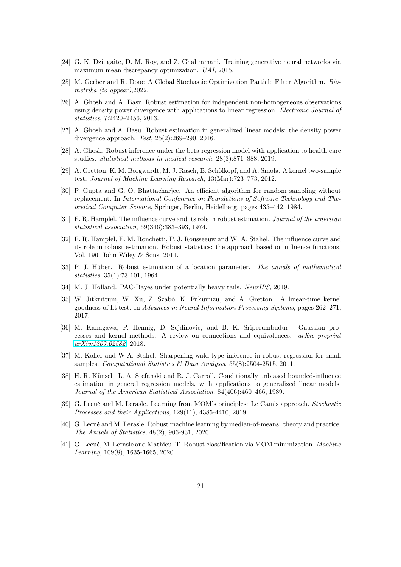- <span id="page-20-13"></span><span id="page-20-12"></span>[24] G. K. Dziugaite, D. M. Roy, and Z. Ghahramani. Training generative neural networks via maximum mean discrepancy optimization. UAI, 2015.
- <span id="page-20-8"></span>[25] M. Gerber and R. Douc A Global Stochastic Optimization Particle Filter Algorithm. Biometrika (to appear),2022.
- [26] A. Ghosh and A. Basu Robust estimation for independent non-homogeneous observations using density power divergence with applications to linear regression. Electronic Journal of statistics, 7:2420–2456, 2013.
- <span id="page-20-9"></span>[27] A. Ghosh and A. Basu. Robust estimation in generalized linear models: the density power divergence approach. Test, 25(2):269–290, 2016.
- <span id="page-20-3"></span>[28] A. Ghosh. Robust inference under the beta regression model with application to health care studies. Statistical methods in medical research, 28(3):871–888, 2019.
- <span id="page-20-10"></span>[29] A. Gretton, K. M. Borgwardt, M. J. Rasch, B. Schölkopf, and A. Smola. A kernel two-sample test. Journal of Machine Learning Research, 13(Mar):723–773, 2012.
- <span id="page-20-15"></span>[30] P. Gupta and G. O. Bhattacharjee. An efficient algorithm for random sampling without replacement. In International Conference on Foundations of Software Technology and Theoretical Computer Science, Springer, Berlin, Heidelberg, pages 435–442, 1984.
- <span id="page-20-0"></span>[31] F. R. Hamplel. The influence curve and its role in robust estimation. *Journal of the american* statistical association, 69(346):383–393, 1974.
- <span id="page-20-1"></span>[32] F. R. Hamplel, E. M. Ronchetti, P. J. Rousseeuw and W. A. Stahel. The influence curve and its role in robust estimation. Robust statistics: the approach based on influence functions, Vol. 196. John Wiley & Sons, 2011.
- <span id="page-20-4"></span>[33] P. J. Hüber. Robust estimation of a location parameter. The annals of mathematical statistics, 35(1):73-101, 1964.
- <span id="page-20-11"></span><span id="page-20-5"></span>[34] M. J. Holland. PAC-Bayes under potentially heavy tails. NeurIPS, 2019.
- [35] W. Jitkrittum, W. Xu, Z. Szabó, K. Fukumizu, and A. Gretton. A linear-time kernel goodness-of-fit test. In Advances in Neural Information Processing Systems, pages 262–271, 2017.
- [36] M. Kanagawa, P. Hennig, D. Sejdinovic, and B. K. Sriperumbudur. Gaussian processes and kernel methods: A review on connections and equivalences.  $arXiv$  preprint [arXiv:1807.02582](http://arxiv.org/abs/1807.02582), 2018.
- <span id="page-20-14"></span>[37] M. Koller and W.A. Stahel. Sharpening wald-type inference in robust regression for small samples. Computational Statistics & Data Analysis,  $55(8):2504-2515$ , 2011.
- <span id="page-20-2"></span>[38] H. R. Künsch, L. A. Stefanski and R. J. Carroll. Conditionally unbiased bounded-influence estimation in general regression models, with applications to generalized linear models. Journal of the American Statistical Association, 84(406):460–466, 1989.
- <span id="page-20-6"></span>[39] G. Lecué and M. Lerasle. Learning from MOM's principles: Le Cam's approach. Stochastic Processes and their Applications, 129(11), 4385-4410, 2019.
- [40] G. Lecué and M. Lerasle. Robust machine learning by median-of-means: theory and practice. The Annals of Statistics, 48(2), 906-931, 2020.
- <span id="page-20-7"></span>[41] G. Lecué, M. Lerasle and Mathieu, T. Robust classification via MOM minimization. Machine Learning, 109(8), 1635-1665, 2020.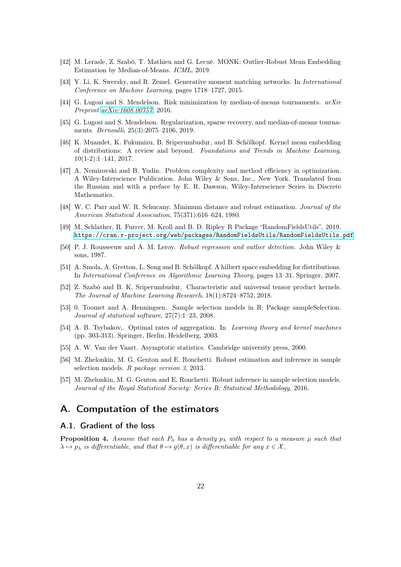- <span id="page-21-7"></span><span id="page-21-6"></span>[42] M. Lerasle, Z. Szabó, T. Mathieu and G. Lecué. MONK: Outlier-Robust Mean Embedding Estimation by Median-of-Means. ICML, 2019.
- <span id="page-21-2"></span>[43] Y. Li, K. Swersky, and R. Zemel. Generative moment matching networks. In International Conference on Machine Learning, pages 1718–1727, 2015.
- <span id="page-21-3"></span>[44] G. Lugosi and S. Mendelson. Risk minimization by median-of-means tournaments.  $arXiv$ Preprint [arXiv:1608.00757](http://arxiv.org/abs/1608.00757), 2016.
- [45] G. Lugosi and S. Mendelson. Regularization, sparse recovery, and median-of-means tournaments. Bernoulli, 25(3):2075–2106, 2019.
- <span id="page-21-8"></span>[46] K. Muandet, K. Fukumizu, B. Sriperumbudur, and B. Schölkopf. Kernel mean embedding of distributions: A review and beyond. Foundations and Trends in Machine Learning, 10(1-2):1–141, 2017.
- <span id="page-21-1"></span>[47] A. Nemirovski and B. Yudin. Problem complexity and method efficiency in optimization. A Wiley-Interscience Publication. John Wiley & Sons, Inc., New York. Translated from the Russian and with a preface by E. R. Dawson, Wiley-Interscience Series in Discrete Mathematics.
- <span id="page-21-4"></span>[48] W. C. Parr and W. R. Schucany. Minimum distance and robust estimation. Journal of the American Statistical Association, 75(371):616–624, 1980.
- [49] M. Schlather, R. Furrer, M. Kroll and B. D. Ripley R Package "RandomFieldsUtils", 2019. <https://cran.r-project.org/web/packages/RandomFieldsUtils/RandomFieldsUtils.pdf>
- <span id="page-21-10"></span><span id="page-21-5"></span>[50] P. J. Rousseeuw and A. M. Leroy. Robust regression and outlier detection. John Wiley & sons, 1987.
- [51] A. Smola, A. Gretton, L. Song and B. Schölkopf. A hilbert space embedding for distributions. In International Conference on Algorithmic Learning Theory, pages 13–31. Springer, 2007.
- [52] Z. Szabó and B. K. Sriperumbudur. Characteristic and universal tensor product kernels. The Journal of Machine Learning Research, 18(1):8724–8752, 2018.
- <span id="page-21-11"></span>[53] 0. Toomet and A. Henningsen. Sample selection models in R: Package sampleSelection. Journal of statistical software, 27(7):1–23, 2008.
- [54] A. B. Tsybakov,. Optimal rates of aggregation. In Learning theory and kernel machines (pp. 303-313). Springer, Berlin, Heidelberg, 2003.
- <span id="page-21-12"></span>[55] A. W. Van der Vaart. Asymptotic statistics. Cambridge university press, 2000.
- [56] M. Zhelonkin, M. G. Genton and E. Ronchetti. Robust estimation and inference in sample selection models. R package version 3, 2013.
- <span id="page-21-0"></span>[57] M. Zhelonkin, M. G. Genton and E. Ronchetti. Robust inference in sample selection models. Journal of the Royal Statistical Society: Series B: Statistical Methodology, 2016.

# <span id="page-21-9"></span>A. Computation of the estimators

### A.1. Gradient of the loss

<span id="page-21-13"></span>**Proposition 4.** Assume that each  $P_{\lambda}$  has a density  $p_{\lambda}$  with respect to a measure  $\mu$  such that  $\lambda \mapsto p_{\lambda}$  is differentiable, and that  $\theta \mapsto q(\theta, x)$  is differentiable for any  $x \in \mathcal{X}$ .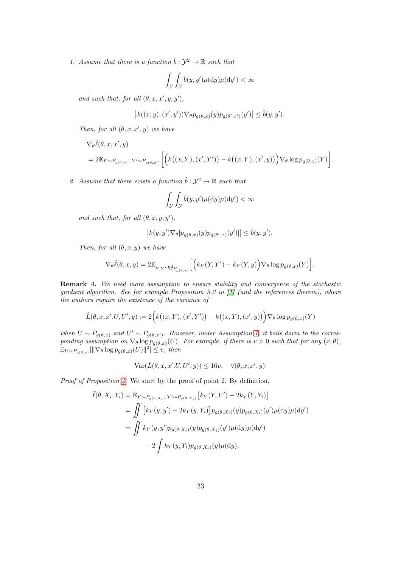1. Assume that there is a function  $\hat{b}: \mathcal{Y}^2 \to \mathbb{R}$  such that

$$
\int_{\mathcal{Y}} \int_{\mathcal{Y}} \hat{b}(y, y') \mu(\mathrm{d}y) \mu(\mathrm{d}y') < \infty
$$

and such that, for all  $(\theta, x, x', y, y')$ ,

$$
\big| k((x,y),(x',y')) \nabla_{\theta} p_{g(\theta,x)}(y) p_{g(\theta',x')}(y') \big| \leq \hat{b}(y,y').
$$

Then, for all  $(\theta, x, x', y)$  we have

$$
\nabla_{\theta}\hat{\ell}(\theta, x, x', y) \n= 2\mathbb{E}_{Y \sim P_{g(\theta, x)}}, Y' \sim P_{g(\theta, x')} \left[ \left( k((x, Y), (x', Y')) - k((x, Y), (x', y)) \right) \nabla_{\theta} \log p_{g(\theta, x)}(Y) \right].
$$

2. Assume that there exists a function  $\tilde{b}: \mathcal{Y}^2 \to \mathbb{R}$  such that

$$
\int_{\mathcal{Y}} \int_{\mathcal{Y}} \tilde{b}(y, y') \mu(\mathrm{d}y) \mu(\mathrm{d}y') < \infty
$$

and such that, for all  $(\theta, x, y, y')$ ,

$$
\left| k(y, y') \nabla_{\theta} [p_{g(\theta, x)}(y) p_{g(\theta', x)}(y')] \right| \leq \tilde{b}(y, y').
$$

Then, for all  $(\theta, x, y)$  we have

$$
\nabla_{\theta}\tilde{\ell}(\theta,x,y) = 2\mathbb{E}_{Y,Y'} \lim_{\sim P_{g(\theta,x)}} \left[ \left( k_Y(Y,Y') - k_Y(Y,y) \right) \nabla_{\theta} \log p_{g(\theta,x)}(Y) \right].
$$

Remark 4. We need more assumption to ensure stability and convergence of the stochastic gradient algorithm. See for example Proposition 5.2 in [\[1\]](#page-45-0) (and the references therein), where the authors require the existence of the variance of

$$
\hat{L}(\theta, x, x'.U, U', y) := 2\Big(k\big((x, Y), (x', Y')\big) - k\big((x, Y), (x', y)\big)\Big)\nabla_{\theta}\log p_{g(\theta, x)}(Y)
$$

when  $U \sim P_{g(\theta,x)}$  and  $U' \sim P_{g(\theta,x')}$ . However, under Assumption [1,](#page-2-1) it boils down to the corresponding assumption on  $\nabla_{\theta} \log p_{g(\theta,x)}(U)$ . For example, if there is  $v > 0$  such that for any  $(x, \theta)$ ,  $\mathbb{E}_{U \sim P_{g(\theta,x)}}[\|\nabla_{\theta} \log p_{g(\theta,x)}(U)\|^2] \leq v$ , then

$$
\text{Var}(\hat{L}(\theta, x, x'.U, U', y)) \le 16v, \quad \forall (\theta, x, x', y).
$$

Proof of Proposition [4](#page-21-13). We start by the proof of point 2. By definition,

$$
\tilde{\ell}(\theta, X_i, Y_i) = \mathbb{E}_{Y \sim P_{g(\theta, X_i)}, Y' \sim P_{g(\theta, X_i)}} [k_Y(Y, Y') - 2k_Y(Y, Y_i)]
$$
  
\n
$$
= \iint [k_Y(y, y') - 2k_Y(y, Y_i)] p_{g(\theta, X_i)}(y) p_{g(\theta, X_i)}(y') \mu(\mathrm{d}y) \mu(\mathrm{d}y')
$$
  
\n
$$
= \iint k_Y(y, y') p_{g(\theta, X_i)}(y) p_{g(\theta, X_i)}(y') \mu(\mathrm{d}y) \mu(\mathrm{d}y')
$$
  
\n
$$
- 2 \int k_Y(y, Y_i) p_{g(\theta, X_i)}(y) \mu(\mathrm{d}y),
$$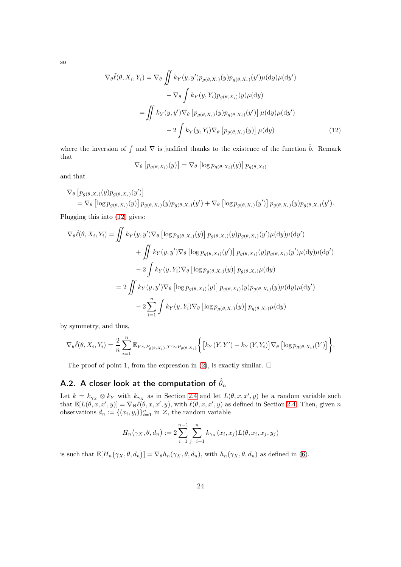so

$$
\nabla_{\theta}\tilde{\ell}(\theta, X_i, Y_i) = \nabla_{\theta} \iint k_Y(y, y') p_{g(\theta, X_i)}(y) p_{g(\theta, X_i)}(y') \mu(\mathrm{d}y) \mu(\mathrm{d}y')
$$

$$
- \nabla_{\theta} \int k_Y(y, Y_i) p_{g(\theta, X_i)}(y) \mu(\mathrm{d}y)
$$

$$
= \iint k_Y(y, y') \nabla_{\theta} \left[ p_{g(\theta, X_i)}(y) p_{g(\theta, X_i)}(y') \right] \mu(\mathrm{d}y) \mu(\mathrm{d}y')
$$

$$
- 2 \int k_Y(y, Y_i) \nabla_{\theta} \left[ p_{g(\theta, X_i)}(y) \right] \mu(\mathrm{d}y) \tag{12}
$$

where the inversion of  $\int$  and  $\nabla$  is justified thanks to the existence of the function  $\tilde{b}$ . Remark that

<span id="page-23-1"></span>
$$
\nabla_{\theta} \left[ p_{g(\theta, X_i)}(y) \right] = \nabla_{\theta} \left[ \log p_{g(\theta, X_i)}(y) \right] p_{g(\theta, X_i)}
$$

and that

$$
\nabla_{\theta} \left[ p_{g(\theta, X_i)}(y) p_{g(\theta, X_i)}(y') \right] \n= \nabla_{\theta} \left[ \log p_{g(\theta, X_i)}(y) \right] p_{g(\theta, X_i)}(y) p_{g(\theta, X_i)}(y') + \nabla_{\theta} \left[ \log p_{g(\theta, X_i)}(y') \right] p_{g(\theta, X_i)}(y) p_{g(\theta, X_i)}(y').
$$

Plugging this into [\(12\)](#page-23-1) gives:

$$
\nabla_{\theta}\tilde{\ell}(\theta, X_i, Y_i) = \iint k_Y(y, y') \nabla_{\theta} \left[ \log p_{g(\theta, X_i)}(y) \right] p_{g(\theta, X_i)}(y) p_{g(\theta, X_i)}(y') \mu(\mathrm{d}y) \mu(\mathrm{d}y')
$$
  
+ 
$$
\iint k_Y(y, y') \nabla_{\theta} \left[ \log p_{g(\theta, X_i)}(y') \right] p_{g(\theta, X_i)}(y) p_{g(\theta, X_i)}(y') \mu(\mathrm{d}y) \mu(\mathrm{d}y')
$$
  
- 
$$
2 \int k_Y(y, Y_i) \nabla_{\theta} \left[ \log p_{g(\theta, X_i)}(y) \right] p_{g(\theta, X_i)} \mu(\mathrm{d}y)
$$
  
= 
$$
2 \iint k_Y(y, y') \nabla_{\theta} \left[ \log p_{g(\theta, X_i)}(y) \right] p_{g(\theta, X_i)}(y) p_{g(\theta, X_i)}(y) \mu(\mathrm{d}y) \mu(\mathrm{d}y')
$$
  
- 
$$
2 \sum_{i=1}^n \int k_Y(y, Y_i) \nabla_{\theta} \left[ \log p_{g(\theta, X_i)}(y) \right] p_{g(\theta, X_i)} \mu(\mathrm{d}y)
$$

by symmetry, and thus,

$$
\nabla_{\theta}\tilde{\ell}(\theta, X_i, Y_i) = \frac{2}{n} \sum_{i=1}^n \mathbb{E}_{Y \sim P_{g(\theta, X_i)}, Y' \sim P_{g(\theta, X_i)}} \bigg\{ \big[ k_Y(Y, Y') - k_Y(Y, Y_i) \big] \nabla_{\theta} \big[ \log p_{g(\theta, X_i)}(Y) \big] \bigg\}.
$$

The proof of point 1, from the expression in [\(2\)](#page-3-3), is exactly similar.  $\Box$ 

# <span id="page-23-0"></span>A.2. A closer look at the computation of  $\hat{\theta}_n$

Let  $k = k_{\gamma x} \otimes k_Y$  with  $k_{\gamma x}$  as in Section [2.4](#page-4-2) and let  $L(\theta, x, x', y)$  be a random variable such that  $\mathbb{E}[L(\theta, x, x', y)] = \nabla_{\Theta} \ell(\theta, x, x', y)$ , with  $\ell(\theta, x, x', y)$  as defined in Section [2.4.](#page-4-2) Then, given n observations  $d_n := \{(x_i, y_i)\}_{i=1}^n$  in  $\mathcal{Z}$ , the random variable

$$
H_n(\gamma_X, \theta, d_n) := 2 \sum_{i=1}^{n-1} \sum_{j=i+1}^n k_{\gamma_X}(x_i, x_j) L(\theta, x_i, x_j, y_j)
$$

is such that  $\mathbb{E}[H_n(\gamma_X, \theta, d_n)] = \nabla_{\theta} h_n(\gamma_X, \theta, d_n)$ , with  $h_n(\gamma_X, \theta, d_n)$  as defined in [\(6\)](#page-4-3).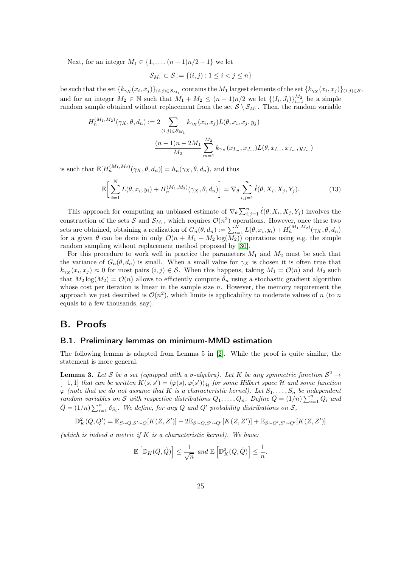Next, for an integer  $M_1$  ∈ {1, ...,  $(n-1)n/2-1$ } we let

$$
\mathcal{S}_{M_1} \subset \mathcal{S} := \{(i,j) : 1 \le i < j \le n\}
$$

be such that the set  $\{k_{\gamma_X}(x_i,x_j)\}_{(i,j)\in\mathcal{S}_{M_1}}$  contains the  $M_1$  largest elements of the set  $\{k_{\gamma_X}(x_i,x_j)\}_{(i,j)\in\mathcal{S}}$ , and for an integer  $M_2 \in \mathbb{N}$  such that  $M_1 + M_2 \leq (n-1)n/2$  we let  $\{(I_i, J_i)\}_{i=1}^{M_2}$  be a simple random sample obtained without replacement from the set  $S \setminus S_{M_1}$ . Then, the random variable

$$
H_n^{(M_1, M_2)}(\gamma_X, \theta, d_n) := 2 \sum_{(i,j) \in S_{M_1}} k_{\gamma_X}(x_i, x_j) L(\theta, x_i, x_j, y_j)
$$
  
+ 
$$
\frac{(n-1)n - 2M_1}{M_2} \sum_{m=1}^{M_2} k_{\gamma_X}(x_{I_m}, x_{J_m}) L(\theta, x_{I_m}, x_{J_m}, y_{J_m})
$$

is such that  $\mathbb{E}[H_n^{(M_1,M_2)}(\gamma_X,\theta,d_n)]=h_n(\gamma_X,\theta,d_n)$ , and thus

$$
\mathbb{E}\bigg[\sum_{i=1}^{N} L(\theta, x_i, y_i) + H_n^{(M_1, M_2)}(\gamma_X, \theta, d_n)\bigg] = \nabla_{\theta} \sum_{i,j=1}^{n} \hat{\ell}(\theta, X_i, X_j, Y_j).
$$
 (13)

This approach for computing an unbiased estimate of  $\nabla_{\theta} \sum_{i,j=1}^{n} \hat{\ell}(\theta, X_i, X_j, Y_j)$  involves the construction of the sets S and  $S_{M_1}$ , which requires  $\mathcal{O}(n^2)$  operations. However, once these two sets are obtained, obtaining a realization of  $G_n(\theta, d_n) := \sum_{i=1}^N L(\theta, x_i, y_i) + H_n^{(M_1, M_2)}(\gamma_X, \theta, d_n)$ for a given  $\theta$  can be done in only  $\mathcal{O}(n + M_1 + M_2 \log(M_2))$  operations using e.g. the simple random sampling without replacement method proposed by [\[30\]](#page-20-15).

For this procedure to work well in practice the parameters  $M_1$  and  $M_2$  must be such that the variance of  $G_n(\theta, d_n)$  is small. When a small value for  $\gamma_X$  is chosen it is often true that  $k_{\gamma X}(x_i, x_j) \approx 0$  for most pairs  $(i, j) \in \mathcal{S}$ . When this happens, taking  $M_1 = \mathcal{O}(n)$  and  $M_2$  such that  $M_2 \log(M_2) = \mathcal{O}(n)$  allows to efficiently compute  $\hat{\theta}_n$  using a stochastic gradient algorithm whose cost per iteration is linear in the sample size  $n$ . However, the memory requirement the approach we just described is  $\mathcal{O}(n^2)$ , which limits is applicability to moderate values of n (to n equals to a few thousands, say).

## <span id="page-24-0"></span>B. Proofs

### B.1. Preliminary lemmas on minimum-MMD estimation

The following lemma is adapted from Lemma 5 in [\[2\]](#page-45-1). While the proof is quite similar, the statement is more general.

<span id="page-24-1"></span>**Lemma 3.** Let S be a set (equipped with a  $\sigma$ -algebra). Let K be any symmetric function  $S^2 \to$  $[-1,1]$  that can be written  $K(s,s') = \langle \varphi(s), \varphi(s') \rangle_{\mathcal{H}}$  for some Hilbert space H and some function  $\varphi$  (note that we do not assume that K is a characteristic kernel). Let  $S_1, \ldots, S_n$  be independent random variables on S with respective distributions  $Q_1, \ldots, Q_n$ . Define  $\overline{Q} = (1/n) \sum_{i=1}^n Q_i$  and  $\hat{Q} = (1/n) \sum_{i=1}^{n} \delta_{S_i}$ . We define, for any Q and Q' probability distributions on S,

$$
\mathbb{D}_{K}^{2}(Q,Q') = \mathbb{E}_{S\sim Q,S'\sim Q}[K(Z,Z')] - 2\mathbb{E}_{S\sim Q,S'\sim Q'}[K(Z,Z')] + \mathbb{E}_{S\sim Q',S'\sim Q'}[K(Z,Z')]
$$

(which is indeed a metric if  $K$  is a characteristic kernel). We have:

$$
\mathbb{E}\left[\mathbb{D}_K(\bar{Q},\hat{Q})\right] \le \frac{1}{\sqrt{n}} \text{ and } \mathbb{E}\left[\mathbb{D}_K^2(\bar{Q},\hat{Q})\right] \le \frac{1}{n}.
$$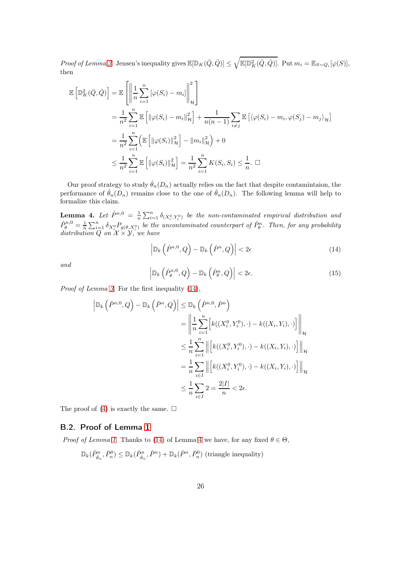Proof of Lemma [3](#page-24-1). Jensen's inequality gives  $\mathbb{E}[\mathbb{D}_K(\bar{Q}, \hat{Q})] \leq \sqrt{\mathbb{E}[\mathbb{D}_K^2(\bar{Q}, \hat{Q})]}$ . Put  $m_i = \mathbb{E}_{S \sim Q_i}[\varphi(S)],$ then

$$
\mathbb{E}\left[\mathbb{D}_{K}^{2}(\bar{Q},\hat{Q})\right] = \mathbb{E}\left[\left\|\frac{1}{n}\sum_{i=1}^{n}\left[\varphi(S_{i})-m_{i}\right]\right\|_{\mathcal{H}}^{2}\right]
$$
\n
$$
=\frac{1}{n^{2}}\sum_{i=1}^{n}\mathbb{E}\left[\left\|\varphi(S_{i})-m_{i}\right\|_{\mathcal{H}}^{2}\right]+\frac{1}{n(n-1)}\sum_{i\neq j}\mathbb{E}\left[\left\langle\varphi(S_{i})-m_{i},\varphi(S_{j})-m_{j}\right\rangle_{\mathcal{H}}\right]
$$
\n
$$
=\frac{1}{n^{2}}\sum_{i=1}^{n}\left(\mathbb{E}\left[\left\|\varphi(S_{i})\right\|_{\mathcal{H}}^{2}\right]-\left\|m_{i}\right\|_{\mathcal{H}}^{2}\right)+0
$$
\n
$$
\leq \frac{1}{n^{2}}\sum_{i=1}^{n}\mathbb{E}\left[\left\|\varphi(S_{i})\right\|_{\mathcal{H}}^{2}\right]=\frac{1}{n^{2}}\sum_{i=1}^{n}K(S_{i},S_{i})\leq\frac{1}{n}.\quad \Box
$$

Our proof strategy to study  $\hat{\theta}_n(D_n)$  actually relies on the fact that despite contamintaion, the performance of  $\hat{\theta}_n(D_n)$  remains close to the one of  $\hat{\theta}_n(D_n)$ . The following lemma will help to formalize this claim.

<span id="page-25-1"></span>**Lemma 4.** Let  $\hat{P}^{n,0} = \frac{1}{n} \sum_{i=1}^{n} \delta_{(X_i^0, Y_i^0)}$  be the non-contaminated empirical distribution and  $\hat{P}_{\theta}^{n,0} = \frac{1}{n} \sum_{i=1}^{n} \delta_{X_i^0} P_{g(\theta, X_i^0)}$  be the uncontaminated counterpart of  $\hat{P}_{\theta}^n$ . Then, for any probability distribution  $Q$  on  $\mathcal{X} \times \mathcal{Y}$ , we have

<span id="page-25-0"></span>
$$
\left| \mathbb{D}_k\left(\hat{P}^{n,0}, Q\right) - \mathbb{D}_k\left(\hat{P}^n, Q\right) \right| < 2\epsilon \tag{14}
$$

and

<span id="page-25-2"></span>
$$
\left| \mathbb{D}_k\left(\hat{P}_{\theta}^{n,0}, Q\right) - \mathbb{D}_k\left(\hat{P}_{\theta}^n, Q\right) \right| < 2\epsilon. \tag{15}
$$

Proof of Lemma [3](#page-24-1). For the first inequality [\(14\)](#page-25-0),

$$
\left| \mathbb{D}_{k}\left(\hat{P}^{n,0},Q\right) - \mathbb{D}_{k}\left(\hat{P}^{n},Q\right) \right| \leq \mathbb{D}_{k}\left(\hat{P}^{n,0},\hat{P}^{n}\right)
$$
  
\n
$$
= \left\| \frac{1}{n} \sum_{i=1}^{n} \left[ k((X_{i}^{0},Y_{i}^{0}),\cdot) - k((X_{i},Y_{i}),\cdot) \right] \right\|_{\mathcal{H}}
$$
  
\n
$$
\leq \frac{1}{n} \sum_{i=1}^{n} \left\| \left[ k((X_{i}^{0},Y_{i}^{0}),\cdot) - k((X_{i},Y_{i}),\cdot) \right] \right\|_{\mathcal{H}}
$$
  
\n
$$
= \frac{1}{n} \sum_{i \in I} \left\| \left[ k((X_{i}^{0},Y_{i}^{0}),\cdot) - k((X_{i},Y_{i}),\cdot) \right] \right\|_{\mathcal{H}}
$$
  
\n
$$
\leq \frac{1}{n} \sum_{i \in I} 2 = \frac{2|I|}{n} < 2\epsilon.
$$

The proof of [\(4\)](#page-25-1) is exactly the same.  $\square$ 

# B.2. Proof of Lemma [1](#page-7-0)

*Proof of Lemma [1](#page-7-0).* Thanks to [\(14\)](#page-25-0) of Lemma [4](#page-25-1) we have, for any fixed  $\theta \in \Theta$ ,

$$
\mathbb{D}_k(\hat{P}_{\hat{\theta}_n}^n, \bar{P}_n^0) \le \mathbb{D}_k(\hat{P}_{\hat{\theta}_n}^n, \hat{P}^n) + \mathbb{D}_k(\hat{P}^n, \bar{P}_n^0)
$$
 (triangle inequality)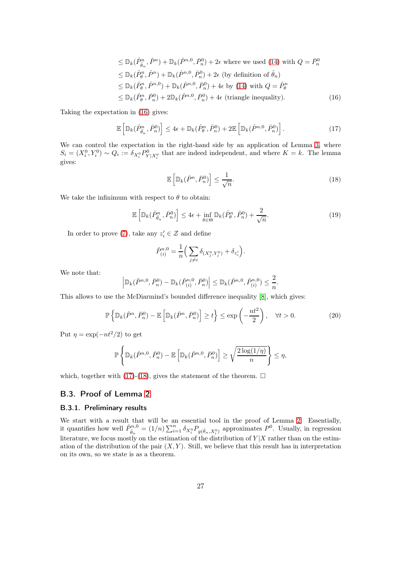$$
\leq \mathbb{D}_k(\hat{P}_{\hat{\theta}_n}^n, \hat{P}^n) + \mathbb{D}_k(\hat{P}^{n,0}, \bar{P}_n^0) + 2\epsilon \text{ where we used (14) with } Q = \bar{P}_n^0
$$
  
\n
$$
\leq \mathbb{D}_k(\hat{P}_{\theta}^n, \hat{P}^n) + \mathbb{D}_k(\hat{P}^{n,0}, \bar{P}_n^0) + 2\epsilon \text{ (by definition of } \hat{\theta}_n)
$$
  
\n
$$
\leq \mathbb{D}_k(\hat{P}_{\theta}^n, \hat{P}^{n,0}) + \mathbb{D}_k(\hat{P}^{n,0}, \bar{P}_n^0) + 4\epsilon \text{ by (14) with } Q = \hat{P}_{\theta}^n
$$
  
\n
$$
\leq \mathbb{D}_k(\hat{P}_{\theta}^n, \bar{P}_n^0) + 2\mathbb{D}_k(\hat{P}^{n,0}, \bar{P}_n^0) + 4\epsilon \text{ (triangle inequality)}.
$$
 (16)

Taking the expectation in [\(16\)](#page-26-0) gives:

$$
\mathbb{E}\left[\mathbb{D}_{k}(\hat{P}_{\hat{\theta}_{n}}^{n}, \bar{P}_{n}^{0})\right] \leq 4\epsilon + \mathbb{D}_{k}(\hat{P}_{\theta}^{n}, \bar{P}_{n}^{0}) + 2\mathbb{E}\left[\mathbb{D}_{k}(\hat{P}^{n,0}, \bar{P}_{n}^{0})\right].
$$
\n(17)

We can control the expectation in the right-hand side by an application of Lemma [3,](#page-24-1) where  $S_i = (X_i^0, Y_i^0) \sim Q_i := \delta_{X_i^0} P_{Y|X_i^0}^0$  that are indeed independent, and where  $K = k$ . The lemma gives:

<span id="page-26-2"></span><span id="page-26-1"></span><span id="page-26-0"></span>
$$
\mathbb{E}\left[\mathbb{D}_k(\hat{P}^n,\bar{P}_n^0)\right] \le \frac{1}{\sqrt{n}}.\tag{18}
$$

We take the infinimum with respect to  $\theta$  to obtain:

$$
\mathbb{E}\left[\mathbb{D}_{k}(\hat{P}_{\hat{\theta}_{n}}^{n},\bar{P}_{n}^{0})\right] \leq 4\epsilon + \inf_{\theta \in \Theta} \mathbb{D}_{k}(\hat{P}_{\theta}^{n},\bar{P}_{n}^{0}) + \frac{2}{\sqrt{n}}.
$$
\n(19)

In order to prove [\(7\)](#page-7-1), take any  $z_i' \in \mathcal{Z}$  and define

$$
\hat{P}_{(i)}^{n,0} = \frac{1}{n} \Big( \sum_{j \neq i} \delta_{(X_j^0, Y_j^0)} + \delta_{z_i'} \Big).
$$

We note that:

$$
\left| \mathbb{D}_k(\hat{P}^{n,0}, \bar{P}_n^0) - \mathbb{D}_k(\hat{P}_{(i)}^{n,0}, \bar{P}_n^0) \right| \leq \mathbb{D}_k(\hat{P}^{n,0}, \hat{P}_{(i)}^{n,0}) \leq \frac{2}{n}.
$$

This allows to use the McDiarmind's bounded difference inequality [\[8\]](#page-45-4), which gives:

$$
\mathbb{P}\left\{\mathbb{D}_k(\hat{P}^n,\bar{P}_n^0)-\mathbb{E}\left[\mathbb{D}_k(\hat{P}^n,\bar{P}_n^0)\right]\geq t\right\}\leq \exp\left(-\frac{nt^2}{2}\right), \quad \forall t>0. \tag{20}
$$

Put  $\eta = \exp(-nt^2/2)$  to get

$$
\mathbb{P}\left\{\mathbb{D}_k(\hat{P}^{n,0}, \bar{P}_n^0) - \mathbb{E}\left[\mathbb{D}_k(\hat{P}^{n,0}, \bar{P}_n^0)\right] \ge \sqrt{\frac{2\log(1/\eta)}{n}}\right\} \le \eta,
$$

which, together with [\(17\)](#page-26-1)-[\(18\)](#page-26-2), gives the statement of the theorem.  $\Box$ 

# B.3. Proof of Lemma [2](#page-8-2)

### B.3.1. Preliminary results

We start with a result that will be an essential tool in the proof of Lemma [2.](#page-8-2) Essentially, it quantifies how well  $\hat{P}_{\hat{\theta}_n}^{n,0} = (1/n) \sum_{i=1}^n \delta_{X_i^0} P_{g(\hat{\theta}_n, X_i^0)}$  approximates  $P^0$ . Usually, in regression literature, we focus mostly on the estimation of the distribution of  $Y|X$  rather than on the estimation of the distribution of the pair  $(X, Y)$ . Still, we believe that this result has in interpretation on its own, so we state is as a theorem.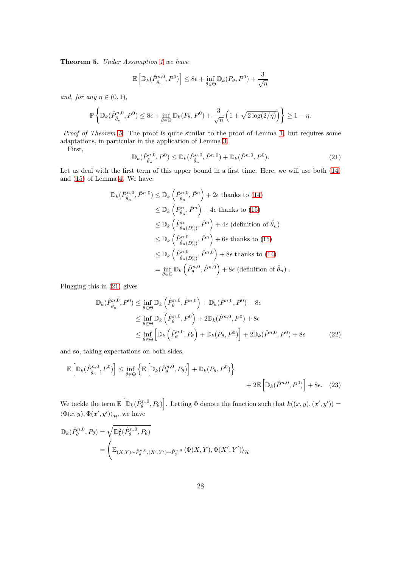<span id="page-27-0"></span>Theorem 5. Under Assumption [1](#page-2-1) we have

$$
\mathbb{E}\left[\mathbb{D}_{k}(\hat{P}_{\hat{\theta}_{n}}^{n,0},P^{0})\right] \leq 8\epsilon + \inf_{\theta \in \Theta} \mathbb{D}_{k}(P_{\theta},P^{0}) + \frac{3}{\sqrt{n}}
$$

and, for any  $\eta \in (0,1)$ ,

$$
\mathbb{P}\left\{\mathbb{D}_k(\hat{P}_{\hat{\theta}_n}^{n,0}, P^0) \le 8\epsilon + \inf_{\theta \in \Theta} \mathbb{D}_k(P_{\theta}, P^0) + \frac{3}{\sqrt{n}}\left(1 + \sqrt{2\log(2/\eta)}\right)\right\} \ge 1 - \eta.
$$

Proof of Theorem [5](#page-27-0). The proof is quite similar to the proof of Lemma [1,](#page-7-0) but requires some adaptations, in particular in the application of Lemma [3.](#page-24-1)

First,

<span id="page-27-1"></span>
$$
\mathbb{D}_k(\hat{P}_{\hat{\theta}_n}^{n,0}, P^0) \le \mathbb{D}_k(\hat{P}_{\hat{\theta}_n}^{n,0}, \hat{P}^{n,0}) + \mathbb{D}_k(\hat{P}^{n,0}, P^0). \tag{21}
$$

Let us deal with the first term of this upper bound in a first time. Here, we will use both [\(14\)](#page-25-0) and [\(15\)](#page-25-2) of Lemma [4.](#page-25-1) We have:

$$
\mathbb{D}_{k}(\hat{P}_{\hat{\theta}_{n}}^{n,0},\hat{P}^{n,0}) \leq \mathbb{D}_{k}\left(\hat{P}_{\hat{\theta}_{n}}^{n,0},\hat{P}^{n}\right) + 2\epsilon \text{ thanks to (14)}
$$
  
\n
$$
\leq \mathbb{D}_{k}\left(\hat{P}_{\hat{\theta}_{n}}^{n},\hat{P}^{n}\right) + 4\epsilon \text{ thanks to (15)}
$$
  
\n
$$
\leq \mathbb{D}_{k}\left(\hat{P}_{\hat{\theta}_{n}(D_{n}^{0})}^{n},\hat{P}^{n}\right) + 4\epsilon \text{ (definition of } \hat{\theta}_{n})
$$
  
\n
$$
\leq \mathbb{D}_{k}\left(\hat{P}_{\hat{\theta}_{n}(D_{n}^{0})}^{n},\hat{P}^{n}\right) + 6\epsilon \text{ thanks to (15)}
$$
  
\n
$$
\leq \mathbb{D}_{k}\left(\hat{P}_{\hat{\theta}_{n}(D_{n}^{0})}^{n,0},\hat{P}^{n,0}\right) + 8\epsilon \text{ thanks to (14)}
$$
  
\n
$$
= \inf_{\theta \in \Theta} \mathbb{D}_{k}\left(\hat{P}_{\theta}^{n,0},\hat{P}^{n,0}\right) + 8\epsilon \text{ (definition of } \hat{\theta}_{n}) .
$$

Plugging this in [\(21\)](#page-27-1) gives

<span id="page-27-3"></span><span id="page-27-2"></span>
$$
\mathbb{D}_{k}(\hat{P}_{\hat{\theta}_{n}}^{n,0},P^{0}) \leq \inf_{\theta \in \Theta} \mathbb{D}_{k}\left(\hat{P}_{\theta}^{n,0},\hat{P}^{n,0}\right) + \mathbb{D}_{k}(\hat{P}^{n,0},P^{0}) + 8\epsilon
$$
\n
$$
\leq \inf_{\theta \in \Theta} \mathbb{D}_{k}\left(\hat{P}_{\theta}^{n,0},P^{0}\right) + 2\mathbb{D}_{k}(\hat{P}^{n,0},P^{0}) + 8\epsilon
$$
\n
$$
\leq \inf_{\theta \in \Theta} \left[ \mathbb{D}_{k}\left(\hat{P}_{\theta}^{n,0},P_{\theta}\right) + \mathbb{D}_{k}(P_{\theta},P^{0}) \right] + 2\mathbb{D}_{k}(\hat{P}^{n,0},P^{0}) + 8\epsilon
$$
\n(22)

and so, taking expectations on both sides,

$$
\mathbb{E}\left[\mathbb{D}_{k}(\hat{P}_{\hat{\theta}_{n}}^{n,0},P^{0})\right] \leq \inf_{\theta \in \Theta} \left\{\mathbb{E}\left[\mathbb{D}_{k}(\hat{P}_{\theta}^{n,0},P_{\theta})\right] + \mathbb{D}_{k}(P_{\theta},P^{0})\right\} + 2\mathbb{E}\left[\mathbb{D}_{k}(\hat{P}^{n,0},P^{0})\right] + 8\epsilon. \quad (23)
$$

We tackle the term  $\mathbb{E}\left[\mathbb{D}_k(\hat{P}_{\theta}^{n,0},P_{\theta})\right]$ . Letting  $\Phi$  denote the function such that  $k((x,y),(x',y'))=$  $\langle \Phi(x, y), \Phi(x', y') \rangle_{\mathcal{H}}$ , we have

$$
\mathbb{D}_{k}(\hat{P}_{\theta}^{n,0}, P_{\theta}) = \sqrt{\mathbb{D}_{k}^{2}(\hat{P}_{\theta}^{n,0}, P_{\theta})}
$$
\n
$$
= \left( \mathbb{E}_{(X,Y)\sim \hat{P}_{\theta}^{n,0}, (X',Y')\sim \hat{P}_{\theta}^{n,0}} \langle \Phi(X,Y), \Phi(X',Y') \rangle_{\mathcal{H}} \right)
$$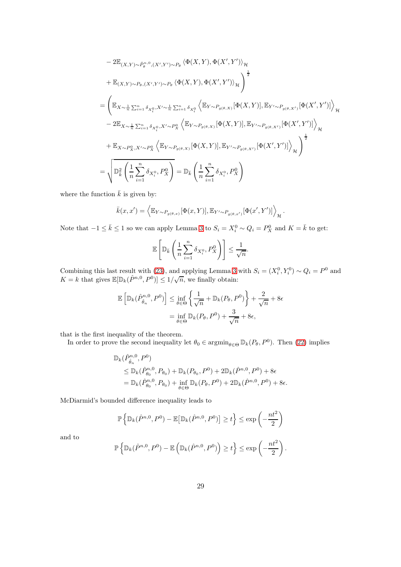$$
- 2\mathbb{E}_{(X,Y)\sim\hat{P}_{\theta}^{n,0},(X',Y')\sim P_{\theta}}\langle\Phi(X,Y),\Phi(X',Y')\rangle_{\mathcal{H}}
$$
  
+  $\mathbb{E}_{(X,Y)\sim P_{\theta},(X',Y')\sim P_{\theta}}\langle\Phi(X,Y),\Phi(X',Y')\rangle_{\mathcal{H}}\rangle^{\frac{1}{2}}$   
=  $\left(\mathbb{E}_{X\sim\frac{1}{n}\sum_{i=1}^{n}\delta_{X_{i}^{0}},X'\sim\frac{1}{n}\sum_{i=1}^{n}\delta_{X_{i}^{0}}\langle\mathbb{E}_{Y\sim P_{g(\theta,X)}}[\Phi(X,Y)],\mathbb{E}_{Y'\sim P_{g(\theta,X')}}[\Phi(X',Y')]\rangle_{\mathcal{H}}$   
-  $2\mathbb{E}_{X\sim\frac{1}{n}\sum_{i=1}^{n}\delta_{X_{i}^{0}},X'\sim P_{X}^{0}}\langle\mathbb{E}_{Y\sim P_{g(\theta,X)}}[\Phi(X,Y)],\mathbb{E}_{Y'\sim P_{g(\theta,X')}}[\Phi(X',Y')]\rangle_{\mathcal{H}}$   
+  $\mathbb{E}_{X\sim P_{X}^{0},X'\sim P_{X}^{0}}\langle\mathbb{E}_{Y\sim P_{g(\theta,X)}}[\Phi(X,Y)],\mathbb{E}_{Y'\sim P_{g(\theta,X')}}[\Phi(X',Y')]\rangle_{\mathcal{H}}$   
=  $\sqrt{\mathbb{E}_{X}^{2}\left(\frac{1}{n}\sum_{i=1}^{n}\delta_{X_{i}^{0}},P_{X}^{0}\right)} = \mathbb{D}_{\bar{k}}\left(\frac{1}{n}\sum_{i=1}^{n}\delta_{X_{i}^{0}},P_{X}^{0}\right)}$ 

where the function  $\bar{k}$  is given by:

$$
\bar{k}(x,x') = \left\langle \mathbb{E}_{Y \sim P_{g(\theta,x)}}[\Phi(x,Y)], \mathbb{E}_{Y' \sim P_{g(\theta,x')}}[\Phi(x',Y')] \right\rangle_{\mathcal{H}}.
$$

Note that  $-1 \leq \bar{k} \leq 1$  so we can apply Lemma [3](#page-24-1) to  $S_i = X_i^0 \sim Q_i = P_X^0$  and  $K = \bar{k}$  to get:

$$
\mathbb{E}\left[\mathbb{D}_{\bar{k}}\left(\frac{1}{n}\sum_{i=1}^n \delta_{X_i^0}, P_X^0\right)\right] \le \frac{1}{\sqrt{n}}.
$$

Combining this last result with [\(23\)](#page-27-2), and applying Lemma [3](#page-24-1) with  $S_i = (X_i^0, Y_i^0) \sim Q_i = P^0$  and  $K = k$  that gives  $\mathbb{E}[\mathbb{D}_k(\hat{P}^{n,0}, P^0)] \leq 1/\sqrt{n}$ , we finally obtain:

$$
\mathbb{E}\left[\mathbb{D}_{k}(\hat{P}_{\hat{\theta}_{n}}^{n,0},P^{0})\right] \leq \inf_{\theta \in \Theta} \left\{\frac{1}{\sqrt{n}} + \mathbb{D}_{k}(P_{\theta},P^{0})\right\} + \frac{2}{\sqrt{n}} + 8\epsilon
$$

$$
= \inf_{\theta \in \Theta} \mathbb{D}_{k}(P_{\theta},P^{0}) + \frac{3}{\sqrt{n}} + 8\epsilon,
$$

that is the first inequality of the theorem.

In order to prove the second inequality let  $\theta_0 \in \operatorname{argmin}_{\theta \in \Theta} \mathbb{D}_k(P_{\theta}, P^0)$ . Then [\(22\)](#page-27-3) implies

$$
\mathbb{D}_{k}(\hat{P}_{\hat{\theta}_{n}}^{n,0}, P^{0})
$$
\n
$$
\leq \mathbb{D}_{k}(\hat{P}_{\theta_{0}}^{n,0}, P_{\theta_{0}}) + \mathbb{D}_{k}(P_{\theta_{0}}, P^{0}) + 2\mathbb{D}_{k}(\hat{P}^{n,0}, P^{0}) + 8\epsilon
$$
\n
$$
= \mathbb{D}_{k}(\hat{P}_{\theta_{0}}^{n,0}, P_{\theta_{0}}) + \inf_{\theta \in \Theta} \mathbb{D}_{k}(P_{\theta}, P^{0}) + 2\mathbb{D}_{k}(\hat{P}^{n,0}, P^{0}) + 8\epsilon.
$$

McDiarmid's bounded difference inequality leads to

$$
\mathbb{P}\left\{\mathbb{D}_k(\hat{P}^{n,0},P^0) - \mathbb{E}\left[\mathbb{D}_k(\hat{P}^{n,0},P^0)\right] \ge t\right\} \le \exp\left(-\frac{nt^2}{2}\right)
$$

and to

$$
\mathbb{P}\left\{\mathbb{D}_k(\hat{P}^{n,0},P^0)-\mathbb{E}\left(\mathbb{D}_k(\hat{P}^{n,0},P^0)\right)\geq t\right\}\leq \exp\left(-\frac{nt^2}{2}\right).
$$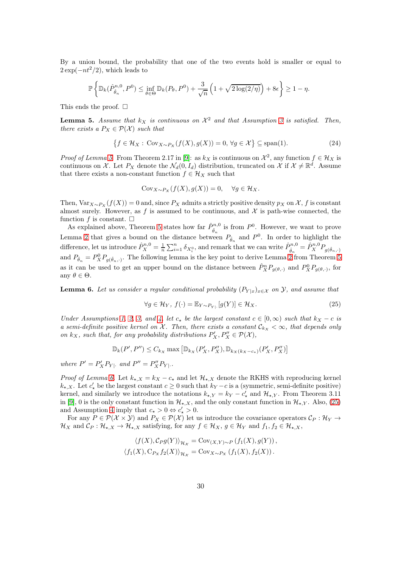By a union bound, the probability that one of the two events hold is smaller or equal to  $2 \exp(-nt^2/2)$ , which leads to

$$
\mathbb{P}\left\{\mathbb{D}_k(\hat{P}_{\hat{\theta}_n}^{n,0},P^0) \leq \inf_{\theta \in \Theta} \mathbb{D}_k(P_{\theta},P^0) + \frac{3}{\sqrt{n}}\left(1+\sqrt{2\log(2/\eta)}\right) + 8\epsilon\right\} \geq 1-\eta.
$$

This ends the proof.  $\square$ 

<span id="page-29-0"></span>**Lemma 5.** Assume that  $k_X$  is continuous on  $\mathcal{X}^2$  and that Assumption [3](#page-8-6) is satisfied. Then, there exists a  $P_X \in \mathcal{P}(\mathcal{X})$  such that

$$
\{f \in \mathcal{H}_X : \text{Cov}_{X \sim P_X}(f(X), g(X)) = 0, \forall g \in \mathcal{X}\} \subseteq \text{span}(1). \tag{24}
$$

*Proof of Lemma [5](#page-29-0).* From Theorem 2.17 in [\[9\]](#page-45-5): as  $k_X$  is continuous on  $\mathcal{X}^2$ , any function  $f \in \mathcal{H}_X$  is continuous on X. Let  $P_X$  denote the  $\mathcal{N}_d(0, I_d)$  distribution, truncated on X if  $\mathcal{X} \neq \mathbb{R}^d$ . Assume that there exists a non-constant function  $f \in \mathcal{H}_X$  such that

<span id="page-29-3"></span>
$$
Cov_{X \sim P_X}(f(X), g(X)) = 0, \quad \forall g \in \mathcal{H}_X.
$$

Then,  $Var_{X\sim P_X}(f(X)) = 0$  and, since  $P_X$  admits a strictly positive density  $p_X$  on X, f is constant almost surely. However, as f is assumed to be continuous, and  $\mathcal X$  is path-wise connected, the function f is constant.  $\square$ 

As explained above, Theorem [5](#page-27-0) states how far  $\hat{P}_{\hat{\theta}_n}^{n,0}$  is from  $P^0$ . However, we want to prove Lemma [2](#page-8-2) that gives a bound on the distance between  $P_{\hat{\theta}_n}$  and  $P^0$ . In order to highlight the difference, let us introduce  $\hat{P}_X^{n,0} = \frac{1}{n} \sum_{i=1}^n \delta_{X_i^0}$ , and remark that we can write  $\hat{P}_{\hat{\theta}_n}^{n,0} = \hat{P}_X^{n,0} P_{g(\hat{\theta}_n,\cdot)}$ and  $P_{\hat{\theta}_n} = P_X^0 P_{g(\hat{\theta}_n,\cdot)}$ . The following lemma is the key point to derive Lemma [2](#page-8-2) from Theorem [5](#page-27-0) as it can be used to get an upper bound on the distance between  $\hat{P}_X^n P_{g(\theta,\cdot)}$  and  $P_X^0 P_{g(\theta,\cdot)}$ , for any  $\theta \in \Theta$ .

<span id="page-29-1"></span>**Lemma 6.** Let us consider a regular conditional probability  $(P_{Y|x})_{x\in\mathcal{X}}$  on  $\mathcal{Y}$ , and assume that

<span id="page-29-2"></span>
$$
\forall g \in \mathcal{H}_Y, \ f(\cdot) = \mathbb{E}_{Y \sim P_{Y|}}[g(Y)] \in \mathcal{H}_X. \tag{25}
$$

Under Assumptions [1,](#page-2-1) [2,](#page-3-0) [3,](#page-8-6) and [4,](#page-8-0) let  $c_{\star}$  be the largest constant  $c \in [0,\infty)$  such that  $k_X - c$  is a semi-definite positive kernel on X. Then, there exists a constant  $\mathcal{C}_{kx} < \infty$ , that depends only on  $k_X$ , such that, for any probability distributions  $P'_X, P''_X \in \mathcal{P}(\mathcal{X})$ ,

$$
\mathbb{D}_{k}(P',P'') \leq C_{k_{X}} \max \left[ \mathbb{D}_{k_{X}}(P'_{X},P''_{X}), \mathbb{D}_{k_{X}(k_{X}-c_{\star})}(P'_{X},P''_{X}) \right]
$$

where  $P' = P'_X P_{Y|}$  and  $P'' = P''_X P_{Y|}$ .

*Proof of Lemma [6.](#page-29-1)* Let  $k_{\star,X} = k_X - c_{\star}$  and let  $\mathcal{H}_{\star,X}$  denote the RKHS with reproducing kernel  $k_{\star,X}$ . Let  $c'_{\star}$  be the largest constant  $c \geq 0$  such that  $k_Y - c$  is a (symmetric, semi-definite positive) kernel, and similarly we introduce the notations  $k_{\star,Y} = k_Y - c'_{\star}$  and  $\mathcal{H}_{\star,Y}$ . From Theorem 3.11 in [\[9\]](#page-45-5), 0 is the only constant function in  $\mathcal{H}_{\star,X}$ , and the only constant function in  $\mathcal{H}_{\star,Y}$ . Also, [\(25\)](#page-29-2) and Assumption [4](#page-8-0) imply that  $c_{\star} > 0 \Leftrightarrow c'_{\star} > 0$ .

For any  $P \in \mathcal{P}(\mathcal{X} \times \mathcal{Y})$  and  $P_X \in \mathcal{P}(\mathcal{X})$  let us introduce the covariance operators  $\mathcal{C}_P : \mathcal{H}_Y \to$  $\mathcal{H}_X$  and  $\mathcal{C}_P : \mathcal{H}_{\star,X} \to \mathcal{H}_{\star,X}$  satisfying, for any  $f \in \mathcal{H}_X$ ,  $g \in \mathcal{H}_Y$  and  $f_1, f_2 \in \mathcal{H}_{\star,X}$ ,

$$
\langle f(X), C_P g(Y) \rangle_{\mathcal{H}_X} = \text{Cov}_{(X,Y) \sim P} (f_1(X), g(Y)),
$$
  

$$
\langle f_1(X), C_{P_X} f_2(X) \rangle_{\mathcal{H}_X} = \text{Cov}_{X \sim P_X} (f_1(X), f_2(X)).
$$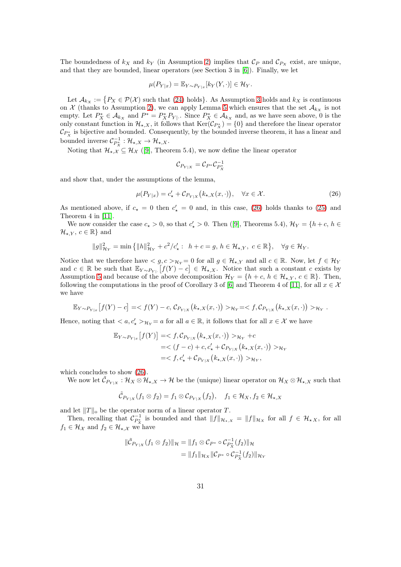The boundedness of  $k_X$  and  $k_Y$  (in Assumption [2\)](#page-3-0) implies that  $\mathcal{C}_P$  and  $\mathcal{C}_{P_X}$  exist, are unique, and that they are bounded, linear operators (see Section 3 in [\[6\]](#page-45-6)). Finally, we let

$$
\mu(P_{Y|x}) = \mathbb{E}_{Y \sim P_{Y|x}}[k_Y(Y, \cdot)] \in \mathcal{H}_Y.
$$

Let  $\mathcal{A}_{k_X} := \{P_X \in \mathcal{P}(\mathcal{X}) \text{ such that } (24) \text{ holds}\}\.$  $\mathcal{A}_{k_X} := \{P_X \in \mathcal{P}(\mathcal{X}) \text{ such that } (24) \text{ holds}\}\.$  $\mathcal{A}_{k_X} := \{P_X \in \mathcal{P}(\mathcal{X}) \text{ such that } (24) \text{ holds}\}\.$  As Assumption [3](#page-8-6) holds and  $k_X$  is continuous on  $\mathcal X$  (thanks to Assumption [2\)](#page-3-0), we can apply Lemma [5](#page-29-0) which ensures that the set  $\mathcal A_{kx}$  is not empty. Let  $P_X^* \in \mathcal{A}_{k_X}$  and  $P^* = P_X^* P_{Y}$ . Since  $P_X^* \in \mathcal{A}_{k_X}$  and, as we have seen above, 0 is the only constant function in  $\mathcal{H}_{\star,X}$ , it follows that  $\text{Ker}(\mathcal{C}_{P_X^*}) = \{0\}$  and therefore the linear operator  $\mathcal{C}_{P_X^*}$  is bijective and bounded. Consequently, by the bounded inverse theorem, it has a linear and bounded inverse  $C_{P_X^*}^{-1}: \mathcal{H}_{\star,X} \to \mathcal{H}_{\star,X}$ .

Noting that  $\mathcal{H}_{\star,\mathcal{X}} \subseteq \mathcal{H}_{\mathcal{X}}$  ([\[9\]](#page-45-5), Theorem 5.4), we now define the linear operator

<span id="page-30-0"></span>
$$
\mathcal{C}_{P_{Y|X}}=\mathcal{C}_{P^*}\mathcal{C}_{P_X^*}^{-1}
$$

and show that, under the assumptions of the lemma,

$$
\mu(P_{Y|x}) = c'_{\star} + \mathcal{C}_{P_{Y|X}}(k_{\star,X}(x,\cdot)), \quad \forall x \in \mathcal{X}.
$$
\n(26)

As mentioned above, if  $c_{\star} = 0$  then  $c'_{\star} = 0$  and, in this case, [\(26\)](#page-30-0) holds thanks to [\(25\)](#page-29-2) and Theorem 4 in [\[11\]](#page-45-7).

We now consider the case  $c_{\star} > 0$ , so that  $c'_{\star} > 0$ . Then ([\[9\]](#page-45-5), Theorems 5.4),  $\mathcal{H}_Y = \{h+c, h \in \mathbb{R}^3\}$  $\mathcal{H}_{\star,Y}, c \in \mathbb{R}$  and

$$
\|g\|_{\mathcal{H}_Y}^2=\min\left\{\|h\|_{\mathcal{H}_Y}^2+c^2/c_\star': \ \ h+c=g, \, h\in \mathcal{H}_{\star,Y}, \ c\in \mathbb{R}\right\}, \quad \forall g\in \mathcal{H}_Y.
$$

Notice that we therefore have  $\langle g, c \rangle_{\mathcal{H}_Y} = 0$  for all  $g \in \mathcal{H}_{\star, Y}$  and all  $c \in \mathbb{R}$ . Now, let  $f \in \mathcal{H}_Y$ and  $c \in \mathbb{R}$  be such that  $\mathbb{E}_{Y \sim P_{Y} |F(Y) - c \in \mathcal{H}_{\star, X}$ . Notice that such a constant c exists by Assumption [5](#page-8-1) and because of the above decomposition  $\mathcal{H}_Y = \{h+c, h \in \mathcal{H}_{\star,Y}, c \in \mathbb{R}\}\.$  Then, following the computations in the proof of Corollary 3 of [\[6\]](#page-45-6) and Theorem 4 of [\[11\]](#page-45-7), for all  $x \in \mathcal{X}$ we have

$$
\mathbb{E}_{Y \sim P_{Y|x}}[f(Y) - c] = \langle f(Y) - c, C_{P_{Y|X}}(k_{\star,X}(x,\cdot)) \rangle_{\mathcal{H}_Y} = \langle f, C_{P_{Y|X}}(k_{\star,X}(x,\cdot)) \rangle_{\mathcal{H}_Y}.
$$

Hence, noting that  $\langle a, c'_{\star} \rangle_{\mathcal{H}_Y} = a$  for all  $a \in \mathbb{R}$ , it follows that for all  $x \in \mathcal{X}$  we have

$$
\mathbb{E}_{Y \sim P_{Y|x}}[f(Y)] = \langle f, C_{P_{Y|X}}(k_{\star,X}(x, \cdot)) >_{\mathcal{H}_Y} + c
$$
  
=  $\langle (f - c) + c, c'_{\star} + C_{P_{Y|X}}(k_{\star,X}(x, \cdot)) >_{\mathcal{H}_Y}$   
=  $\langle f, c'_{\star} + C_{P_{Y|X}}(k_{\star,X}(x, \cdot)) >_{\mathcal{H}_Y},$ 

which concludes to show [\(26\)](#page-30-0).

We now let  $\tilde{\mathcal{C}}_{P_{Y|X}}: \mathcal{H}_X \otimes \mathcal{H}_{\star,X} \to \mathcal{H}$  be the (unique) linear operator on  $\mathcal{H}_X \otimes \mathcal{H}_{\star,X}$  such that

$$
\tilde{\mathcal{C}}_{P_{Y|X}}(f_1 \otimes f_2) = f_1 \otimes \mathcal{C}_{P_{Y|X}}(f_2), \quad f_1 \in \mathcal{H}_X, f_2 \in \mathcal{H}_{\star,X}
$$

and let  $||T||_0$  be the operator norm of a linear operator T.

Then, recalling that  $\mathcal{C}_{P_{X}^*}^{-1}$  is bounded and that  $||f||_{\mathcal{H}_{\star,X}} = ||f||_{\mathcal{H}_X}$  for all  $f \in \mathcal{H}_{\star,X}$ , for all  $f_1 \in \mathcal{H}_{\mathcal{X}}$  and  $f_2 \in \mathcal{H}_{\star,\mathcal{X}}$  we have

$$
\|\tilde{\mathcal{C}}_{P_{Y|X}}(f_1 \otimes f_2)\|_{\mathcal{H}} = \|f_1 \otimes \mathcal{C}_{P^*} \circ \mathcal{C}_{P^*_X}^{-1}(f_2)\|_{\mathcal{H}}
$$
  
= 
$$
\|f_1\|_{\mathcal{H}_X} \|\mathcal{C}_{P^*} \circ \mathcal{C}_{P^*_X}^{-1}(f_2)\|_{\mathcal{H}_Y}
$$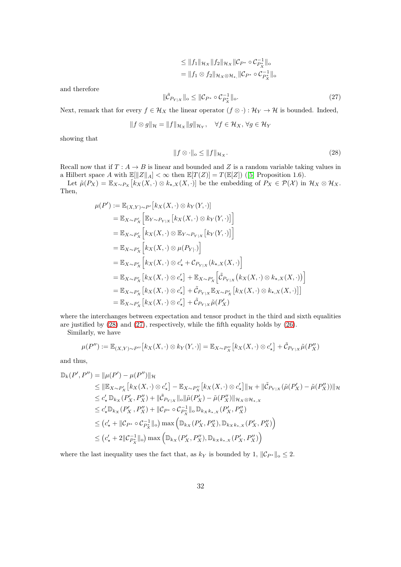$$
\leq \|f_1\|_{\mathcal{H}_X} \|f_2\|_{\mathcal{H}_X} \|\mathcal{C}_{P^*} \circ \mathcal{C}_{P^*_{X}}^{-1}\|_{\infty}
$$
  
= 
$$
\|f_1 \otimes f_2\|_{\mathcal{H}_X \otimes \mathcal{H}_*} \|\mathcal{C}_{P^*} \circ \mathcal{C}_{P^*_{X}}^{-1}\|_{\infty}
$$

and therefore

<span id="page-31-1"></span>
$$
\|\tilde{C}_{P_{Y|X}}\|_{\text{o}} \le \|C_{P^*} \circ C_{P^*_{X}}^{-1}\|_{\text{o}}.\tag{27}
$$

Next, remark that for every  $f \in \mathcal{H}_X$  the linear operator  $(f \otimes \cdot) : \mathcal{H}_Y \to \mathcal{H}$  is bounded. Indeed,

$$
||f \otimes g||_{\mathcal{H}} = ||f||_{\mathcal{H}_X} ||g||_{\mathcal{H}_Y}, \quad \forall f \in \mathcal{H}_X, \forall g \in \mathcal{H}_Y
$$

showing that

<span id="page-31-0"></span>
$$
||f \otimes \cdot||_{\text{o}} \le ||f||_{\mathcal{H}_X}.\tag{28}
$$

Recall now that if  $T : A \to B$  is linear and bounded and Z is a random variable taking values in a Hilbert space A with  $\mathbb{E}[\|Z\|_A] < \infty$  then  $\mathbb{E}[T(Z)] = T(\mathbb{E}[Z])$  ([\[5\]](#page-45-8) Proposition 1.6).

Let  $\tilde{\mu}(P_X) = \mathbb{E}_{X \sim P_X} [k_X(X, \cdot) \otimes k_{\star,X}(X, \cdot)]$  be the embedding of  $P_X \in \mathcal{P}(\mathcal{X})$  in  $\mathcal{H}_X \otimes \mathcal{H}_X$ . Then,

$$
\mu(P') := \mathbb{E}_{(X,Y)\sim P'}[k_X(X, \cdot) \otimes k_Y(Y, \cdot)]
$$
  
\n
$$
= \mathbb{E}_{X \sim P'_X} \Big[ \mathbb{E}_{Y \sim P_{Y|X}} [k_X(X, \cdot) \otimes k_Y(Y, \cdot)] \Big]
$$
  
\n
$$
= \mathbb{E}_{X \sim P'_X} \Big[ k_X(X, \cdot) \otimes \mathbb{E}_{Y \sim P_{Y|X}} [k_Y(Y, \cdot)] \Big]
$$
  
\n
$$
= \mathbb{E}_{X \sim P'_X} \Big[ k_X(X, \cdot) \otimes \mu(P_{Y|\cdot}) \Big]
$$
  
\n
$$
= \mathbb{E}_{X \sim P'_X} \Big[ k_X(X, \cdot) \otimes c'_* + C_{P_{Y|X}}(k_{*,X}(X, \cdot)) \Big]
$$
  
\n
$$
= \mathbb{E}_{X \sim P'_X} [k_X(X, \cdot) \otimes c'_*] + \mathbb{E}_{X \sim P'_X} \Big[ \tilde{C}_{P_{Y|X}} (k_X(X, \cdot) \otimes k_{*,X}(X, \cdot)) \Big]
$$
  
\n
$$
= \mathbb{E}_{X \sim P'_X} [k_X(X, \cdot) \otimes c'_*] + \tilde{C}_{P_{Y|X}} \mathbb{E}_{X \sim P'_X} [k_X(X, \cdot) \otimes k_{*,X}(X, \cdot)]]
$$
  
\n
$$
= \mathbb{E}_{X \sim P'_X} [k_X(X, \cdot) \otimes c'_*] + \tilde{C}_{P_{Y|X}} \tilde{\mu}(P'_X)
$$

where the interchanges between expectation and tensor product in the third and sixth equalities are justified by [\(28\)](#page-31-0) and [\(27\)](#page-31-1), respectively, while the fifth equality holds by [\(26\)](#page-30-0).

Similarly, we have

$$
\mu(P'') := \mathbb{E}_{(X,Y)\sim P''}\left[k_X(X,\cdot)\otimes k_Y(Y,\cdot)\right] = \mathbb{E}_{X\sim P''_X}\left[k_X(X,\cdot)\otimes c'_\star\right] + \tilde{\mathcal{C}}_{P_{Y|X}}\tilde{\mu}(P''_X)
$$

and thus,

$$
\mathbb{D}_{k}(P', P'') = \|\mu(P') - \mu(P'')\|_{\mathcal{H}}
$$
\n
$$
\leq \|\mathbb{E}_{X \sim P'_{X}}[k_{X}(X, \cdot) \otimes c'_{\star}] - \mathbb{E}_{X \sim P''_{X}}[k_{X}(X, \cdot) \otimes c'_{\star}] \|_{\mathcal{H}} + \|\tilde{C}_{P_{Y|X}}(\tilde{\mu}(P'_{X}) - \tilde{\mu}(P''_{X}))\|_{\mathcal{H}}
$$
\n
$$
\leq c'_{\star} \mathbb{D}_{k_{X}}(P'_{X}, P''_{X}) + \|\tilde{C}_{P_{Y|X}}\|_{0} \|\tilde{\mu}(P'_{X}) - \tilde{\mu}(P''_{X})\|_{\mathcal{H}_{X} \otimes \mathcal{H}_{\star,X}}
$$
\n
$$
\leq c'_{\star} \mathbb{D}_{k_{X}}(P'_{X}, P''_{X}) + \|C_{P^{*}} \circ C_{P_{X}^{*}}^{-1}\|_{0} \mathbb{D}_{k_{X}k_{\star,X}}(P'_{X}, P''_{X})
$$
\n
$$
\leq (c'_{\star} + \|C_{P^{*}} \circ C_{P_{X}^{*}}^{-1}\|_{0}) \max\left(\mathbb{D}_{k_{X}}(P'_{X}, P''_{X}), \mathbb{D}_{k_{X}k_{\star,X}}(P'_{X}, P''_{X})\right)
$$
\n
$$
\leq (c'_{\star} + 2\|C_{P_{X}^{*}}^{-1}\|_{0}) \max\left(\mathbb{D}_{k_{X}}(P'_{X}, P''_{X}), \mathbb{D}_{k_{X}k_{\star,X}}(P'_{X}, P''_{X})\right)
$$

where the last inequality uses the fact that, as  $k_Y$  is bounded by 1,  $||\mathcal{C}_{P^*}||_0 \leq 2$ .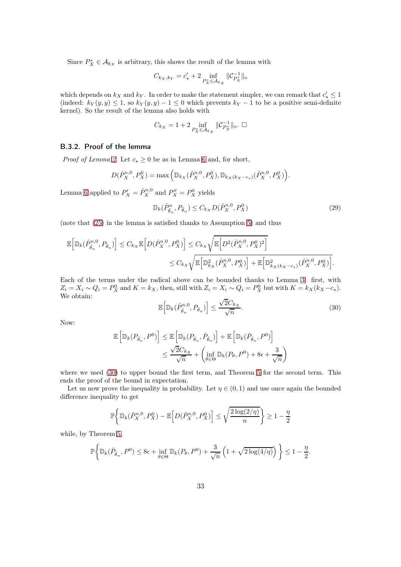Since  $P_X^* \in \mathcal{A}_{k_X}$  is arbitrary, this shows the result of the lemma with

$$
C_{k_X, k_Y} = c_\star' + 2 \inf_{P_X^* \in \mathcal{A}_{k_X}} \| \mathcal{C}_{P_X^*}^{-1} \|_0
$$

which depends on  $k_X$  and  $k_Y$ . In order to make the statement simpler, we can remark that  $c'_* \leq 1$ (indeed:  $k_Y(y, y) \leq 1$ , so  $k_Y(y, y) - 1 \leq 0$  which prevents  $k_Y - 1$  to be a positive semi-definite kernel). So the result of the lemma also holds with

$$
C_{k_X}=1+2\inf_{P_X^*\in\mathcal{A}_{k_X}}\|\mathcal{C}_{P_X^*}^{-1}\|_{\mathrm{o}}.\;\; \Box
$$

### B.3.2. Proof of the lemma

*Proof of Lemma [2](#page-8-2).* Let  $c_{\star} \geq 0$  be as in Lemma [6](#page-29-1) and, for short,

$$
D(\hat{P}_X^{n,0}, P_X^0) = \max\left(\mathbb{D}_{k_X}(\hat{P}_X^{n,0}, P_X^0), \mathbb{D}_{k_X(k_X - c_\star)}(\hat{P}_X^{n,0}, P_X^0)\right).
$$

Lemma [6](#page-29-1) applied to  $P'_X = \hat{P}_X^{n,0}$  and  $P''_X = P_X^0$  yields

<span id="page-32-1"></span>
$$
\mathbb{D}_{k}(\hat{P}_{\hat{\theta}_{n}}^{n}, P_{\hat{\theta}_{n}}) \leq C_{k_{X}} D(\hat{P}_{X}^{n,0}, P_{X}^{0})
$$
\n(29)

(note that [\(25\)](#page-29-2) in the lemma is satisfied thanks to Assumption [5\)](#page-8-1) and thus

$$
\mathbb{E}\Big[\mathbb{D}_{k}(\hat{P}_{\hat{\theta}_{n}}^{n,0},P_{\hat{\theta}_{n}})\Big] \leq C_{k_{X}}\mathbb{E}\Big[D(\hat{P}_{X}^{n,0},P_{X}^{0})\Big] \leq C_{k_{X}}\sqrt{\mathbb{E}\Big[D^{2}(\hat{P}_{X}^{n,0},P_{X}^{0})^{2}\Big]}
$$
  

$$
\leq C_{k_{X}}\sqrt{\mathbb{E}\Big[\mathbb{D}_{k_{X}}^{2}(\hat{P}_{X}^{n,0},P_{X}^{0})\Big]+\mathbb{E}\Big[\mathbb{D}_{k_{X}(k_{X}-c_{\star})}^{2}(\hat{P}_{X}^{n,0},P_{X}^{0})\Big]}.
$$

Each of the terms under the radical above can be bounded thanks to Lemma [3:](#page-24-1) first, with  $Z_i = X_i \sim Q_i = P_X^0$  and  $K = k_X$ , then, still with  $Z_i = X_i \sim Q_i = P_X^0$  but with  $K = k_X(k_X - c_*)$ . We obtain: √

<span id="page-32-0"></span>
$$
\mathbb{E}\Big[\mathbb{D}_k(\hat{P}_{\hat{\theta}_n}^{n,0}, P_{\hat{\theta}_n})\Big] \le \frac{\sqrt{2}C_{k_X}}{\sqrt{n}}.\tag{30}
$$

Now:

$$
\begin{aligned} \mathbb{E}\left[\mathbb{D}_k(P_{\hat{\theta}_n},P^0)\right] &\leq \mathbb{E}\left[\mathbb{D}_k(P_{\hat{\theta}_n},\hat{P}_{\hat{\theta}_n})\right]+\mathbb{E}\left[\mathbb{D}_k(\hat{P}_{\hat{\theta}_n},P^0)\right] \\ &\leq \frac{\sqrt{2}C_{k_X}}{\sqrt{n}}+\left(\inf_{\theta\in\Theta}\mathbb{D}_k(P_{\theta},P^0)+8\epsilon+\frac{3}{\sqrt{n}}\right) \end{aligned}
$$

where we used  $(30)$  to upper bound the first term, and Theorem [5](#page-27-0) for the second term. This ends the proof of the bound in expectation.

Let us now prove the inequality in probability. Let  $\eta \in (0,1)$  and use once again the bounded difference inequality to get

$$
\mathbb{P}\bigg\{\mathbb{D}_k(\hat{P}_X^{n,0}, P_X^0) - \mathbb{E}\Big[D(\hat{P}_X^{n,0}, P_X^0)\Big] \le \sqrt{\frac{2\log(2/\eta)}{n}}\bigg\} \ge 1 - \frac{\eta}{2}
$$

while, by Theorem [5,](#page-27-0)

$$
\mathbb{P}\bigg\{\mathbb{D}_k(\hat{P}_{\hat{\theta}_n}, P^0) \leq 8\epsilon + \inf_{\theta \in \Theta} \mathbb{D}_k(P_{\theta}, P^0) + \frac{3}{\sqrt{n}} \left(1 + \sqrt{2\log(4/\eta)}\right) \bigg\} \leq 1 - \frac{\eta}{2}.
$$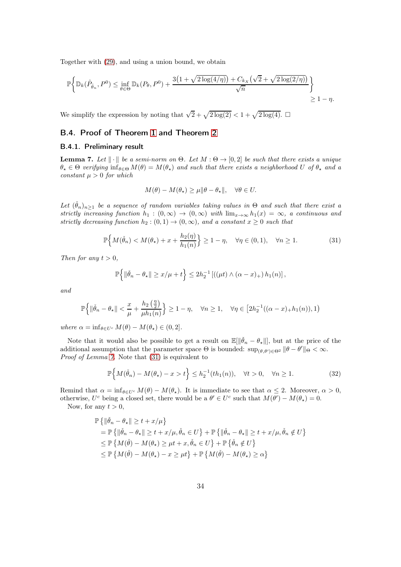Together with [\(29\)](#page-32-1), and using a union bound, we obtain

$$
\mathbb{P}\bigg\{\mathbb{D}_k(\hat{P}_{\hat{\theta}_n}, P^0) \le \inf_{\theta \in \Theta} \mathbb{D}_k(P_{\theta}, P^0) + \frac{3\big(1 + \sqrt{2\log(4/\eta)}\big) + C_{k,x}\big(\sqrt{2} + \sqrt{2\log(2/\eta)}\big)}{\sqrt{n}}\bigg\} \ge 1 - \eta.
$$

We simplify the expression by noting that  $\sqrt{2} + \sqrt{2 \log(2)} < 1 + \sqrt{2 \log(4)}$ .

## B.4. Proof of Theorem [1](#page-7-4) and Theorem [2](#page-8-3)

### B.4.1. Preliminary result

<span id="page-33-0"></span>**Lemma 7.** Let  $\|\cdot\|$  be a semi-norm on  $\Theta$ . Let  $M : \Theta \to [0, 2]$  be such that there exists a unique  $\theta_{\star} \in \Theta$  verifying  $\inf_{\theta \in \Theta} M(\theta) = M(\theta_{\star})$  and such that there exists a neighborhood U of  $\theta_{\star}$  and a constant  $\mu > 0$  for which

$$
M(\theta) - M(\theta_\star) \ge \mu \|\theta - \theta_\star\|, \quad \forall \theta \in U.
$$

Let  $(\check{\theta}_n)_{n\geq 1}$  be a sequence of random variables taking values in  $\Theta$  and such that there exist a strictly increasing function  $h_1 : (0, \infty) \to (0, \infty)$  with  $\lim_{x\to\infty} h_1(x) = \infty$ , a continuous and strictly decreasing function  $h_2 : (0,1) \rightarrow (0,\infty)$ , and a constant  $x \geq 0$  such that

<span id="page-33-1"></span>
$$
\mathbb{P}\Big\{M(\check{\theta}_n) < M(\theta_\star) + x + \frac{h_2(\eta)}{h_1(n)}\Big\} \ge 1 - \eta, \quad \forall \eta \in (0, 1), \quad \forall n \ge 1. \tag{31}
$$

Then for any  $t > 0$ ,

$$
\mathbb{P}\left\{\|\check{\theta}_n-\theta_\star\|\geq x/\mu+t\right\}\leq 2h_2^{-1}\left[\left((\mu t)\wedge(\alpha-x)_+\right)h_1(n)\right],
$$

and

$$
\mathbb{P}\Big\{\|\check{\theta}_n-\theta_\star\|<\frac{x}{\mu}+\frac{h_2\left(\frac{\eta}{2}\right)}{\mu h_1(n)}\Big\}\geq 1-\eta,\quad \forall n\geq 1,\quad \forall \eta\in\big[2h_2^{-1}((\alpha-x)_+h_1(n)),1\big)
$$

where  $\alpha = \inf_{\theta \in U^c} M(\theta) - M(\theta_\star) \in (0, 2].$ 

Note that it would also be possible to get a result on  $\mathbb{E}[\|\check{\theta}_n - \theta_{\star}\|]$ , but at the price of the additional assumption that the parameter space  $\Theta$  is bounded:  $\sup_{(\theta,\theta')\in\Theta^2} \|\theta-\theta'\|_{\Theta} < \infty$ . Proof of Lemma [7.](#page-33-0) Note that  $(31)$  is equivalent to

<span id="page-33-2"></span>
$$
\mathbb{P}\Big\{M(\check{\theta}_n) - M(\theta_\star) - x > t\Big\} \le h_2^{-1}(th_1(n)), \quad \forall t > 0, \quad \forall n \ge 1. \tag{32}
$$

Remind that  $\alpha = \inf_{\theta \in U^c} M(\theta) - M(\theta_\star)$ . It is immediate to see that  $\alpha \leq 2$ . Moreover,  $\alpha > 0$ , otherwise,  $U^c$  being a closed set, there would be a  $\theta' \in U^c$  such that  $M(\theta') - M(\theta_*) = 0$ .

Now, for any  $t > 0$ ,

$$
\mathbb{P}\left\{\|\check{\theta}_n - \theta_\star\| \ge t + x/\mu\right\}
$$
\n
$$
= \mathbb{P}\left\{\|\check{\theta}_n - \theta_\star\| \ge t + x/\mu, \check{\theta}_n \in U\right\} + \mathbb{P}\left\{\|\check{\theta}_n - \theta_\star\| \ge t + x/\mu, \check{\theta}_n \notin U\right\}
$$
\n
$$
\le \mathbb{P}\left\{M(\check{\theta}) - M(\theta_\star) \ge \mu t + x, \check{\theta}_n \in U\right\} + \mathbb{P}\left\{\check{\theta}_n \notin U\right\}
$$
\n
$$
\le \mathbb{P}\left\{M(\check{\theta}) - M(\theta_\star) - x \ge \mu t\right\} + \mathbb{P}\left\{M(\check{\theta}) - M(\theta_\star) \ge \alpha\right\}
$$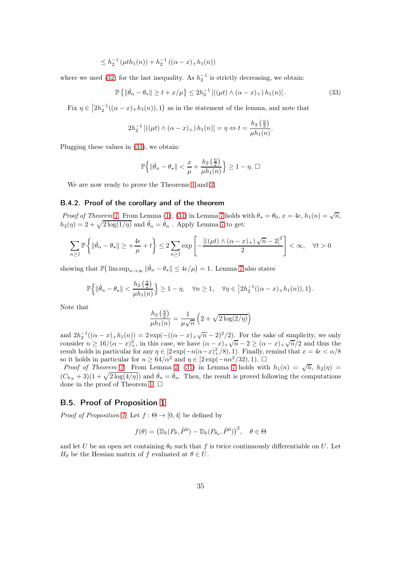$$
\leq h_2^{-1} \left( \mu t h_1(n) \right) + h_2^{-1} \left( (\alpha - x)_+ h_1(n) \right)
$$

where we used [\(32\)](#page-33-2) for the last inequality. As  $h_2^{-1}$  is strictly decreasing, we obtain:

<span id="page-34-0"></span>
$$
\mathbb{P}\left\{ \|\check{\theta}_n - \theta_{\star}\| \ge t + x/\mu \right\} \le 2h_2^{-1} \left[ ((\mu t) \wedge (\alpha - x)_+) h_1(n) \right]. \tag{33}
$$

Fix  $\eta \in [2h_2^{-1}((\alpha-x)_+h_1(n)), 1)$  as in the statement of the lemma, and note that

$$
2h_2^{-1} [((\mu t) \wedge (\alpha - x)_+) h_1(n)] = \eta \Leftrightarrow t = \frac{h_2(\frac{\eta}{2})}{\mu h_1(n)}.
$$

Plugging these values in [\(33\)](#page-34-0), we obtain:

$$
\mathbb{P}\Big\{\|\check{\theta}_n-\theta_\star\|<\frac{x}{\mu}+\frac{h_2\left(\frac{\eta}{2}\right)}{\mu h_1(n)}\Big\}\geq 1-\eta.\ \Box
$$

We are now ready to prove the Theorems [1](#page-7-4) and [2.](#page-8-3)

### B.4.2. Proof of the corollary and of the theorem

Proof of Theorem [1](#page-7-4). From Lemma [\(1\)](#page-7-0), [\(31\)](#page-33-1) in Lemma [7](#page-33-0) holds with  $\theta_{\star} = \theta_0$ ,  $x = 4\epsilon$ ,  $h_1(n) = \sqrt{n}$ ,  $h_2(\eta) = 2 + \sqrt{2 \log(1/\eta)}$  and  $\check{\theta}_n = \hat{\theta}_n$ . Apply Lemma [7](#page-33-0) to get:

$$
\sum_{n\geq 1} \mathbb{P}\left\{\|\check{\theta}_n - \theta_\star\| \geq +\frac{4\epsilon}{\mu} + t\right\} \leq 2 \sum_{n\geq 1} \exp\left[-\frac{\left[\left((\mu t) \wedge (\alpha - x)_+\right)\sqrt{n} - 2\right]^2}{2}\right] < \infty, \quad \forall t > 0
$$

showing that  $\mathbb{P}(\limsup_{n\to\infty} \|\check{\theta}_n - \theta_\star\| \leq 4\epsilon/\mu) = 1$ . Lemma [7](#page-33-0) also states

$$
\mathbb{P}\left\{\|\check{\theta}_n-\theta_\star\|<\frac{h_2\left(\frac{\eta}{2}\right)}{\mu h_1(n)}\right\}\geq 1-\eta,\quad\forall n\geq 1,\quad\forall \eta\in\left[2h_2^{-1}((\alpha-x)_+h_1(n)),1\right).
$$

Note that

$$
\frac{h_2\left(\frac{\eta}{2}\right)}{\mu h_1(n)} = \frac{1}{\mu\sqrt{n}} \left(2 + \sqrt{2\log(2/\eta)}\right)
$$

and  $2h_2^{-1}((\alpha-x)_+h_1(n)) = 2 \exp(-((\alpha-x)_+\sqrt{n}-2)^2/2)$ . For the sake of simplicity, we only consider  $n \ge 16/(\alpha - x)^2$ , in this case, we have  $(\alpha - x)^2 + \sqrt{n-2} \ge (\alpha - x)^2 + \sqrt{n/2}$  and thus the result holds in particular for any  $\eta \in [2 \exp(-n(\alpha - x)^2)/(8), 1)$ . Finally, remind that  $x = 4\epsilon < \alpha/8$ so it holds in particular for  $n \geq 64/\alpha^2$  and  $\eta \in [2 \exp(-n\alpha^2/32), 1)$ .  $\Box$ 

*Proof of Theorem [2](#page-8-3).* From Lemma [2,](#page-8-2) [\(31\)](#page-33-1) in Lemma [7](#page-33-0) holds with  $h_1(n) = \sqrt{n}$ ,  $h_2(n) =$  $(C_{kX} + 3)(1 + \sqrt{2 \log(4/\eta)})$  and  $\check{\theta}_n = \hat{\theta}_n$ . Then, the result is proved following the computations done in the proof of Theorem [1.](#page-7-4)  $\Box$ 

### B.5. Proof of Proposition [1](#page-9-0)

*Proof of Proposition [1](#page-9-0).* Let  $f : \Theta \to [0, 4]$  be defined by

$$
f(\theta) = (\mathbb{D}_k(P_\theta, \tilde{P}^0) - \mathbb{D}_k(P_{\theta_0}, \tilde{P}^0))^2, \quad \theta \in \Theta
$$

and let U be an open set containing  $\theta_0$  such that f is twice continuously differentiable on U. Let  $H_{\theta}$  be the Hessian matrix of f evaluated at  $\theta \in U$ .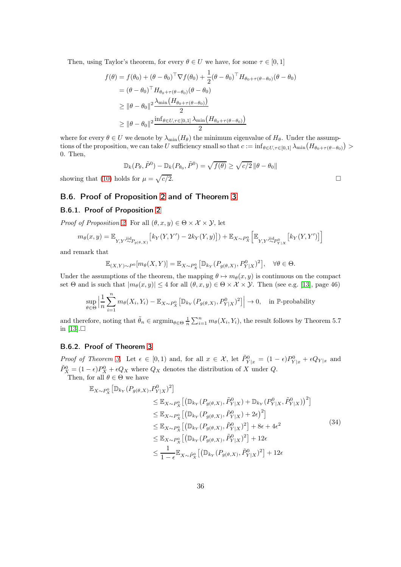Then, using Taylor's theorem, for every  $\theta \in U$  we have, for some  $\tau \in [0, 1]$ 

$$
f(\theta) = f(\theta_0) + (\theta - \theta_0)^\top \nabla f(\theta_0) + \frac{1}{2} (\theta - \theta_0)^\top H_{\theta_0 + \tau(\theta - \theta_0)} (\theta - \theta_0)
$$
  
\n
$$
= (\theta - \theta_0)^\top H_{\theta_0 + \tau(\theta - \theta_0)} (\theta - \theta_0)
$$
  
\n
$$
\geq ||\theta - \theta_0||^2 \frac{\lambda_{\min} (H_{\theta_0 + \tau(\theta - \theta_0)})}{2}
$$
  
\n
$$
\geq ||\theta - \theta_0||^2 \frac{\inf_{\theta \in U, \tau \in [0,1]} \lambda_{\min} (H_{\theta_0 + \tau(\theta - \theta_0)})}{2}
$$

where for every  $\theta \in U$  we denote by  $\lambda_{\min}(H_{\theta})$  the minimum eigenvalue of  $H_{\theta}$ . Under the assumptions of the proposition, we can take U sufficiency small so that  $c := \inf_{\theta \in U, \tau \in [0,1]} \lambda_{\min} (H_{\theta_0 + \tau(\theta - \theta_0)}) >$ 0. Then,

$$
\mathbb{D}_k(P_\theta, \tilde{P}^0) - \mathbb{D}_k(P_{\theta_0}, \tilde{P}^0) = \sqrt{f(\theta)} \ge \sqrt{c/2} \left\|\theta - \theta_0\right\|
$$
  
lds for  $\mu = \sqrt{c/2}$ .

showing that [\(10\)](#page-8-4) holds for  $\mu = \sqrt{\frac{g(1 - g)}{g(1 - g)}}$ 

### B.6. Proof of Proposition [2](#page-10-0) and of Theorem [3](#page-10-2)

### B.6.1. Proof of Proposition [2](#page-10-0)

*Proof of Proposition [2](#page-10-0).* For all  $(\theta, x, y) \in \Theta \times \mathcal{X} \times \mathcal{Y}$ , let

$$
m_{\theta}(x,y) = \mathbb{E}_{Y,Y^{j \text{ id}}P_{g(\theta,X)}}\left[k_Y(Y,Y') - 2k_Y(Y,y)\right]) + \mathbb{E}_{X \sim P_X^0}\left[\mathbb{E}_{Y,Y^{j \text{ id}}P_{Y|X}^0}\left[k_Y(Y,Y')\right]\right]
$$

and remark that

$$
\mathbb{E}_{(X,Y)\sim P^0}[m_{\theta}(X,Y)] = \mathbb{E}_{X\sim P_X^0}[\mathbb{D}_{k_Y}(P_{g(\theta,X)}, P_{Y|X}^0)^2], \quad \forall \theta \in \Theta.
$$

Under the assumptions of the theorem, the mapping  $\theta \mapsto m_{\theta}(x, y)$  is continuous on the compact set Θ and is such that  $|m_{\theta}(x, y)| \leq 4$  for all  $(\theta, x, y) \in \Theta \times \mathcal{X} \times \mathcal{Y}$ . Then (see e.g. [\[13\]](#page-46-0), page 46)

$$
\sup_{\theta \in \Theta} \left| \frac{1}{n} \sum_{i=1}^n m_\theta(X_i, Y_i) - \mathbb{E}_{X \sim P_X^0} \left[ \mathbb{D}_{k_Y} (P_{g(\theta, X)}, P_{Y|X}^0)^2 \right] \right| \to 0, \quad \text{in } \mathbb{P}\text{-probability}
$$

and therefore, noting that  $\tilde{\theta}_n \in \operatorname{argmin}_{\theta \in \Theta} \frac{1}{n} \sum_{i=1}^n m_{\theta}(X_i, Y_i)$ , the result follows by Theorem 5.7 in  $[13]$ . $\Box$ 

## B.6.2. Proof of Theorem [3](#page-10-2)

Proof of Theorem [3](#page-10-2). Let  $\epsilon \in [0,1)$  and, for all  $x \in \mathcal{X}$ , let  $\tilde{P}_{Y|x}^0 = (1 - \epsilon)P_{Y|x}^0 + \epsilon Q_{Y|x}$  and  $\tilde{P}_X^0 = (1 - \epsilon)P_X^0 + \epsilon Q_X$  where  $Q_X$  denotes the distribution of X under Q. Then, for all  $\theta \in \Theta$  we have

<span id="page-35-0"></span>
$$
\mathbb{E}_{X \sim P_X^0} \left[ \mathbb{D}_{k_Y} (P_{g(\theta, X)}, P_{Y|X}^0)^2 \right] \n\leq \mathbb{E}_{X \sim P_X^0} \left[ \left( \mathbb{D}_{k_Y} (P_{g(\theta, X)}, \tilde{P}_{Y|X}^0) + \mathbb{D}_{k_Y} (P_{Y|X}^0, \tilde{P}_{Y|X}^0) \right)^2 \right] \n\leq \mathbb{E}_{X \sim P_X^0} \left[ \left( \mathbb{D}_{k_Y} (P_{g(\theta, X)}, \tilde{P}_{Y|X}^0) + 2\epsilon \right)^2 \right] \n\leq \mathbb{E}_{X \sim P_X^0} \left[ \left( \mathbb{D}_{k_Y} (P_{g(\theta, X)}, \tilde{P}_{Y|X}^0)^2 \right) + 8\epsilon + 4\epsilon^2 \n\leq \mathbb{E}_{X \sim P_X^0} \left[ \left( \mathbb{D}_{k_Y} (P_{g(\theta, X)}, \tilde{P}_{Y|X}^0)^2 \right) + 12\epsilon \n\leq \frac{1}{1 - \epsilon} \mathbb{E}_{X \sim \tilde{P}_X^0} \left[ \left( \mathbb{D}_{k_Y} (P_{g(\theta, X)}, \tilde{P}_{Y|X}^0)^2 \right) + 12\epsilon \right]
$$
\n(34)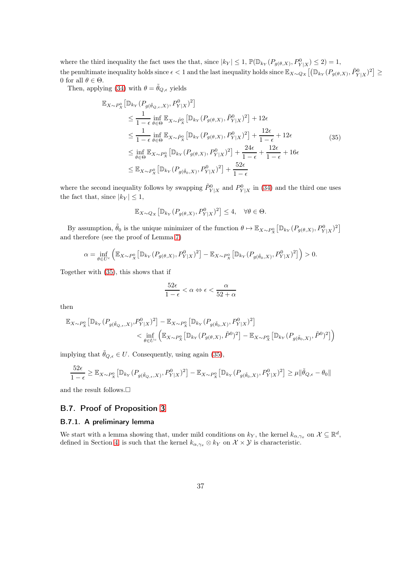where the third inequality the fact uses the that, since  $|k_Y| \leq 1$ ,  $\mathbb{P}(\mathbb{D}_{k_Y}(P_{g(\theta,X)}, P_{Y|X}^0) \leq 2) = 1$ , the penultimate inequality holds since  $\epsilon < 1$  and the last inequality holds since  $\mathbb{E}_{X \sim Q_X} \left[ \left( \mathbb{D}_{k_Y}(P_{g(\theta,X)}, \tilde{P}_{Y|X}^0)^2 \right] \geq 0 \right]$ 0 for all  $\theta \in \Theta$ .

Then, applying [\(34\)](#page-35-0) with  $\theta = \tilde{\theta}_{Q,\epsilon}$  yields

$$
\mathbb{E}_{X \sim P_X^0} \left[ \mathbb{D}_{k_Y} (P_{g(\tilde{\theta}_{Q,\epsilon},X)}, P_{Y|X}^0)^2 \right]
$$
\n
$$
\leq \frac{1}{1 - \epsilon} \inf_{\theta \in \Theta} \mathbb{E}_{X \sim \tilde{P}_X^0} \left[ \mathbb{D}_{k_Y} (P_{g(\theta,X)}, \tilde{P}_{Y|X}^0)^2 \right] + 12\epsilon
$$
\n
$$
\leq \frac{1}{1 - \epsilon} \inf_{\theta \in \Theta} \mathbb{E}_{X \sim \tilde{P}_X^0} \left[ \mathbb{D}_{k_Y} (P_{g(\theta,X)}, P_{Y|X}^0)^2 \right] + \frac{12\epsilon}{1 - \epsilon} + 12\epsilon
$$
\n
$$
\leq \inf_{\theta \in \Theta} \mathbb{E}_{X \sim P_X^0} \left[ \mathbb{D}_{k_Y} (P_{g(\theta,X)}, P_{Y|X}^0)^2 \right] + \frac{24\epsilon}{1 - \epsilon} + \frac{12\epsilon}{1 - \epsilon} + 16\epsilon
$$
\n
$$
\leq \mathbb{E}_{X \sim P_X^0} \left[ \mathbb{D}_{k_Y} (P_{g(\tilde{\theta}_0,X)}, P_{Y|X}^0)^2 \right] + \frac{52\epsilon}{1 - \epsilon}
$$
\n(35)

<span id="page-36-0"></span>where the second inequality follows by swapping  $\tilde{P}_{Y|X}^0$  and  $P_{Y|X}^0$  in [\(34\)](#page-35-0) and the third one uses the fact that, since  $|k_Y| \leq 1$ ,

$$
\mathbb{E}_{X \sim Q_X} \left[ \mathbb{D}_{k_Y} (P_{g(\theta, X)}, P_{Y|X}^0)^2 \right] \le 4, \quad \forall \theta \in \Theta.
$$

By assumption,  $\tilde{\theta}_0$  is the unique minimizer of the function  $\theta \mapsto \mathbb{E}_{X \sim P_X^0} \big[ \mathbb{D}_{k_Y} (P_{g(\theta,X)}, P_{Y|X}^0)^2 \big]$ and therefore (see the proof of Lemma [7\)](#page-33-0)

$$
\alpha = \inf_{\theta \in U^c} \left( \mathbb{E}_{X \sim P_X^0} \left[ \mathbb{D}_{k_Y} (P_{g(\theta, X)}, P_{Y|X}^0)^2 \right] - \mathbb{E}_{X \sim P_X^0} \left[ \mathbb{D}_{k_Y} (P_{g(\tilde{\theta}_0, X)}, P_{Y|X}^0)^2 \right] \right) > 0.
$$

Together with [\(35\)](#page-36-0), this shows that if

$$
\frac{52\epsilon}{1-\epsilon}<\alpha \Leftrightarrow \epsilon<\frac{\alpha}{52+\alpha}
$$

then

$$
\begin{aligned} \mathbb{E}_{X \sim P_X^0} \left[ \mathbb{D}_{k_Y} (P_{g(\tilde{\theta}_{Q,\epsilon},X)}, P_{Y|X}^0)^2 \right] & - \mathbb{E}_{X \sim P_X^0} \left[ \mathbb{D}_{k_Y} (P_{g(\tilde{\theta}_0,X)}, P_{Y|X}^0)^2 \right] \\ & \quad \quad < \inf_{\theta \in U^c} \left( \mathbb{E}_{X \sim P_X^0} \left[ \mathbb{D}_{k_Y} (P_{g(\theta,X)}, \tilde{P}^0)^2 \right] - \mathbb{E}_{X \sim P_X^0} \left[ \mathbb{D}_{k_Y} (P_{g(\tilde{\theta}_0,X)}, \tilde{P}^0)^2 \right] \right) \end{aligned}
$$

implying that  $\tilde{\theta}_{Q,\epsilon} \in U$ . Consequently, using again [\(35\)](#page-36-0),

$$
\frac{52\epsilon}{1-\epsilon} \geq \mathbb{E}_{X \sim P_X^0} \left[ \mathbb{D}_{k_Y} (P_{g(\tilde{\theta}_{Q,\epsilon},X)}, P_{Y|X}^0)^2 \right] - \mathbb{E}_{X \sim P_X^0} \left[ \mathbb{D}_{k_Y} (P_{g(\tilde{\theta}_0,X)}, P_{Y|X}^0)^2 \right] \geq \mu \|\tilde{\theta}_{Q,\epsilon} - \theta_0\|
$$

and the result follows.<br> $\Box$ 

### B.7. Proof of Proposition [3](#page-11-1)

### B.7.1. A preliminary lemma

We start with a lemma showing that, under mild conditions on  $k_Y$ , the kernel  $k_{\alpha,\gamma_x}$  on  $\mathcal{X} \subseteq \mathbb{R}^d$ , defined in Section [4,](#page-11-0) is such that the kernel  $k_{\alpha,\gamma_x} \otimes k_Y$  on  $\mathcal{X} \times \mathcal{Y}$  is characteristic.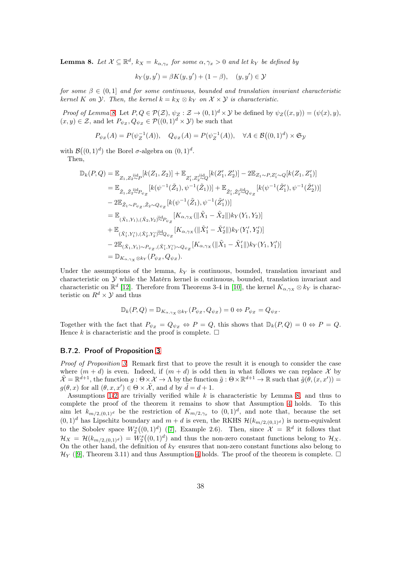<span id="page-37-0"></span>**Lemma 8.** Let  $X \subseteq \mathbb{R}^d$ ,  $k_X = k_{\alpha, \gamma_x}$  for some  $\alpha, \gamma_x > 0$  and let  $k_Y$  be defined by

$$
k_Y(y, y') = \beta K(y, y') + (1 - \beta), \quad (y, y') \in \mathcal{Y}
$$

for some  $\beta \in (0,1]$  and for some continuous, bounded and translation invariant characteristic kernel K on  $\mathcal Y$ . Then, the kernel  $k = k_X \otimes k_Y$  on  $\mathcal X \times \mathcal Y$  is characteristic.

Proof of Lemma [8](#page-37-0). Let  $P, Q \in \mathcal{P}(\mathcal{Z}), \psi_Z : \mathcal{Z} \to (0, 1)^d \times \mathcal{Y}$  be defined by  $\psi_Z((x, y)) = (\psi(x), y)$ ,  $(x, y) \in \mathcal{Z}$ , and let  $P_{\psi_Z}, Q_{\psi_Z} \in \mathcal{P}((0, 1)^d \times \mathcal{Y})$  be such that

$$
P_{\psi_Z}(A) = P(\psi_Z^{-1}(A)), \quad Q_{\psi_Z}(A) = P(\psi_Z^{-1}(A)), \quad \forall A \in \mathcal{B}((0,1)^d) \times \mathfrak{S}_{\mathcal{Y}}
$$

with  $\mathcal{B}((0,1)^d)$  the Borel  $\sigma$ -algebra on  $(0,1)^d$ .

Then,

$$
\mathbb{D}_{k}(P,Q) = \mathbb{E}_{Z_{1},Z_{2}^{\text{iid}}P}[k(Z_{1},Z_{2})] + \mathbb{E}_{Z'_{1},Z'_{2}^{\text{iid}}Q}[k(Z'_{1},Z'_{2})] - 2\mathbb{E}_{Z_{1}\sim P,Z'_{1}\sim Q}[k(Z_{1},Z'_{1})]
$$
\n
$$
= \mathbb{E}_{\tilde{Z}_{1},\tilde{Z}_{2}^{\text{iid}}P_{\psi_{Z}}}[k(\psi^{-1}(\tilde{Z}_{1}),\psi^{-1}(\tilde{Z}_{1}))] + \mathbb{E}_{\tilde{Z}'_{1},\tilde{Z}'_{2}\sim Q_{\psi_{Z}}}[k(\psi^{-1}(\tilde{Z}'_{1}),\psi^{-1}(\tilde{Z}'_{2}))]
$$
\n
$$
- 2\mathbb{E}_{\tilde{Z}_{1}\sim P_{\psi_{Z}},\tilde{Z}_{2}\sim Q_{\psi_{Z}}}[k(\psi^{-1}(\tilde{Z}_{1}),\psi^{-1}(\tilde{Z}'_{1}))]
$$
\n
$$
= \mathbb{E}_{(\tilde{X}_{1},Y_{1}),(\tilde{X}_{2},Y_{2})\sim P_{\psi_{Z}}}[K_{\alpha,\gamma_{X}}(\|\tilde{X}_{1}-\tilde{X}_{2}\|)k_{Y}(Y_{1},Y_{2})]
$$
\n
$$
+ \mathbb{E}_{(\tilde{X}'_{1},Y'_{1}),(\tilde{X}'_{2},Y'_{2})\sim Q_{\psi_{Z}}}[K_{\alpha,\gamma_{X}}(\|\tilde{X}'_{1}-\tilde{X}'_{2}\|)k_{Y}(Y'_{1},Y'_{2})]
$$
\n
$$
- 2\mathbb{E}_{(\tilde{X}_{1},Y_{1})\sim P_{\psi_{Z}},(\tilde{X}'_{1},Y'_{1})\sim Q_{\psi_{Z}}}[K_{\alpha,\gamma_{X}}(\|\tilde{X}_{1}-\tilde{X}'_{1}\|)k_{Y}(Y_{1},Y'_{1})]
$$
\n
$$
= \mathbb{D}_{K_{\alpha,\gamma_{X}}\otimes k_{Y}}(P_{\psi_{Z}},Q_{\psi_{Z}}).
$$

Under the assumptions of the lemma,  $k<sub>Y</sub>$  is continuous, bounded, translation invariant and characteristic on Y while the Matérn kernel is continuous, bounded, translation invariant and characteristic on  $\mathbb{R}^d$  [\[12\]](#page-46-1). Therefore from Theorems 3-4 in [\[10\]](#page-45-2), the kernel  $K_{\alpha,\gamma_X} \otimes k_Y$  is characteristic on  $R^d \times Y$  and thus

$$
\mathbb{D}_{k}(P,Q)=\mathbb{D}_{K_{\alpha,\gamma_X}\otimes k_Y}(P_{\psi_Z},Q_{\psi_Z})=0 \Leftrightarrow P_{\psi_Z}=Q_{\psi_Z}.
$$

Together with the fact that  $P_{\psi_Z} = Q_{\psi_Z} \Leftrightarrow P = Q$ , this shows that  $\mathbb{D}_k(P,Q) = 0 \Leftrightarrow P = Q$ . Hence k is characteristic and the proof is complete.  $\Box$ 

#### B.7.2. Proof of Proposition [3](#page-11-1)

Proof of Proposition [3](#page-11-1). Remark first that to prove the result it is enough to consider the case where  $(m + d)$  is even. Indeed, if  $(m + d)$  is odd then in what follows we can replace X by  $\tilde{\mathcal{X}} = \mathbb{R}^{d+1}$ , the function  $g : \Theta \times \mathcal{X} \to \Lambda$  by the function  $\tilde{g} : \Theta \times \mathbb{R}^{d+1} \to \mathbb{R}$  such that  $\tilde{g}(\theta, (x, x')) =$  $g(\theta, x)$  for all  $(\theta, x, x') \in \Theta \times \tilde{\mathcal{X}}$ , and d by  $\tilde{d} = d + 1$ .

Assumptions [1](#page-2-1)[-2](#page-3-0) are trivially verified while  $k$  is characteristic by Lemma [8,](#page-37-0) and thus to complete the proof of the theorem it remains to show that Assumption [4](#page-8-0) holds. To this aim let  $k_{m/2,(0,1)<sup>d</sup>}$  be the restriction of  $K_{m/2,\gamma_x}$  to  $(0,1)<sup>d</sup>$ , and note that, because the set  $(0,1)^d$  has Lipschitz boundary and  $m + d$  is even, the RKHS  $\mathcal{H}(k_{m/2,(0,1)^d})$  is norm-equivalent to the Sobolev space  $W_2^s((0,1)^d)$  ([\[7\]](#page-45-3), Example 2.6). Then, since  $\mathcal{X} = \mathbb{R}^d$  it follows that  $\mathcal{H}_X = \mathcal{H}(k_{m/2,(0,1)^d}) = W_2^s((0,1)^d)$  and thus the non-zero constant functions belong to  $\mathcal{H}_X$ . On the other hand, the definition of  $k<sub>Y</sub>$  ensures that non-zero constant functions also belong to  $\mathcal{H}_Y$  ([\[9\]](#page-45-5), Theorem 3.11) and thus Assumption [4](#page-8-0) holds. The proof of the theorem is complete.  $\Box$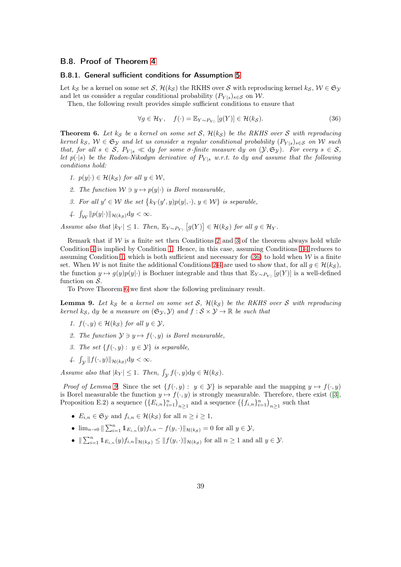### B.8. Proof of Theorem [4](#page-11-2)

#### B.8.1. General sufficient conditions for Assumption [5](#page-8-1)

Let  $k_{\mathcal{S}}$  be a kernel on some set  $\mathcal{S}, \mathcal{H}(k_{\mathcal{S}})$  the RKHS over  $\mathcal{S}$  with reproducing kernel  $k_{\mathcal{S}}, \mathcal{W} \in \mathfrak{S}_{\mathcal{Y}}$ and let us consider a regular conditional probability  $(P_{Y|s})_{s\in\mathcal{S}}$  on W.

Then, the following result provides simple sufficient conditions to ensure that

<span id="page-38-4"></span>
$$
\forall g \in \mathcal{H}_Y, \quad f(\cdot) = \mathbb{E}_{Y \sim P_{Y|}}[g(Y)] \in \mathcal{H}(k_{\mathcal{S}}). \tag{36}
$$

<span id="page-38-5"></span>**Theorem 6.** Let  $k_{\mathcal{S}}$  be a kernel on some set S,  $\mathcal{H}(k_{\mathcal{S}})$  be the RKHS over S with reproducing kernel ks,  $W \in \mathfrak{S}_{\mathcal{Y}}$  and let us consider a regular conditional probability  $(P_{Y|s})_{s \in \mathcal{S}}$  on W such that, for all  $s \in S$ ,  $P_{Y|s} \ll dy$  for some  $\sigma$ -finite measure dy on  $(Y, \mathfrak{S}_Y)$ . For every  $s \in S$ , let  $p(\cdot|s)$  be the Radon-Nikodym derivative of  $P_{Y|s}$  w.r.t. to dy and assume that the following conditions hold:

- <span id="page-38-3"></span><span id="page-38-0"></span>1.  $p(y|\cdot) \in \mathcal{H}(k_{\mathcal{S}})$  for all  $y \in \mathcal{W}$ ,
- <span id="page-38-1"></span>2. The function  $W \ni y \mapsto p(y|\cdot)$  is Borel measurable,
- <span id="page-38-2"></span>3. For all  $y' \in W$  the set  $\{k_Y(y', y)p(y|, \cdot), y \in W\}$  is separable,
- 4.  $\int_{\mathcal{W}} ||p(y|\cdot)||_{\mathcal{H}(k_{\mathcal{S}})} dy < \infty.$

Assume also that  $|k_Y| \leq 1$ . Then,  $\mathbb{E}_{Y \sim P_{Y|}} [g(Y)] \in \mathcal{H}(k_\mathcal{S})$  for all  $g \in \mathcal{H}_Y$ .

Remark that if  $W$  is a finite set then Conditions [2](#page-38-0) and [3](#page-38-1) of the theorem always hold while Condition [4](#page-38-2) is implied by Condition [1.](#page-38-3) Hence, in this case, assuming Conditions [1-](#page-38-3)[4](#page-38-2) reduces to assuming Condition [1,](#page-38-3) which is both sufficient and necessary for  $(36)$  to hold when W is a finite set. When W is not finite the additional Conditions [2-](#page-38-0)[4](#page-38-2) are used to show that, for all  $g \in \mathcal{H}(k_{\mathcal{S}})$ , the function  $y \mapsto g(y)p(y|\cdot)$  is Bochner integrable and thus that  $\mathbb{E}_{Y \sim P_{Y|\cdot}}[g(Y)]$  is a well-defined function on  $S$ .

To Prove Theorem [6](#page-38-5) we first show the following preliminary result.

<span id="page-38-7"></span><span id="page-38-6"></span>**Lemma 9.** Let  $k_{\mathcal{S}}$  be a kernel on some set  $\mathcal{S}$ ,  $\mathcal{H}(k_{\mathcal{S}})$  be the RKHS over  $\mathcal{S}$  with reproducing kernel ks, dy be a measure on  $(\mathfrak{S}_{\mathcal{Y}}, \mathcal{Y})$  and  $f : \mathcal{S} \times \mathcal{Y} \to \mathbb{R}$  be such that

- <span id="page-38-9"></span>1.  $f(\cdot, y) \in \mathcal{H}(k_{\mathcal{S}})$  for all  $y \in \mathcal{Y}$ ,
- <span id="page-38-8"></span>2. The function  $\mathcal{Y} \ni y \mapsto f(\cdot, y)$  is Borel measurable,
- <span id="page-38-10"></span>3. The set  $\{f(\cdot, y) : y \in \mathcal{Y}\}\$ is separable,
- 4.  $\int_{\mathcal{Y}} ||f(\cdot, y)||_{\mathcal{H}(k_{\mathcal{S}})} dy < \infty.$

Assume also that  $|k_Y| \leq 1$ . Then,  $\int_{\mathcal{Y}} f(\cdot, y) dy \in \mathcal{H}(k_{\mathcal{S}})$ .

*Proof of Lemma [9](#page-38-6).* Since the set  $\{f(\cdot, y) : y \in Y\}$  is separable and the mapping  $y \mapsto f(\cdot, y)$ is Borel measurable the function  $y \mapsto f(\cdot, y)$  is strongly measurable. Therefore, there exist ([\[3\]](#page-45-9), Proposition E.2) a sequence  $(\{E_{i,n}\}_{i=1}^n)_{n\geq 1}$  and a sequence  $(\{f_{i,n}\}_{i=1}^n)_{n\geq 1}$  such that

- $E_{i,n} \in \mathfrak{S}_{\mathcal{Y}}$  and  $f_{i,n} \in \mathcal{H}(k_{\mathcal{S}})$  for all  $n \geq i \geq 1$ ,
- $\lim_{n\to 0} \|\sum_{i=1}^{n} 1\!\!1_{E_{i,n}}(y) f_{i,n} f(y,\cdot)\|_{\mathcal{H}(ks)} = 0$  for all  $y \in \mathcal{Y}$ ,
- $\|\sum_{i=1}^n 1\!\!1_{E_{i,n}}(y)f_{i,n}\|_{\mathcal{H}(k_{\mathcal{S}})} \le \|f(y,\cdot)\|_{\mathcal{H}(k_{\mathcal{S}})}$  for all  $n \ge 1$  and all  $y \in \mathcal{Y}$ .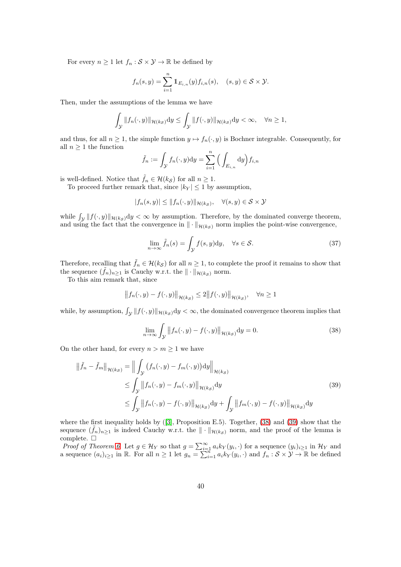For every  $n \geq 1$  let  $f_n : \mathcal{S} \times \mathcal{Y} \to \mathbb{R}$  be defined by

$$
f_n(s,y) = \sum_{i=1}^n \mathbb{1}_{E_{i,n}}(y) f_{i,n}(s), \quad (s,y) \in \mathcal{S} \times \mathcal{Y}.
$$

Then, under the assumptions of the lemma we have

$$
\int_{\mathcal{Y}} \|f_n(\cdot, y)\|_{\mathcal{H}(k_{\mathcal{S}})} \mathrm{d}y \le \int_{\mathcal{Y}} \|f(\cdot, y)\|_{\mathcal{H}(k_{\mathcal{S}})} \mathrm{d}y < \infty, \quad \forall n \ge 1,
$$

and thus, for all  $n \geq 1$ , the simple function  $y \mapsto f_n(\cdot, y)$  is Bochner integrable. Consequently, for all  $n \geq 1$  the function

$$
\tilde{f}_n := \int_{\mathcal{Y}} f_n(\cdot, y) dy = \sum_{i=1}^n \Big( \int_{E_{i,n}} dy \Big) f_{i,n}
$$

is well-defined. Notice that  $\tilde{f}_n \in \mathcal{H}(k_{\mathcal{S}})$  for all  $n \geq 1$ .

To proceed further remark that, since  $|k_Y| \leq 1$  by assumption,

$$
|f_n(s,y)|\leq \|f_n(\cdot,y)\|_{\mathcal{H}(ks)},\quad \forall (s,y)\in\mathcal{S}\times\mathcal{Y}
$$

while  $\int_{\mathcal{Y}} ||f(\cdot, y)||_{\mathcal{H}(ks)} dy < \infty$  by assumption. Therefore, by the dominated converge theorem, and using the fact that the convergence in  $\|\cdot\|_{\mathcal{H}(k_{\mathcal{S}})}$  norm implies the point-wise convergence,

$$
\lim_{n \to \infty} \tilde{f}_n(s) = \int_{\mathcal{Y}} f(s, y) dy, \quad \forall s \in \mathcal{S}.
$$
\n(37)

Therefore, recalling that  $\tilde{f}_n \in \mathcal{H}(k_{\mathcal{S}})$  for all  $n \geq 1$ , to complete the proof it remains to show that the sequence  $(\tilde{f}_n)_{n\geq 1}$  is Cauchy w.r.t. the  $\|\cdot\|_{\mathcal{H}(k_{\mathcal{S}})}$  norm.

To this aim remark that, since

$$
||f_n(\cdot, y) - f(\cdot, y)||_{\mathcal{H}(k_{\mathcal{S}})} \leq 2||f(\cdot, y)||_{\mathcal{H}(k_{\mathcal{S}})}, \quad \forall n \geq 1
$$

while, by assumption,  $\int_{\mathcal{Y}} ||f(\cdot, y)||_{\mathcal{H}(k_{\mathcal{S}})} dy < \infty$ , the dominated convergence theorem implies that

<span id="page-39-0"></span>
$$
\lim_{n \to \infty} \int_{\mathcal{Y}} \left\| f_n(\cdot, y) - f(\cdot, y) \right\|_{\mathcal{H}(k_{\mathcal{S}})} \mathrm{d}y = 0. \tag{38}
$$

On the other hand, for every  $n > m \ge 1$  we have

<span id="page-39-1"></span>
$$
\|\tilde{f}_n - \tilde{f}_m\|_{\mathcal{H}(ks)} = \left\| \int_{\mathcal{Y}} (f_n(\cdot, y) - f_m(\cdot, y)) \, dy \right\|_{\mathcal{H}(ks)}
$$
\n
$$
\leq \int_{\mathcal{Y}} \|f_n(\cdot, y) - f_m(\cdot, y)\|_{\mathcal{H}(ks)} \, dy
$$
\n
$$
\leq \int_{\mathcal{Y}} \|f_n(\cdot, y) - f(\cdot, y)\|_{\mathcal{H}(ks)} \, dy + \int_{\mathcal{Y}} \|f_m(\cdot, y) - f(\cdot, y)\|_{\mathcal{H}(ks)} \, dy
$$
\n(39)

where the first inequality holds by ([\[3\]](#page-45-9), Proposition E.5). Together, [\(38\)](#page-39-0) and [\(39\)](#page-39-1) show that the sequence  $(\tilde{f}_n)_{n\geq 1}$  is indeed Cauchy w.r.t. the  $\|\cdot\|_{\mathcal{H}(k_{\mathcal{S}})}$  norm, and the proof of the lemma is complete.  $\square$ 

*Proof of Theorem [6](#page-38-5).* Let  $g \in \mathcal{H}_Y$  so that  $g = \sum_{i=1}^{\infty} a_i k_Y(y_i, \cdot)$  for a sequence  $(y_i)_{i \geq 1}$  in  $\mathcal{H}_Y$  and a sequence  $(a_i)_{i\geq 1}$  in R. For all  $n \geq 1$  let  $g_n = \sum_{i=1}^{n} a_i k_Y(y_i, \cdot)$  and  $f_n : \mathcal{S} \times \mathcal{Y} \to \mathbb{R}$  be defined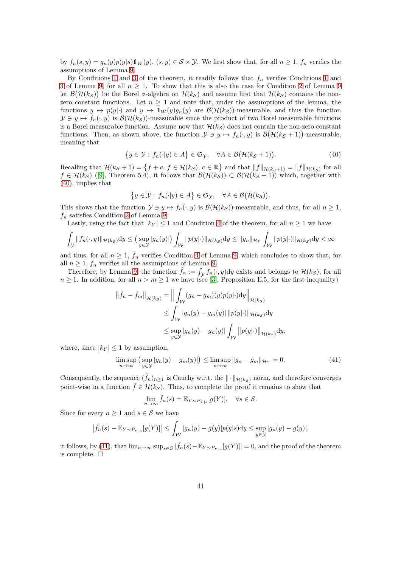by  $f_n(s, y) = g_n(y)p(y|s)1_W(y)$ ,  $(s, y) \in S \times Y$ . We first show that, for all  $n \ge 1$ ,  $f_n$  verifies the assumptions of Lemma [9.](#page-38-6)

By Conditions [1](#page-38-7) and [3](#page-38-1) of the theorem, it readily follows that  $f_n$  verifies Conditions 1 and [3](#page-38-8) of Lemma [9,](#page-38-6) for all  $n \geq 1$ . To show that this is also the case for Condition [2](#page-38-9) of Lemma [9](#page-38-6) let  $\mathcal{B}(\mathcal{H}(k_{\mathcal{S}}))$  be the Borel  $\sigma$ -algebra on  $\mathcal{H}(k_{\mathcal{S}})$  and assume first that  $\mathcal{H}(k_{\mathcal{S}})$  contains the nonzero constant functions. Let  $n \geq 1$  and note that, under the assumptions of the lemma, the functions  $y \mapsto p(y|\cdot)$  and  $y \mapsto \mathbb{1}_W(y)g_n(y)$  are  $\mathcal{B}(\mathcal{H}(k_{\mathcal{S}}))$ -measurable, and thus the function  $\mathcal{Y} \ni y \mapsto f_n(\cdot, y)$  is  $\mathcal{B}(\mathcal{H}(k_{\mathcal{S}}))$ -measurable since the product of two Borel measurable functions is a Borel measurable function. Assume now that  $\mathcal{H}(k_{\mathcal{S}})$  does not contain the non-zero constant functions. Then, as shown above, the function  $\mathcal{Y} \ni y \mapsto f_n(\cdot, y)$  is  $\mathcal{B}(\mathcal{H}(k_{\mathcal{S}} + 1))$ -measurable, meaning that

$$
\{y \in \mathcal{Y} : f_n(\cdot|y) \in A\} \in \mathfrak{S}_{\mathcal{Y}}, \quad \forall A \in \mathcal{B}(\mathcal{H}(k_{\mathcal{S}} + 1)).\tag{40}
$$

Recalling that  $\mathcal{H}(k_{\mathcal{S}} + 1) = \{f + c, f \in \mathcal{H}(k_{\mathcal{S}}), c \in \mathbb{R}\}\$  and that  $||f||_{\mathcal{H}(k_{\mathcal{S}}+1)} = ||f||_{\mathcal{H}(k_{\mathcal{S}})}$  for all  $f \in \mathcal{H}(k_S)$  ([\[9\]](#page-45-5), Theorem 5.4), it follows that  $\mathcal{B}(\mathcal{H}(k_S)) \subset \mathcal{B}(\mathcal{H}(k_S + 1))$  which, together with [\(40\)](#page-40-0), implies that

<span id="page-40-0"></span>
$$
\{y\in\mathcal{Y}: f_n(\cdot|y)\in A\}\in\mathfrak{S}_{\mathcal{Y}},\quad\forall A\in\mathcal{B}(\mathcal{H}(k_{\mathcal{S}})).
$$

This shows that the function  $\mathcal{Y} \ni y \mapsto f_n(\cdot, y)$  is  $\mathcal{B}(\mathcal{H}(k_{\mathcal{S}}))$ -measurable, and thus, for all  $n \geq 1$ ,  $f_n$  satisfies Condition [2](#page-38-9) of Lemma [9.](#page-38-6)

Lastly, using the fact that  $|k_Y| \leq 1$  and Condition [4](#page-38-10) of the theorem, for all  $n \geq 1$  we have

$$
\int_{\mathcal{Y}} \|f_n(\cdot, y)\|_{\mathcal{H}(k_{\mathcal{S}})} dy \le (\sup_{y \in \mathcal{Y}} |g_n(y)|) \int_{\mathcal{W}} \|p(y|\cdot)\|_{\mathcal{H}(k_{\mathcal{S}})} dy \le \|g_n\|_{\mathcal{H}_Y} \int_{\mathcal{W}} \|p(y|\cdot)\|_{\mathcal{H}(k_{\mathcal{S}})} dy < \infty
$$

and thus, for all  $n \geq 1$ ,  $f_n$  verifies Condition [4](#page-38-10) of Lemma [9,](#page-38-6) which concludes to show that, for all  $n \geq 1$ ,  $f_n$  verifies all the assumptions of Lemma [9.](#page-38-6)

Therefore, by Lemma [9,](#page-38-6) the function  $\tilde{f}_n := \int_{\mathcal{Y}} f_n(\cdot, y) dy$  exists and belongs to  $\mathcal{H}(k_{\mathcal{S}})$ , for all  $n \geq 1$ . In addition, for all  $n > m \geq 1$  we have (see [\[3\]](#page-45-9), Proposition E.5, for the first inequality)

$$
\begin{aligned} \left\| \tilde{f}_n - \tilde{f}_m \right\|_{\mathcal{H}(ks)} &= \left\| \int_{\mathcal{W}} (g_n - g_m)(y) p(y | \cdot) \mathrm{d}y \right\|_{\mathcal{H}(ks)} \\ &\le \int_{\mathcal{W}} |g_n(y) - g_m(y)| \left\| p(y | \cdot) \right\|_{\mathcal{H}(ks)} \mathrm{d}y \\ &\le \sup_{y \in \mathcal{Y}} |g_n(y) - g_n(y)| \int_{\mathcal{W}} \left\| p(y | \cdot) \right\|_{\mathcal{H}(ks)} \mathrm{d}y, \end{aligned}
$$

where, since  $|k_Y| \leq 1$  by assumption,

$$
\limsup_{n \to \infty} \left( \sup_{y \in \mathcal{Y}} |g_n(y) - g_m(y)| \right) \le \limsup_{n \to \infty} \|g_n - g_m\|_{\mathcal{H}_Y} = 0. \tag{41}
$$

Consequently, the sequence  $(\tilde{f}_n)_{n\geq 1}$  is Cauchy w.r.t. the  $\|\cdot\|_{\mathcal{H}(k_{\mathcal{S}})}$  norm, and therefore converges point-wise to a function  $\tilde{f} \in \mathcal{H}(k_{\mathcal{S}})$ . Thus, to complete the proof it remains to show that

<span id="page-40-1"></span>
$$
\lim_{n \to \infty} \tilde{f}_n(s) = \mathbb{E}_{Y \sim P_{Y|s}}[g(Y)], \quad \forall s \in \mathcal{S}.
$$

Since for every  $n \geq 1$  and  $s \in \mathcal{S}$  we have

$$
\left|\tilde{f}_n(s)-\mathbb{E}_{Y\sim P_{Y|s}}[g(Y)]\right|\leq \int_{\mathcal{W}}|g_n(y)-g(y)|p(y|s)\mathrm{d}y\leq \sup_{y\in\mathcal{Y}}|g_n(y)-g(y)|,
$$

it follows, by [\(41\)](#page-40-1), that  $\lim_{n\to\infty} \sup_{s\in\mathcal{S}} |\tilde{f}_n(s)-\mathbb{E}_{Y\sim P_{Y|s}}[g(Y)]| = 0$ , and the proof of the theorem is complete.  $\square$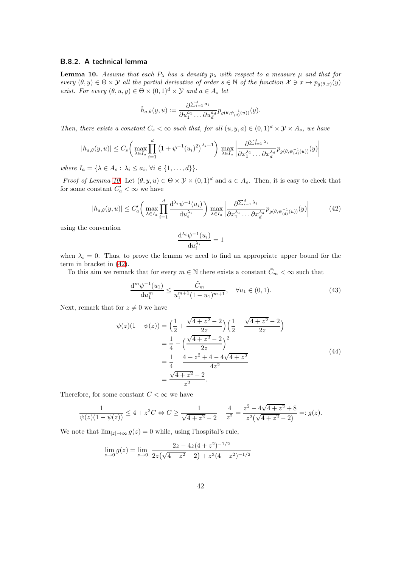### B.8.2. A technical lemma

<span id="page-41-0"></span>**Lemma 10.** Assume that each  $P_{\lambda}$  has a density  $p_{\lambda}$  with respect to a measure  $\mu$  and that for every  $(\theta, y) \in \Theta \times \mathcal{Y}$  all the partial derivative of order  $s \in \mathbb{N}$  of the function  $\mathcal{X} \ni x \mapsto p_{g(\theta, x)}(y)$ exist. For every  $(\theta, u, y) \in \Theta \times (0, 1)^d \times \mathcal{Y}$  and  $a \in A_s$  let

$$
\tilde{h}_{a,\theta}(y,u) := \frac{\partial \Sigma_{i=1}^d a_i}{\partial u_1^{a_1} \dots \partial u_d^{a_d}} p_{g(\theta,\psi_{(d)}^{-1}(u))}(y).
$$

Then, there exists a constant  $C_s < \infty$  such that, for all  $(u, y, a) \in (0, 1)^d \times \mathcal{Y} \times A_s$ , we have

$$
|h_{a,\theta}(y,u)| \leq C_s \left( \max_{\lambda \in I_a} \prod_{i=1}^d \left(1 + \psi^{-1}(u_i)^2\right)^{\lambda_i+1} \right) \max_{\lambda \in I_a} \left| \frac{\partial^{\sum_{i=1}^d \lambda_i}}{\partial x_1^{\lambda_1} \dots \partial x_d^{\lambda_d}} p_{g(\theta,\psi_{(d)}^{-1}(u))}(y) \right|
$$

where  $I_a = \{\lambda \in A_s : \lambda_i \leq a_i, \forall i \in \{1, \ldots, d\}\}.$ 

*Proof of Lemma [10](#page-41-0).* Let  $(\theta, y, u) \in \Theta \times \mathcal{Y} \times (0, 1)^d$  and  $a \in A_s$ . Then, it is easy to check that for some constant  $C'_a < \infty$  we have

$$
|h_{a,\theta}(y,u)| \leq C'_a \left( \max_{\lambda \in I_a} \prod_{i=1}^d \frac{\mathrm{d}^{\lambda_i} \psi^{-1}(u_i)}{\mathrm{d}u_i^{\lambda_i}} \right) \max_{\lambda \in I_a} \left| \frac{\partial \Sigma_{i=1}^d \lambda_i}{\partial x_1^{\lambda_1} \dots \partial x_d^{\lambda_d}} p_{g(\theta, \psi_{(d)}^{-1}(u))}(y) \right| \tag{42}
$$

<span id="page-41-1"></span>using the convention

<span id="page-41-2"></span>
$$
\frac{\mathrm{d}^{\lambda_i} \psi^{-1}(u_i)}{\mathrm{d} u_i^{\lambda_i}} = 1
$$

when  $\lambda_i = 0$ . Thus, to prove the lemma we need to find an appropriate upper bound for the term in bracket in [\(42\)](#page-41-1).

To this aim we remark that for every  $m \in \mathbb{N}$  there exists a constant  $\tilde{C}_m < \infty$  such that

$$
\frac{d^m \psi^{-1}(u_1)}{du_1^m} \le \frac{\tilde{C}_m}{u_1^{m+1} (1 - u_1)^{m+1}}, \quad \forall u_1 \in (0, 1). \tag{43}
$$

Next, remark that for  $z \neq 0$  we have

$$
\psi(z)(1 - \psi(z)) = \left(\frac{1}{2} + \frac{\sqrt{4 + z^2} - 2}{2z}\right)\left(\frac{1}{2} - \frac{\sqrt{4 + z^2} - 2}{2z}\right)
$$
  
=  $\frac{1}{4} - \left(\frac{\sqrt{4 + z^2} - 2}{2z}\right)^2$   
=  $\frac{1}{4} - \frac{4 + z^2 + 4 - 4\sqrt{4 + z^2}}{4z^2}$   
=  $\frac{\sqrt{4 + z^2} - 2}{z^2}$ . (44)

Therefore, for some constant  $C < \infty$  we have

$$
\frac{1}{\psi(z)(1-\psi(z))} \le 4 + z^2 C \Leftrightarrow C \ge \frac{1}{\sqrt{4+z^2}-2} - \frac{4}{z^2} = \frac{z^2 - 4\sqrt{4+z^2} + 8}{z^2(\sqrt{4+z^2} - 2)} =: g(z).
$$

We note that  $\lim_{|z|\to\infty} g(z) = 0$  while, using l'hospital's rule,

$$
\lim_{z \to 0} g(z) = \lim_{z \to 0} \frac{2z - 4z(4 + z^2)^{-1/2}}{2z(\sqrt{4 + z^2} - 2) + z^3(4 + z^2)^{-1/2}}
$$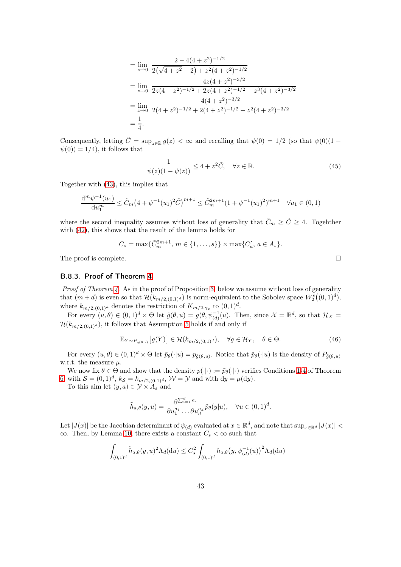$$
= \lim_{z \to 0} \frac{2 - 4(4 + z^2)^{-1/2}}{2(\sqrt{4 + z^2} - 2) + z^2(4 + z^2)^{-1/2}}
$$
  
\n
$$
= \lim_{z \to 0} \frac{4z(4 + z^2)^{-3/2}}{2z(4 + z^2)^{-1/2} + 2z(4 + z^2)^{-1/2} - z^3(4 + z^2)^{-3/2}}
$$
  
\n
$$
= \lim_{z \to 0} \frac{4(4 + z^2)^{-3/2}}{2(4 + z^2)^{-1/2} + 2(4 + z^2)^{-1/2} - z^2(4 + z^2)^{-3/2}}
$$
  
\n
$$
= \frac{1}{4}.
$$

Consequently, letting  $\tilde{C} = \sup_{z \in \mathbb{R}} g(z) < \infty$  and recalling that  $\psi(0) = 1/2$  (so that  $\psi(0)(1 \psi(0)$  = 1/4), it follows that

$$
\frac{1}{\psi(z)(1-\psi(z))} \le 4 + z^2 \tilde{C}, \quad \forall z \in \mathbb{R}.
$$
\n(45)

Together with [\(43\)](#page-41-2), this implies that

$$
\frac{d^m \psi^{-1}(u_1)}{du_1^m} \le \tilde{C}_m \left(4 + \psi^{-1}(u_1)^2 \tilde{C}\right)^{m+1} \le \tilde{C}_m^{2m+1} \left(1 + \psi^{-1}(u_1)^2\right)^{m+1} \quad \forall u_1 \in (0,1)
$$

where the second inequality assumes without loss of generality that  $\tilde{C}_m \geq \tilde{C} \geq 4$ . Togehther with [\(42\)](#page-41-1), this shows that the result of the lemma holds for

$$
C_s = \max\{\tilde{C}_m^{2m+1}, m \in \{1, \ldots, s\}\} \times \max\{C'_a, a \in A_s\}.
$$

The proof is complete.  $\Box$ 

### B.8.3. Proof of Theorem [4](#page-11-2)

*Proof of Theorem [4](#page-11-2).* As in the proof of Proposition [3,](#page-11-1) below we assume without loss of generality that  $(m+d)$  is even so that  $\mathcal{H}(k_{m/2,(0,1)^d})$  is norm-equivalent to the Sobolev space  $W_2^s((0,1)^d)$ , where  $k_{m/2,(0,1)<sup>d</sup>}$  denotes the restriction of  $K_{m/2,\gamma_x}$  to  $(0,1)<sup>d</sup>$ .

For every  $(u, \theta) \in (0, 1)^d \times \Theta$  let  $\tilde{g}(\theta, u) = g(\theta, \psi_{(d)}^{-1}(u)$ . Then, since  $\mathcal{X} = \mathbb{R}^d$ , so that  $\mathcal{H}_X =$  $\mathcal{H}(k_{m/2,(0,1)^d})$ , it follows that Assumption [5](#page-8-1) holds if and only if

$$
\mathbb{E}_{Y \sim P_{\tilde{g}(\theta,\cdot)}}[g(Y)] \in \mathcal{H}(k_{m/2,(0,1)^d}), \quad \forall g \in \mathcal{H}_Y, \quad \theta \in \Theta.
$$
 (46)

For every  $(u, \theta) \in (0, 1)^d \times \Theta$  let  $\tilde{p}_{\theta}(\cdot | u) = p_{\tilde{g}(\theta, u)}$ . Notice that  $\tilde{p}_{\theta}(\cdot | u)$  is the density of  $P_{\tilde{g}(\theta, u)}$ w.r.t. the measure  $\mu$ .

We now fix  $\theta \in \Theta$  and show that the density  $p(\cdot|\cdot) := \tilde{p}_{\theta}(\cdot|\cdot)$  verifies Conditions [1](#page-38-3)[-4](#page-38-2) of Theorem [6,](#page-38-5) with  $S = (0, 1)^d$ ,  $k_S = k_{m/2, (0, 1)^d}$ ,  $\mathcal{W} = \mathcal{Y}$  and with  $dy = \mu(dy)$ .

To this aim let  $(y, a) \in \mathcal{Y} \times A_s$  and

$$
\tilde{h}_{a,\theta}(y,u) = \frac{\partial^{\sum_{i=1}^d a_i}}{\partial u_1^{a_1} \dots \partial u_d^{a_d}} \tilde{p}_{\theta}(y|u), \quad \forall u \in (0,1)^d.
$$

Let  $|J(x)|$  be the Jacobian determinant of  $\psi_{(d)}$  evaluated at  $x \in \mathbb{R}^d$ , and note that  $\sup_{x \in \mathbb{R}^d} |J(x)| <$  $\infty$ . Then, by Lemma [10,](#page-41-0) there exists a constant  $C_s < \infty$  such that

$$
\int_{(0,1)^d} \tilde{h}_{a,\theta}(y,u)^2 \Lambda_d(\mathrm{d}u) \leq C_s^2 \int_{(0,1)^d} h_{a,\theta}(y,\psi_{(d)}^{-1}(u))^2 \Lambda_d(\mathrm{d}u)
$$

<span id="page-42-0"></span>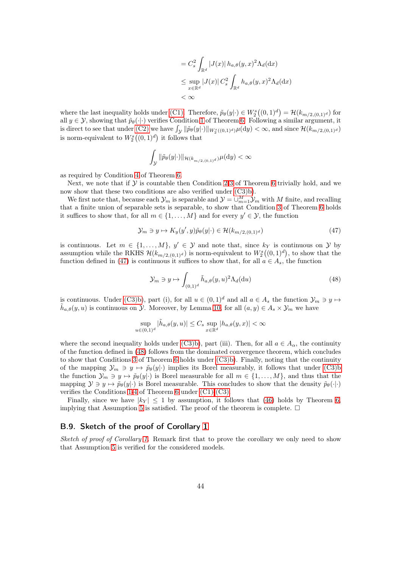$$
= C_s^2 \int_{\mathbb{R}^d} |J(x)| h_{a,\theta}(y,x)^2 \Lambda_d(\mathrm{d}x)
$$
  
\n
$$
\leq \sup_{x \in \mathbb{R}^d} |J(x)| C_s^2 \int_{\mathbb{R}^d} h_{a,\theta}(y,x)^2 \Lambda_d(\mathrm{d}x)
$$
  
\n
$$
< \infty
$$

where the last inequality holds under [\(C1\).](#page-12-1) Therefore,  $\tilde{p}_{\theta}(y|\cdot) \in W_2^s((0,1)^d) = \mathcal{H}(k_{m/2,(0,1)^d})$  for all  $y \in \mathcal{Y}$ , showing that  $\tilde{p}_{\theta}(\cdot|\cdot)$  verifies Condition [1](#page-38-3) of Theorem [6.](#page-38-5) Following a similar argument, it is direct to see that under [\(C2\)](#page-12-2) we have  $\int_{\mathcal{Y}} ||\tilde{p}_{\theta}(y|| \cdot)||_{W_2^s((0,1)^d)} \mu(\mathrm{d}y) < \infty$ , and since  $\mathcal{H}(k_{m/2,(0,1)^d})$ is norm-equivalent to  $W_2^s((0,1)^d)$  it follows that

$$
\int_{\mathcal{Y}} \|\tilde{p}_{\theta}(y|\cdot)\|_{\mathcal{H}(k_{m/2,(0,1)^d})} \mu(\mathrm{d} y) < \infty
$$

as required by Condition [4](#page-38-2) of Theorem [6.](#page-38-5)

Next, we note that if  $\mathcal Y$  is countable then Condition [2](#page-38-0)[-3](#page-38-1) of Theorem [6](#page-38-5) trivially hold, and we now show that these two conditions are also verified under [\(C3\)b\)](#page-12-0).

We first note that, because each  $\mathcal{Y}_m$  is separable and  $\mathcal{Y} = \bigcup_{m=1}^M \mathcal{Y}_m$  with M finite, and recalling that a finite union of separable sets is separable, to show that Condition [3](#page-38-1) of Theorem [6](#page-38-5) holds it suffices to show that, for all  $m \in \{1, ..., M\}$  and for every  $y' \in \mathcal{Y}$ , the function

$$
\mathcal{Y}_m \ni y \mapsto K_y(y', y)\tilde{p}_\theta(y|\cdot) \in \mathcal{H}(k_{m/2, (0,1)^d})\tag{47}
$$

is continuous. Let  $m \in \{1, ..., M\}$ ,  $y' \in \mathcal{Y}$  and note that, since  $k_y$  is continuous on  $\mathcal{Y}$  by assumption while the RKHS  $\mathcal{H}(k_{m/2,(0,1)^d})$  is norm-equivalent to  $W_2^s((0,1)^d)$ , to show that the function defined in [\(47\)](#page-43-0) is continuous it suffices to show that, for all  $a \in A_s$ , the function

<span id="page-43-1"></span><span id="page-43-0"></span>
$$
\mathcal{Y}_m \ni y \mapsto \int_{(0,1)^d} \tilde{h}_{a,\theta}(y,u)^2 \Lambda_d(\mathrm{d}u) \tag{48}
$$

is continuous. Under [\(C3\)b\)](#page-12-0), part (i), for all  $u \in (0,1)^d$  and all  $a \in A_s$  the function  $\mathcal{Y}_m \ni y \mapsto$  $\tilde{h}_{a,\theta}(y,u)$  is continuous on  $\mathcal{Y}$ . Moreover, by Lemma [10,](#page-41-0) for all  $(a,y) \in A_s \times \mathcal{Y}_m$  we have

$$
\sup_{u \in (0,1)^d} |\tilde{h}_{a,\theta}(y,u)| \leq C_s \sup_{x \in \mathbb{R}^d} |h_{a,\theta}(y,x)| < \infty
$$

where the second inequality holds under [\(C3\)b\)](#page-12-0), part (iii). Then, for all  $a \in A_{\alpha}$ , the continuity of the function defined in [\(48\)](#page-43-1) follows from the dominated convergence theorem, which concludes to show that Conditions [3](#page-38-1) of Theorem [6](#page-38-5) holds under [\(C3\)b\)](#page-12-0). Finally, noting that the continuity of the mapping  $\mathcal{Y}_m \ni y \mapsto \tilde{p}_\theta(y|\cdot)$  implies its Borel measurably, it follows that under [\(C3\)b](#page-12-0) the function  $\mathcal{Y}_m \ni y \mapsto \tilde{p}_\theta(y|\cdot)$  is Borel measurable for all  $m \in \{1, ..., M\}$ , and thus that the mapping  $\mathcal{Y} \ni y \mapsto \tilde{p}_{\theta}(y|\cdot)$  is Borel measurable. This concludes to show that the density  $\tilde{p}_{\theta}(\cdot|\cdot)$ verifies the Conditions [1](#page-38-3)[-4](#page-38-2) of Theorem [6](#page-38-5) under [\(C1\)-](#page-12-1)[\(C3\).](#page-12-3)

Finally, since we have  $|k_Y| \leq 1$  by assumption, it follows that [\(46\)](#page-42-0) holds by Theorem [6,](#page-38-5) implying that Assumption [5](#page-8-1) is satisfied. The proof of the theorem is complete.  $\Box$ 

### B.9. Sketch of the proof of Corollary [1](#page-12-4)

Sketch of proof of Corollary [1.](#page-12-4) Remark first that to prove the corollary we only need to show that Assumption [5](#page-8-1) is verified for the considered models.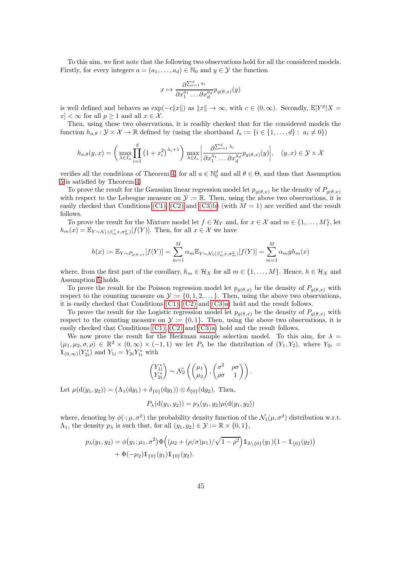To this aim, we first note that the following two observations hold for all the considered models. Firstly, for every integers  $a = (a_1, \ldots, a_d) \in \mathbb{N}_0$  and  $y \in \mathcal{Y}$  the function

$$
x \mapsto \frac{\partial^{\sum_{i=1}^d a_i}}{\partial x_1^{a_1} \dots \partial x_d^{a_d}} p_{g(\theta, x)}(y)
$$

is well defined and behaves as  $\exp(-c||x||)$  as  $||x|| \to \infty$ , with  $c \in (0, \infty)$ . Secondly,  $\mathbb{E}[Y^p | X =$  $|x| < \infty$  for all  $p \ge 1$  and all  $x \in \mathcal{X}$ .

Then, using these two observations, it is readily checked that for the considered models the function  $h_{a,\theta} : \mathcal{Y} \times \mathcal{X} \to \mathbb{R}$  defined by (using the shorthand  $I_a := \{i \in \{1, ..., d\} : a_i \neq 0\}$ )

$$
h_{a,\theta}(y,x) = \left(\max_{\lambda \in I_a} \prod_{i=1}^d \left(1 + x_i^2\right)^{\lambda_i+1}\right) \max_{\lambda \in I_a} \left|\frac{\partial \sum_{i=1}^d \lambda_i}{\partial x_1^{\lambda_1} \dots \partial x_d^{\lambda_d}} p_{g(\theta,x)}(y)\right|, \quad (y,x) \in \mathcal{Y} \times \mathcal{X}
$$

verifies all the conditions of Theorem [4,](#page-11-2) for all  $a \in \mathbb{N}_0^d$  and all  $\theta \in \Theta$ , and thus that Assumption [5](#page-8-1) is satisfied by Theorem [4.](#page-11-2)

To prove the result for the Gaussian linear regression model let  $p_{g(\theta,x)}$  be the density of  $P_{g(\theta,x)}$ with respect to the Lebesgue measure on  $\mathcal{Y} := \mathbb{R}$ . Then, using the above two observations, it is easily checked that Conditions [\(C1\),](#page-12-1) [\(C2\)](#page-12-2) and [\(C3\)b\)](#page-12-0) (with  $M = 1$ ) are verified and the result follows.

To prove the result for the Mixture model let  $f \in \mathcal{H}_Y$  and, for  $x \in \mathcal{X}$  and  $m \in \{1, \ldots, M\}$ , let  $h_m(x) = \mathbb{E}_{Y \sim \mathcal{N}_1(\beta_m^T x, \sigma_m^2)}[f(Y)]$ . Then, for all  $x \in \mathcal{X}$  we have

$$
h(x) := \mathbb{E}_{Y \sim P_{g(\theta,x)}}[f(Y)] = \sum_{m=1}^{M} \alpha_m \mathbb{E}_{Y \sim \mathcal{N}_1(\beta_m^{\top} x, \sigma_m^2)}[f(Y)] = \sum_{m=1}^{M} \alpha_m gh_m(x)
$$

where, from the first part of the corollary,  $h_m \in \mathcal{H}_X$  for all  $m \in \{1, \ldots, M\}$ . Hence,  $h \in \mathcal{H}_X$  and Assumption [5](#page-8-1) holds.

To prove the result for the Poisson regression model let  $p_{g(\theta,x)}$  be the density of  $P_{g(\theta,x)}$  with respect to the counting measure on  $\mathcal{Y} := \{0, 1, 2, \ldots\}$ . Then, using the above two observations, it is easily checked that Conditions  $(C1)$ ,  $(C2)$  and  $(C3)a$ ) hold and the result follows.

To prove the result for the Logistic regression model let  $p_{g(\theta,x)}$  be the density of  $P_{g(\theta,x)}$  with respect to the counting measure on  $\mathcal{Y} := \{0, 1\}$ . Then, using the above two observations, it is easily checked that Conditions [\(C1\),](#page-12-1) [\(C2\)](#page-12-2) and [\(C3\)a\)](#page-12-5) hold and the result follows.

We now prove the result for the Heckman sample selection model. To this aim, for  $\lambda =$  $(\mu_1, \mu_2, \sigma, \rho) \in \mathbb{R}^2 \times (0, \infty) \times (-1, 1)$  we let  $P_\lambda$  be the distribution of  $(Y_1, Y_2)$ , where  $Y_{2i} =$  $1\!\!1_{(0,\infty)}(Y^*_{2i})$  and  $Y_{1i} = Y_{2i}Y^*_{1i}$  with

$$
\begin{pmatrix} Y_{1i}^* \\ Y_{2i}^* \end{pmatrix} \sim \mathcal{N}_2 \left( \begin{pmatrix} \mu_1 \\ \mu_2 \end{pmatrix}, \begin{pmatrix} \sigma^2 & \rho \sigma \\ \rho \sigma & 1 \end{pmatrix} \right).
$$

Let  $\mu(d(y_1, y_2)) = (\Lambda_1(dy_1) + \delta_{\{0\}}(dy_1)) \otimes \delta_{\{0\}}(dy_2)$ . Then,

$$
P_{\lambda}(d(y_1, y_2)) = p_{\lambda}(y_1, y_2)\mu(d(y_1, y_2))
$$

where, denoting by  $\phi(\cdot;\mu,\sigma^2)$  the probability density function of the  $\mathcal{N}_1(\mu,\sigma^2)$  distribution w.r.t.  $\Lambda_1$ , the density  $p_\lambda$  is such that, for all  $(y_1, y_2) \in \mathcal{Y} := \mathbb{R} \times \{0, 1\},$ 

$$
p_{\lambda}(y_1, y_2) = \phi(y_1; \mu_1, \sigma^2) \Phi\left((\mu_2 + (\rho/\sigma)\mu_1)/\sqrt{1-\rho^2}\right) \mathbb{1}_{\mathbb{R}\setminus\{0\}}(y_1) \left(1 - \mathbb{1}_{\{0\}}(y_2)\right) + \Phi(-\mu_2) \mathbb{1}_{\{0\}}(y_1) \mathbb{1}_{\{0\}}(y_2).
$$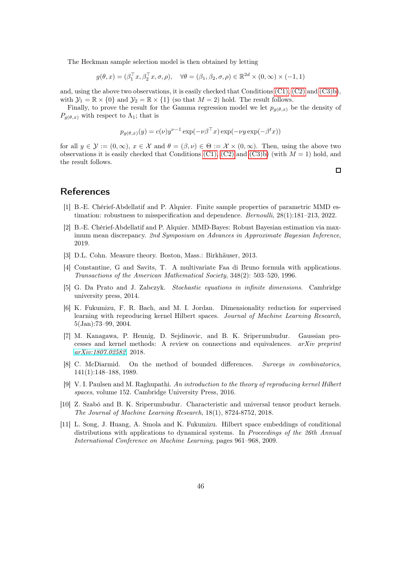The Heckman sample selection model is then obtained by letting

$$
g(\theta, x) = (\beta_1^\top x, \beta_2^\top x, \sigma, \rho), \quad \forall \theta = (\beta_1, \beta_2, \sigma, \rho) \in \mathbb{R}^{2d} \times (0, \infty) \times (-1, 1)
$$

and, using the above two observations, it is easily checked that Conditions  $(C1)$ ,  $(C2)$  and  $(C3)b$ ), with  $\mathcal{Y}_1 = \mathbb{R} \times \{0\}$  and  $\mathcal{Y}_2 = \mathbb{R} \times \{1\}$  (so that  $M = 2$ ) hold. The result follows.

Finally, to prove the result for the Gamma regression model we let  $p_{q(\theta,x)}$  be the density of  $P_{q(\theta,x)}$  with respect to  $\Lambda_1$ ; that is

$$
p_{g(\theta,x)}(y) = c(\nu)y^{\nu-1}\exp(-\nu\beta^{\top}x)\exp(-\nu y\exp(-\beta^t x))
$$

for all  $y \in \mathcal{Y} := (0, \infty), x \in \mathcal{X}$  and  $\theta = (\beta, \nu) \in \Theta := \mathcal{X} \times (0, \infty)$ . Then, using the above two observations it is easily checked that Conditions [\(C1\),](#page-12-1) [\(C2\)](#page-12-2) and [\(C3\)b\)](#page-12-0) (with  $M = 1$ ) hold, and the result follows.

# <span id="page-45-0"></span>References

- [1] B.-E. Chérief-Abdellatif and P. Alquier. Finite sample properties of parametric MMD estimation: robustness to misspecification and dependence. Bernoulli, 28(1):181–213, 2022.
- <span id="page-45-1"></span>[2] B.-E. Chérief-Abdellatif and P. Alquier. MMD-Bayes: Robust Bayesian estimation via maximum mean discrepancy. 2nd Symposium on Advances in Approximate Bayesian Inference, 2019.
- <span id="page-45-9"></span>[3] D.L. Cohn. Measure theory. Boston, Mass.: Birkhäuser, 2013.
- [4] Constantine, G and Savits, T. A multivariate Faa di Bruno formula with applications. Transactions of the American Mathematical Society, 348(2): 503–520, 1996.
- <span id="page-45-8"></span>[5] G. Da Prato and J. Zabczyk. Stochastic equations in infinite dimensions. Cambridge university press, 2014.
- <span id="page-45-6"></span>[6] K. Fukumizu, F. R. Bach, and M. I. Jordan. Dimensionality reduction for supervised learning with reproducing kernel Hilbert spaces. Journal of Machine Learning Research, 5(Jan):73–99, 2004.
- <span id="page-45-3"></span>[7] M. Kanagawa, P. Hennig, D. Sejdinovic, and B. K. Sriperumbudur. Gaussian processes and kernel methods: A review on connections and equivalences.  $arXiv$  preprint [arXiv:1807.02582](http://arxiv.org/abs/1807.02582), 2018.
- <span id="page-45-4"></span>[8] C. McDiarmid. On the method of bounded differences. Surveys in combinatorics, 141(1):148–188, 1989.
- <span id="page-45-5"></span>[9] V. I. Paulsen and M. Raghupathi. An introduction to the theory of reproducing kernel Hilbert spaces, volume 152. Cambridge University Press, 2016.
- <span id="page-45-2"></span>[10] Z. Szabó and B. K. Sriperumbudur. Characteristic and universal tensor product kernels. The Journal of Machine Learning Research, 18(1), 8724-8752, 2018.
- <span id="page-45-7"></span>[11] L. Song, J. Huang, A. Smola and K. Fukumizu. Hilbert space embeddings of conditional distributions with applications to dynamical systems. In Proceedings of the 26th Annual International Conference on Machine Learning, pages 961–968, 2009.

 $\Box$